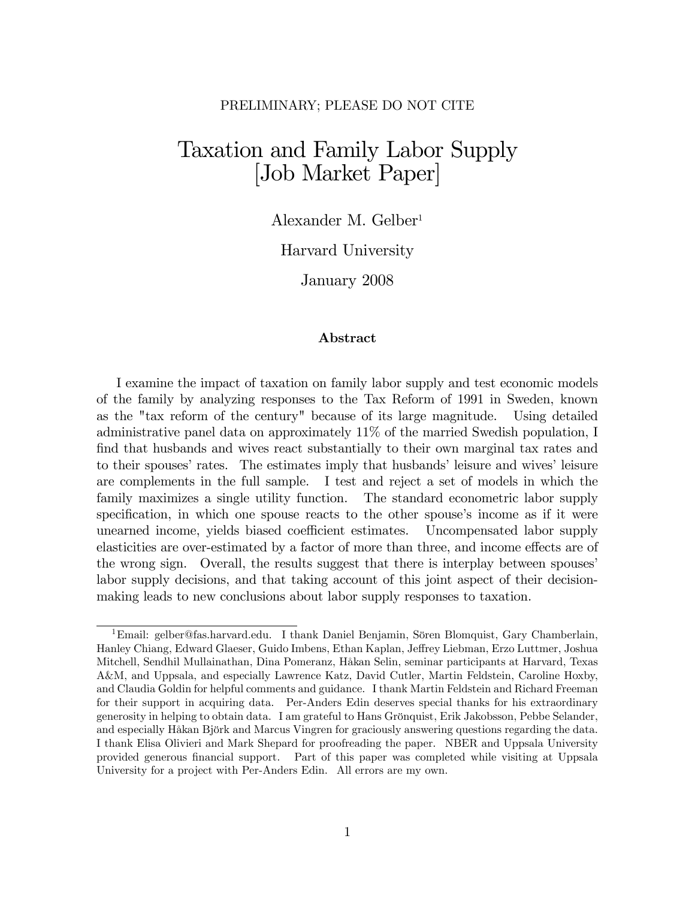## PRELIMINARY; PLEASE DO NOT CITE

# Taxation and Family Labor Supply [Job Market Paper]

Alexander M. Gelber<sup>1</sup>

Harvard University

January 2008

#### Abstract

I examine the impact of taxation on family labor supply and test economic models of the family by analyzing responses to the Tax Reform of 1991 in Sweden, known as the "tax reform of the century" because of its large magnitude. Using detailed administrative panel data on approximately 11% of the married Swedish population, I find that husbands and wives react substantially to their own marginal tax rates and to their spouses' rates. The estimates imply that husbands' leisure and wives' leisure are complements in the full sample. I test and reject a set of models in which the family maximizes a single utility function. The standard econometric labor supply specification, in which one spouse reacts to the other spouse's income as if it were unearned income, yields biased coefficient estimates. Uncompensated labor supply elasticities are over-estimated by a factor of more than three, and income effects are of the wrong sign. Overall, the results suggest that there is interplay between spouses labor supply decisions, and that taking account of this joint aspect of their decisionmaking leads to new conclusions about labor supply responses to taxation.

<sup>&</sup>lt;sup>1</sup>Email: gelber@fas.harvard.edu. I thank Daniel Benjamin, Sören Blomquist, Gary Chamberlain, Hanley Chiang, Edward Glaeser, Guido Imbens, Ethan Kaplan, Jeffrey Liebman, Erzo Luttmer, Joshua Mitchell, Sendhil Mullainathan, Dina Pomeranz, HÂkan Selin, seminar participants at Harvard, Texas A&M, and Uppsala, and especially Lawrence Katz, David Cutler, Martin Feldstein, Caroline Hoxby, and Claudia Goldin for helpful comments and guidance. I thank Martin Feldstein and Richard Freeman for their support in acquiring data. Per-Anders Edin deserves special thanks for his extraordinary generosity in helping to obtain data. I am grateful to Hans Grönquist, Erik Jakobsson, Pebbe Selander, and especially Håkan Björk and Marcus Vingren for graciously answering questions regarding the data. I thank Elisa Olivieri and Mark Shepard for proofreading the paper. NBER and Uppsala University provided generous financial support. Part of this paper was completed while visiting at Uppsala University for a project with Per-Anders Edin. All errors are my own.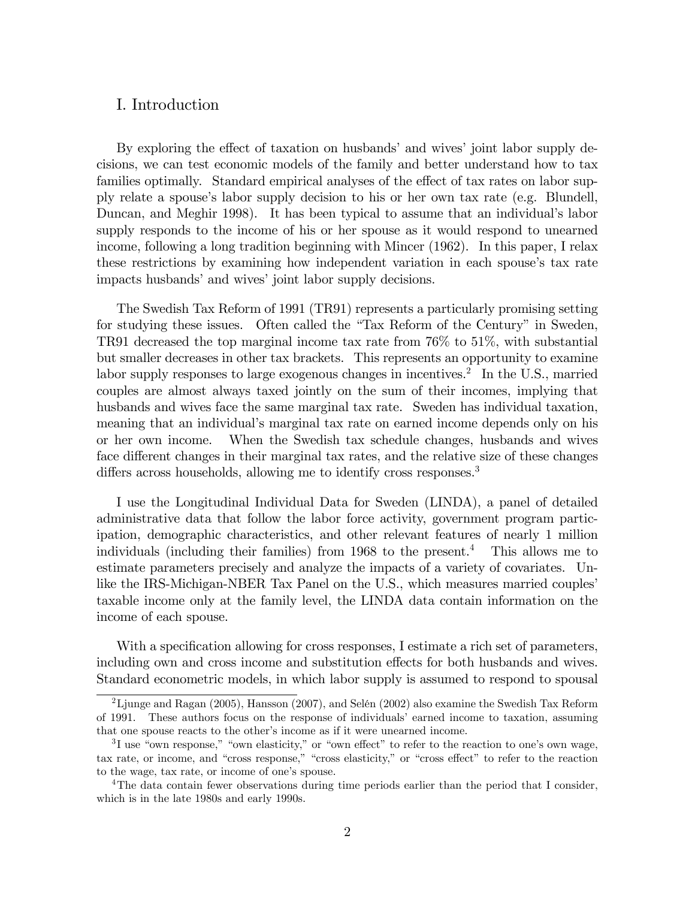## I. Introduction

By exploring the effect of taxation on husbands' and wives' joint labor supply decisions, we can test economic models of the family and better understand how to tax families optimally. Standard empirical analyses of the effect of tax rates on labor supply relate a spouse's labor supply decision to his or her own tax rate (e.g. Blundell, Duncan, and Meghir 1998). It has been typical to assume that an individual's labor supply responds to the income of his or her spouse as it would respond to unearned income, following a long tradition beginning with Mincer (1962). In this paper, I relax these restrictions by examining how independent variation in each spouse's tax rate impacts husbands' and wives' joint labor supply decisions.

The Swedish Tax Reform of 1991 (TR91) represents a particularly promising setting for studying these issues. Often called the "Tax Reform of the Century" in Sweden, TR91 decreased the top marginal income tax rate from 76% to 51%, with substantial but smaller decreases in other tax brackets. This represents an opportunity to examine labor supply responses to large exogenous changes in incentives.<sup>2</sup> In the U.S., married couples are almost always taxed jointly on the sum of their incomes, implying that husbands and wives face the same marginal tax rate. Sweden has individual taxation, meaning that an individual's marginal tax rate on earned income depends only on his or her own income. When the Swedish tax schedule changes, husbands and wives face different changes in their marginal tax rates, and the relative size of these changes differs across households, allowing me to identify cross responses.<sup>3</sup>

I use the Longitudinal Individual Data for Sweden (LINDA), a panel of detailed administrative data that follow the labor force activity, government program participation, demographic characteristics, and other relevant features of nearly 1 million individuals (including their families) from 1968 to the present.<sup>4</sup> This allows me to estimate parameters precisely and analyze the impacts of a variety of covariates. Unlike the IRS-Michigan-NBER Tax Panel on the U.S., which measures married couples taxable income only at the family level, the LINDA data contain information on the income of each spouse.

With a specification allowing for cross responses, I estimate a rich set of parameters, including own and cross income and substitution effects for both husbands and wives. Standard econometric models, in which labor supply is assumed to respond to spousal

<sup>&</sup>lt;sup>2</sup>Ljunge and Ragan (2005), Hansson (2007), and Selén (2002) also examine the Swedish Tax Reform of 1991. These authors focus on the response of individuals' earned income to taxation, assuming that one spouse reacts to the otherís income as if it were unearned income.

 ${}^{3}I$  use "own response," "own elasticity," or "own effect" to refer to the reaction to one's own wage, tax rate, or income, and "cross response," "cross elasticity," or "cross effect" to refer to the reaction to the wage, tax rate, or income of one's spouse.

<sup>4</sup>The data contain fewer observations during time periods earlier than the period that I consider, which is in the late 1980s and early 1990s.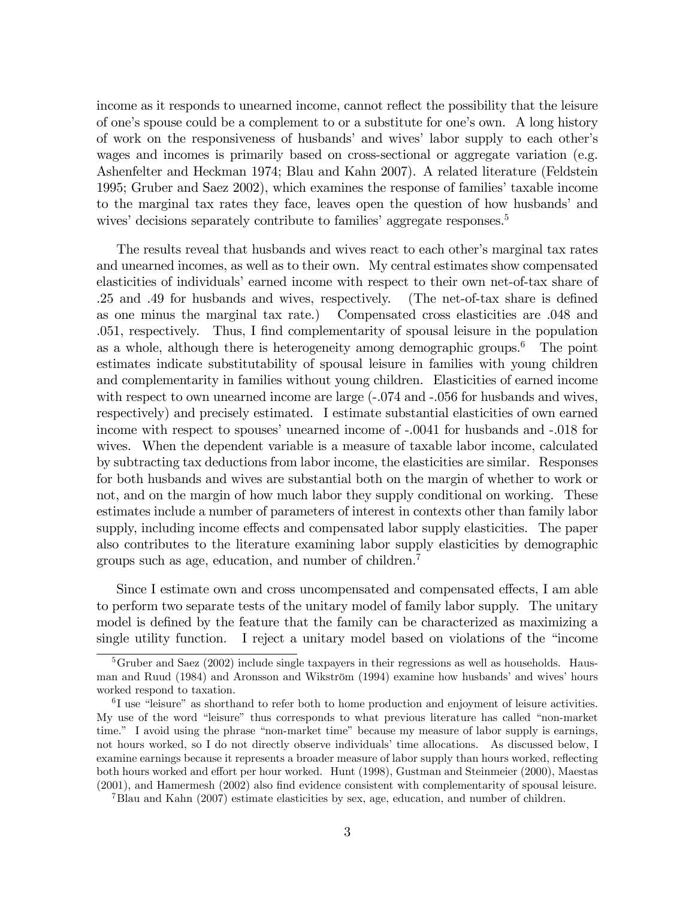income as it responds to unearned income, cannot reflect the possibility that the leisure of one's spouse could be a complement to or a substitute for one's own. A long history of work on the responsiveness of husbands' and wives' labor supply to each other's wages and incomes is primarily based on cross-sectional or aggregate variation (e.g. Ashenfelter and Heckman 1974; Blau and Kahn 2007). A related literature (Feldstein 1995; Gruber and Saez 2002), which examines the response of families' taxable income to the marginal tax rates they face, leaves open the question of how husbands' and wives' decisions separately contribute to families' aggregate responses.<sup>5</sup>

The results reveal that husbands and wives react to each other's marginal tax rates and unearned incomes, as well as to their own. My central estimates show compensated elasticities of individuals' earned income with respect to their own net-of-tax share of .25 and .49 for husbands and wives, respectively. (The net-of-tax share is defined as one minus the marginal tax rate.) Compensated cross elasticities are .048 and .051, respectively. Thus, I find complementarity of spousal leisure in the population as a whole, although there is heterogeneity among demographic groups.<sup>6</sup> The point estimates indicate substitutability of spousal leisure in families with young children and complementarity in families without young children. Elasticities of earned income with respect to own unearned income are large  $(-.074$  and  $-.056$  for husbands and wives, respectively) and precisely estimated. I estimate substantial elasticities of own earned income with respect to spouses' unearned income of -.0041 for husbands and -.018 for wives. When the dependent variable is a measure of taxable labor income, calculated by subtracting tax deductions from labor income, the elasticities are similar. Responses for both husbands and wives are substantial both on the margin of whether to work or not, and on the margin of how much labor they supply conditional on working. These estimates include a number of parameters of interest in contexts other than family labor supply, including income effects and compensated labor supply elasticities. The paper also contributes to the literature examining labor supply elasticities by demographic groups such as age, education, and number of children.<sup>7</sup>

Since I estimate own and cross uncompensated and compensated effects, I am able to perform two separate tests of the unitary model of family labor supply. The unitary model is defined by the feature that the family can be characterized as maximizing a single utility function. I reject a unitary model based on violations of the  $\degree$ income

<sup>&</sup>lt;sup>5</sup>Gruber and Saez (2002) include single taxpayers in their regressions as well as households. Hausman and Ruud (1984) and Aronsson and Wikström (1994) examine how husbands' and wives' hours worked respond to taxation.

 ${}^{6}I$  use "leisure" as shorthand to refer both to home production and enjoyment of leisure activities. My use of the word "leisure" thus corresponds to what previous literature has called "non-market time." I avoid using the phrase "non-market time" because my measure of labor supply is earnings, not hours worked, so I do not directly observe individuals' time allocations. As discussed below, I examine earnings because it represents a broader measure of labor supply than hours worked, reflecting both hours worked and effort per hour worked. Hunt (1998), Gustman and Steinmeier (2000), Maestas  $(2001)$ , and Hamermesh  $(2002)$  also find evidence consistent with complementarity of spousal leisure.

<sup>7</sup>Blau and Kahn (2007) estimate elasticities by sex, age, education, and number of children.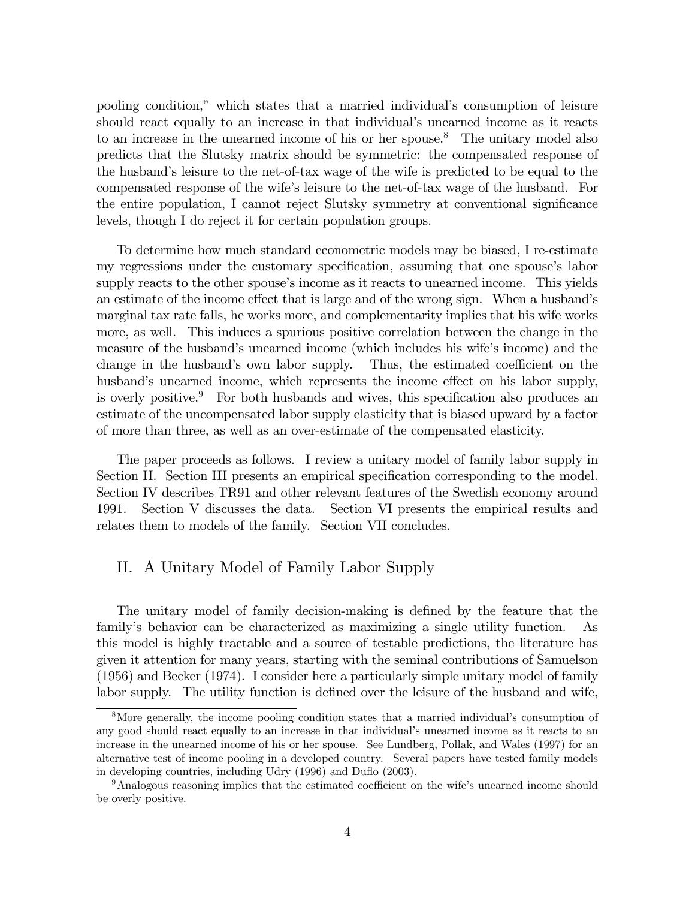pooling condition," which states that a married individual's consumption of leisure should react equally to an increase in that individual's unearned income as it reacts to an increase in the unearned income of his or her spouse.<sup>8</sup> The unitary model also predicts that the Slutsky matrix should be symmetric: the compensated response of the husbandís leisure to the net-of-tax wage of the wife is predicted to be equal to the compensated response of the wifeís leisure to the net-of-tax wage of the husband. For the entire population, I cannot reject Slutsky symmetry at conventional significance levels, though I do reject it for certain population groups.

To determine how much standard econometric models may be biased, I re-estimate my regressions under the customary specification, assuming that one spouse's labor supply reacts to the other spouse's income as it reacts to unearned income. This yields an estimate of the income effect that is large and of the wrong sign. When a husband's marginal tax rate falls, he works more, and complementarity implies that his wife works more, as well. This induces a spurious positive correlation between the change in the measure of the husband's unearned income (which includes his wife's income) and the change in the husband's own labor supply. Thus, the estimated coefficient on the husband's unearned income, which represents the income effect on his labor supply, is overly positive.<sup>9</sup> For both husbands and wives, this specification also produces an estimate of the uncompensated labor supply elasticity that is biased upward by a factor of more than three, as well as an over-estimate of the compensated elasticity.

The paper proceeds as follows. I review a unitary model of family labor supply in Section II. Section III presents an empirical specification corresponding to the model. Section IV describes TR91 and other relevant features of the Swedish economy around 1991. Section V discusses the data. Section VI presents the empirical results and relates them to models of the family. Section VII concludes.

# II. A Unitary Model of Family Labor Supply

The unitary model of family decision-making is defined by the feature that the familyís behavior can be characterized as maximizing a single utility function. As this model is highly tractable and a source of testable predictions, the literature has given it attention for many years, starting with the seminal contributions of Samuelson (1956) and Becker (1974). I consider here a particularly simple unitary model of family labor supply. The utility function is defined over the leisure of the husband and wife,

<sup>&</sup>lt;sup>8</sup>More generally, the income pooling condition states that a married individual's consumption of any good should react equally to an increase in that individual's unearned income as it reacts to an increase in the unearned income of his or her spouse. See Lundberg, Pollak, and Wales (1997) for an alternative test of income pooling in a developed country. Several papers have tested family models in developing countries, including Udry (1996) and Duflo (2003).

<sup>&</sup>lt;sup>9</sup>Analogous reasoning implies that the estimated coefficient on the wife's unearned income should be overly positive.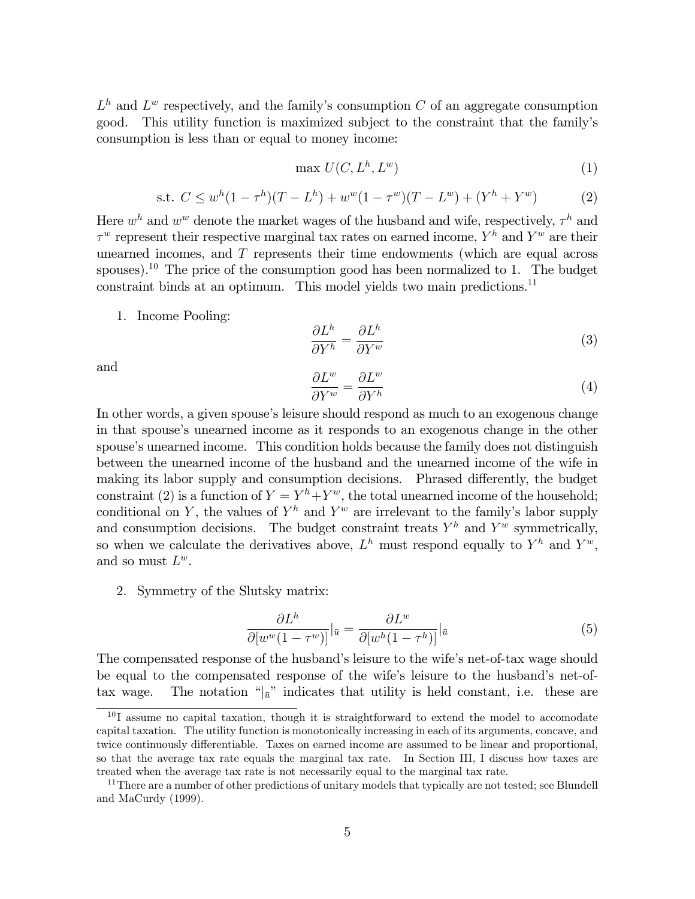$L<sup>h</sup>$  and  $L<sup>w</sup>$  respectively, and the family's consumption C of an aggregate consumption good. This utility function is maximized subject to the constraint that the familyís consumption is less than or equal to money income:

$$
\max U(C, L^h, L^w) \tag{1}
$$

s.t. 
$$
C \leq w^{h}(1 - \tau^{h})(T - L^{h}) + w^{w}(1 - \tau^{w})(T - L^{w}) + (Y^{h} + Y^{w})
$$
 (2)

Here  $w^h$  and  $w^w$  denote the market wages of the husband and wife, respectively,  $\tau^h$  and  $\tau^w$  represent their respective marginal tax rates on earned income,  $Y^h$  and  $Y^w$  are their unearned incomes, and  $T$  represents their time endowments (which are equal across spouses).<sup>10</sup> The price of the consumption good has been normalized to 1. The budget constraint binds at an optimum. This model yields two main predictions.<sup>11</sup>

1. Income Pooling:

$$
\frac{\partial L^h}{\partial Y^h} = \frac{\partial L^h}{\partial Y^w} \tag{3}
$$

and

$$
\frac{\partial L^w}{\partial Y^w} = \frac{\partial L^w}{\partial Y^h} \tag{4}
$$

In other words, a given spouse's leisure should respond as much to an exogenous change in that spouse's unearned income as it responds to an exogenous change in the other spouse's unearned income. This condition holds because the family does not distinguish between the unearned income of the husband and the unearned income of the wife in making its labor supply and consumption decisions. Phrased differently, the budget constraint (2) is a function of  $Y = Y^h + Y^w$ , the total unearned income of the household; conditional on Y, the values of  $Y^h$  and  $Y^w$  are irrelevant to the family's labor supply and consumption decisions. The budget constraint treats  $Y^h$  and  $Y^w$  symmetrically, so when we calculate the derivatives above,  $L^h$  must respond equally to  $Y^h$  and  $Y^w$ , and so must  $L^w$ .

2. Symmetry of the Slutsky matrix:

$$
\frac{\partial L^h}{\partial [w^w(1-\tau^w)]}|_{\bar{u}} = \frac{\partial L^w}{\partial [w^h(1-\tau^h)]}|_{\bar{u}}\tag{5}
$$

The compensated response of the husband's leisure to the wife's net-of-tax wage should be equal to the compensated response of the wife's leisure to the husband's net-oftax wage. The notation  $\binom{a}{n}$  indicates that utility is held constant, i.e. these are

 $10$  I assume no capital taxation, though it is straightforward to extend the model to accomodate capital taxation. The utility function is monotonically increasing in each of its arguments, concave, and twice continuously differentiable. Taxes on earned income are assumed to be linear and proportional, so that the average tax rate equals the marginal tax rate. In Section III, I discuss how taxes are treated when the average tax rate is not necessarily equal to the marginal tax rate.

<sup>&</sup>lt;sup>11</sup>There are a number of other predictions of unitary models that typically are not tested; see Blundell and MaCurdy (1999).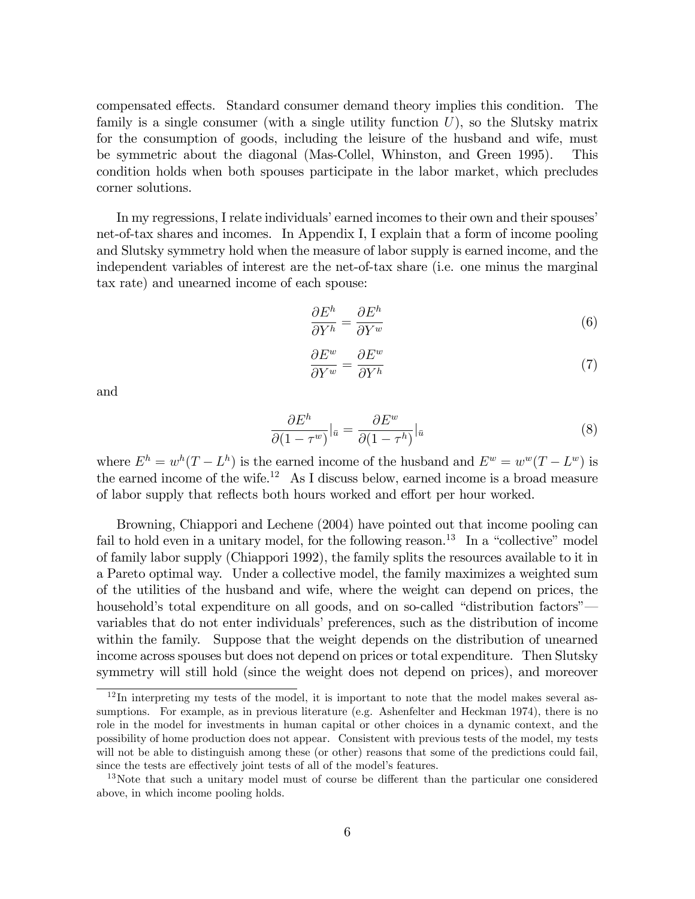compensated effects. Standard consumer demand theory implies this condition. The family is a single consumer (with a single utility function  $U$ ), so the Slutsky matrix for the consumption of goods, including the leisure of the husband and wife, must be symmetric about the diagonal (Mas-Collel, Whinston, and Green 1995). This condition holds when both spouses participate in the labor market, which precludes corner solutions.

In my regressions, I relate individuals' earned incomes to their own and their spouses' net-of-tax shares and incomes. In Appendix I, I explain that a form of income pooling and Slutsky symmetry hold when the measure of labor supply is earned income, and the independent variables of interest are the net-of-tax share (i.e. one minus the marginal tax rate) and unearned income of each spouse:

$$
\frac{\partial E^h}{\partial Y^h} = \frac{\partial E^h}{\partial Y^w} \tag{6}
$$

$$
\frac{\partial E^w}{\partial Y^w} = \frac{\partial E^w}{\partial Y^h} \tag{7}
$$

and

$$
\frac{\partial E^h}{\partial (1 - \tau^w)}|_{\bar{u}} = \frac{\partial E^w}{\partial (1 - \tau^h)}|_{\bar{u}}
$$
\n(8)

where  $E^h = w^h(T - L^h)$  is the earned income of the husband and  $E^w = w^w(T - L^w)$  is the earned income of the wife.<sup>12</sup> As I discuss below, earned income is a broad measure of labor supply that reflects both hours worked and effort per hour worked.

Browning, Chiappori and Lechene (2004) have pointed out that income pooling can fail to hold even in a unitary model, for the following reason.<sup>13</sup> In a "collective" model of family labor supply (Chiappori 1992), the family splits the resources available to it in a Pareto optimal way. Under a collective model, the family maximizes a weighted sum of the utilities of the husband and wife, where the weight can depend on prices, the household's total expenditure on all goods, and on so-called "distribution factors" variables that do not enter individuals' preferences, such as the distribution of income within the family. Suppose that the weight depends on the distribution of unearned income across spouses but does not depend on prices or total expenditure. Then Slutsky symmetry will still hold (since the weight does not depend on prices), and moreover

 $12$ In interpreting my tests of the model, it is important to note that the model makes several assumptions. For example, as in previous literature (e.g. Ashenfelter and Heckman 1974), there is no role in the model for investments in human capital or other choices in a dynamic context, and the possibility of home production does not appear. Consistent with previous tests of the model, my tests will not be able to distinguish among these (or other) reasons that some of the predictions could fail, since the tests are effectively joint tests of all of the model's features.

<sup>&</sup>lt;sup>13</sup>Note that such a unitary model must of course be different than the particular one considered above, in which income pooling holds.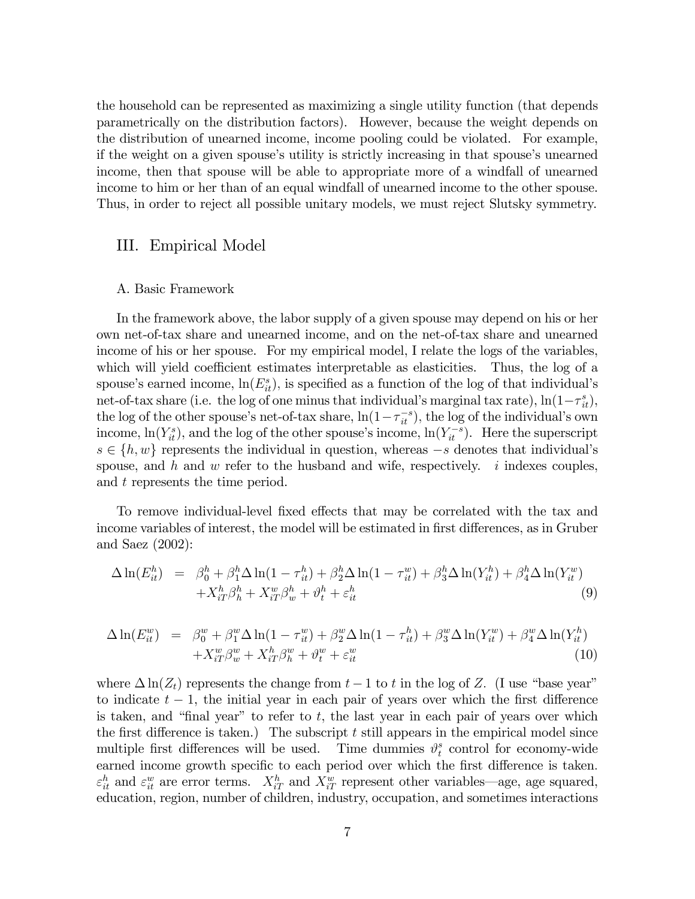the household can be represented as maximizing a single utility function (that depends parametrically on the distribution factors). However, because the weight depends on the distribution of unearned income, income pooling could be violated. For example, if the weight on a given spouse's utility is strictly increasing in that spouse's unearned income, then that spouse will be able to appropriate more of a windfall of unearned income to him or her than of an equal windfall of unearned income to the other spouse. Thus, in order to reject all possible unitary models, we must reject Slutsky symmetry.

## III. Empirical Model

#### A. Basic Framework

In the framework above, the labor supply of a given spouse may depend on his or her own net-of-tax share and unearned income, and on the net-of-tax share and unearned income of his or her spouse. For my empirical model, I relate the logs of the variables, which will yield coefficient estimates interpretable as elasticities. Thus, the log of a spouse's earned income,  $\ln(E_{it}^s)$ , is specified as a function of the log of that individual's net-of-tax share (i.e. the log of one minus that individual's marginal tax rate),  $\ln(1-\tau_{it}^s)$ , the log of the other spouse's net-of-tax share,  $\ln(1 - \tau_{it}^{-s})$ , the log of the individual's own income,  $\ln(Y_{it}^s)$ , and the log of the other spouse's income,  $\ln(Y_{it}^{-s})$ . Here the superscript  $s \in \{h, w\}$  represents the individual in question, whereas  $-s$  denotes that individual's spouse, and h and w refer to the husband and wife, respectively. i indexes couples, and t represents the time period.

To remove individual-level fixed effects that may be correlated with the tax and income variables of interest, the model will be estimated in first differences, as in Gruber and Saez (2002):

$$
\Delta \ln(E_{it}^h) = \beta_0^h + \beta_1^h \Delta \ln(1 - \tau_{it}^h) + \beta_2^h \Delta \ln(1 - \tau_{it}^w) + \beta_3^h \Delta \ln(Y_{it}^h) + \beta_4^h \Delta \ln(Y_{it}^w) + X_{iT}^h \beta_h^h + X_{iT}^w \beta_w^h + \vartheta_t^h + \varepsilon_{it}^h
$$
\n(9)

$$
\Delta \ln(E_{it}^w) = \beta_0^w + \beta_1^w \Delta \ln(1 - \tau_{it}^w) + \beta_2^w \Delta \ln(1 - \tau_{it}^h) + \beta_3^w \Delta \ln(Y_{it}^w) + \beta_4^w \Delta \ln(Y_{it}^h) + X_{iT}^w \beta_w^w + X_{iT}^h \beta_h^w + \vartheta_t^w + \varepsilon_{it}^w \tag{10}
$$

where  $\Delta \ln(Z_t)$  represents the change from  $t - 1$  to t in the log of Z. (I use "base year" to indicate  $t - 1$ , the initial year in each pair of years over which the first difference is taken, and "final year" to refer to t, the last year in each pair of years over which the first difference is taken.) The subscript  $t$  still appears in the empirical model since multiple first differences will be used. Time dummies  $\vartheta_t^s$  $t \nvert$  control for economy-wide earned income growth specific to each period over which the first difference is taken.  $\varepsilon_{it}^h$  and  $\varepsilon_{it}^w$  are error terms.  $X_{iT}^h$  and  $X_{iT}^w$  represent other variables—age, age squared, education, region, number of children, industry, occupation, and sometimes interactions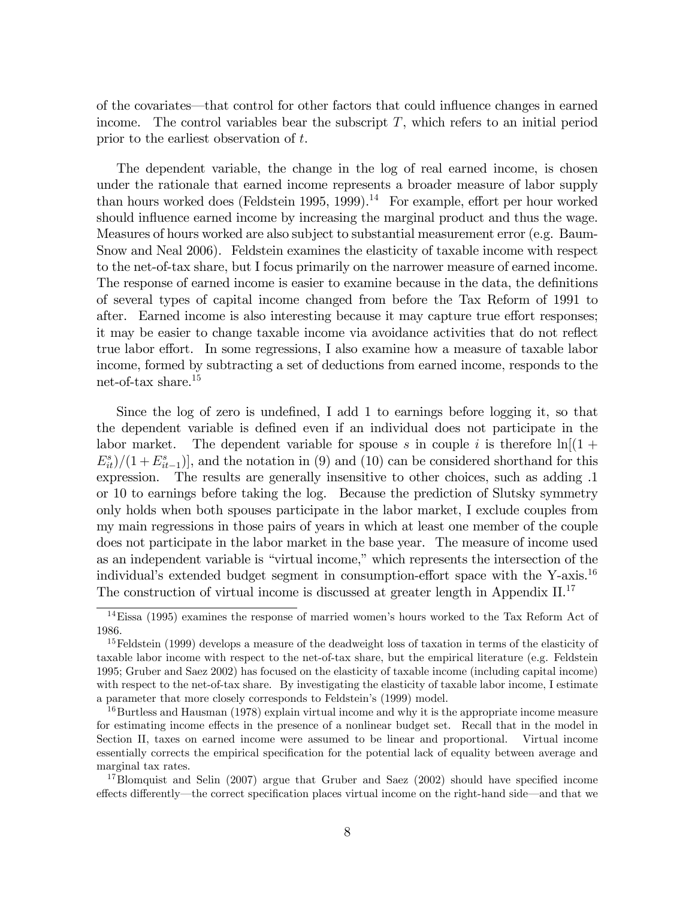of the covariates—that control for other factors that could influence changes in earned income. The control variables bear the subscript  $T$ , which refers to an initial period prior to the earliest observation of t.

The dependent variable, the change in the log of real earned income, is chosen under the rationale that earned income represents a broader measure of labor supply than hours worked does (Feldstein 1995, 1999).<sup>14</sup> For example, effort per hour worked should influence earned income by increasing the marginal product and thus the wage. Measures of hours worked are also subject to substantial measurement error (e.g. Baum-Snow and Neal 2006). Feldstein examines the elasticity of taxable income with respect to the net-of-tax share, but I focus primarily on the narrower measure of earned income. The response of earned income is easier to examine because in the data, the definitions of several types of capital income changed from before the Tax Reform of 1991 to after. Earned income is also interesting because it may capture true effort responses; it may be easier to change taxable income via avoidance activities that do not reflect true labor effort. In some regressions, I also examine how a measure of taxable labor income, formed by subtracting a set of deductions from earned income, responds to the net-of-tax share.<sup>15</sup>

Since the log of zero is undefined, I add 1 to earnings before logging it, so that the dependent variable is defined even if an individual does not participate in the labor market. The dependent variable for spouse s in couple i is therefore  $\ln[(1 +$  $E_{it}^{s}/(1 + E_{it-1}^{s})$ , and the notation in (9) and (10) can be considered shorthand for this expression. The results are generally insensitive to other choices, such as adding .1 or 10 to earnings before taking the log. Because the prediction of Slutsky symmetry only holds when both spouses participate in the labor market, I exclude couples from my main regressions in those pairs of years in which at least one member of the couple does not participate in the labor market in the base year. The measure of income used as an independent variable is "virtual income," which represents the intersection of the individual's extended budget segment in consumption-effort space with the Y-axis.<sup>16</sup> The construction of virtual income is discussed at greater length in Appendix II.<sup>17</sup>

 $14$ Eissa (1995) examines the response of married women's hours worked to the Tax Reform Act of 1986.

<sup>&</sup>lt;sup>15</sup>Feldstein (1999) develops a measure of the deadweight loss of taxation in terms of the elasticity of taxable labor income with respect to the net-of-tax share, but the empirical literature (e.g. Feldstein 1995; Gruber and Saez 2002) has focused on the elasticity of taxable income (including capital income) with respect to the net-of-tax share. By investigating the elasticity of taxable labor income, I estimate a parameter that more closely corresponds to Feldstein's (1999) model.

<sup>&</sup>lt;sup>16</sup>Burtless and Hausman (1978) explain virtual income and why it is the appropriate income measure for estimating income effects in the presence of a nonlinear budget set. Recall that in the model in Section II, taxes on earned income were assumed to be linear and proportional. Virtual income essentially corrects the empirical specification for the potential lack of equality between average and marginal tax rates.

<sup>&</sup>lt;sup>17</sup>Blomquist and Selin (2007) argue that Gruber and Saez (2002) should have specified income effects differently—the correct specification places virtual income on the right-hand side—and that we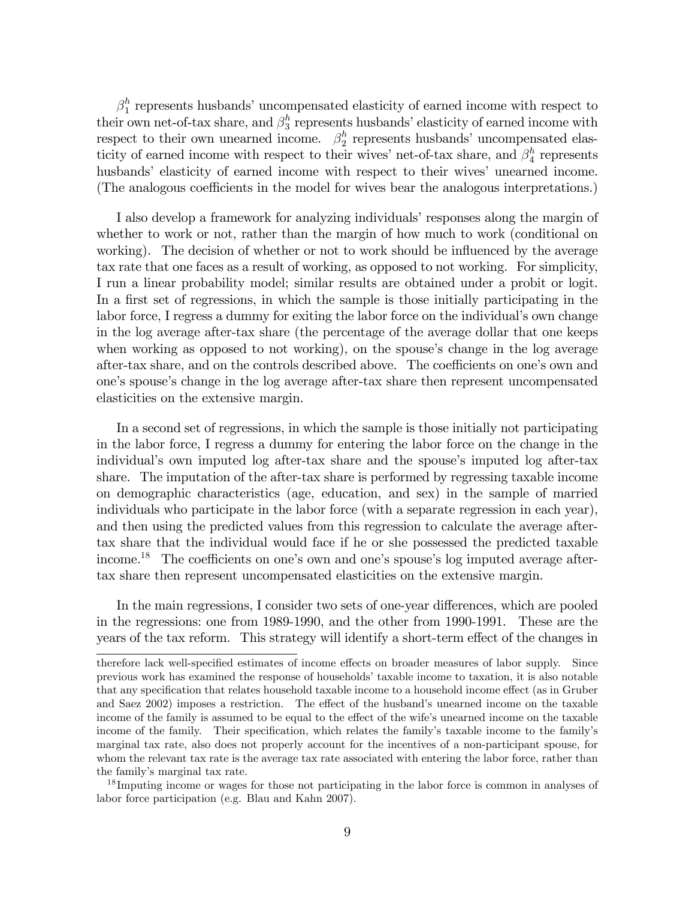$\beta_1^h$  $n_1$ <sup>h</sup> represents husbands' uncompensated elasticity of earned income with respect to their own net-of-tax share, and  $\beta_3^h$  $\frac{h}{3}$  represents husbands' elasticity of earned income with respect to their own unearned income.  $\beta_2^h$  $n<sub>2</sub>$  represents husbands' uncompensated elasticity of earned income with respect to their wives' net-of-tax share, and  $\beta_4^h$  $\frac{h}{4}$  represents husbands' elasticity of earned income with respect to their wives' unearned income. (The analogous coefficients in the model for wives bear the analogous interpretations.)

I also develop a framework for analyzing individuals' responses along the margin of whether to work or not, rather than the margin of how much to work (conditional on working). The decision of whether or not to work should be influenced by the average tax rate that one faces as a result of working, as opposed to not working. For simplicity, I run a linear probability model; similar results are obtained under a probit or logit. In a first set of regressions, in which the sample is those initially participating in the labor force, I regress a dummy for exiting the labor force on the individual's own change in the log average after-tax share (the percentage of the average dollar that one keeps when working as opposed to not working), on the spouse's change in the log average after-tax share, and on the controls described above. The coefficients on one's own and oneís spouseís change in the log average after-tax share then represent uncompensated elasticities on the extensive margin.

In a second set of regressions, in which the sample is those initially not participating in the labor force, I regress a dummy for entering the labor force on the change in the individual's own imputed log after-tax share and the spouse's imputed log after-tax share. The imputation of the after-tax share is performed by regressing taxable income on demographic characteristics (age, education, and sex) in the sample of married individuals who participate in the labor force (with a separate regression in each year), and then using the predicted values from this regression to calculate the average aftertax share that the individual would face if he or she possessed the predicted taxable income.<sup>18</sup> The coefficients on one's own and one's spouse's log imputed average aftertax share then represent uncompensated elasticities on the extensive margin.

In the main regressions, I consider two sets of one-year differences, which are pooled in the regressions: one from 1989-1990, and the other from 1990-1991. These are the years of the tax reform. This strategy will identify a short-term effect of the changes in

<sup>18</sup> Imputing income or wages for those not participating in the labor force is common in analyses of labor force participation (e.g. Blau and Kahn 2007).

therefore lack well-specified estimates of income effects on broader measures of labor supply. Since previous work has examined the response of householdsítaxable income to taxation, it is also notable that any specification that relates household taxable income to a household income effect (as in Gruber and Saez 2002) imposes a restriction. The effect of the husband's unearned income on the taxable income of the family is assumed to be equal to the effect of the wife's unearned income on the taxable income of the family. Their specification, which relates the family's taxable income to the family's marginal tax rate, also does not properly account for the incentives of a non-participant spouse, for whom the relevant tax rate is the average tax rate associated with entering the labor force, rather than the familyís marginal tax rate.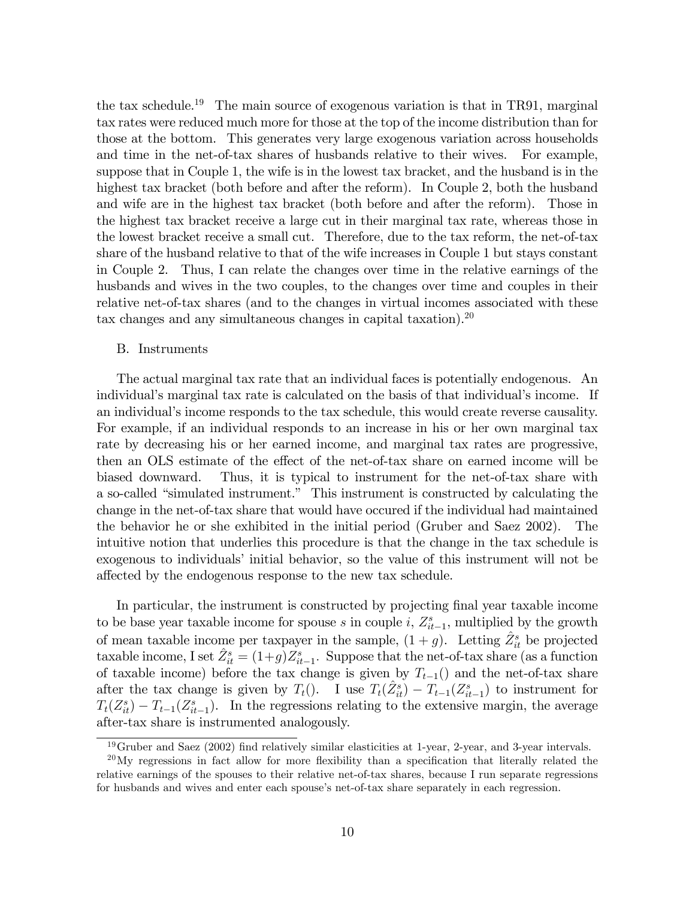the tax schedule.<sup>19</sup> The main source of exogenous variation is that in TR91, marginal tax rates were reduced much more for those at the top of the income distribution than for those at the bottom. This generates very large exogenous variation across households and time in the net-of-tax shares of husbands relative to their wives. For example, suppose that in Couple 1, the wife is in the lowest tax bracket, and the husband is in the highest tax bracket (both before and after the reform). In Couple 2, both the husband and wife are in the highest tax bracket (both before and after the reform). Those in the highest tax bracket receive a large cut in their marginal tax rate, whereas those in the lowest bracket receive a small cut. Therefore, due to the tax reform, the net-of-tax share of the husband relative to that of the wife increases in Couple 1 but stays constant in Couple 2. Thus, I can relate the changes over time in the relative earnings of the husbands and wives in the two couples, to the changes over time and couples in their relative net-of-tax shares (and to the changes in virtual incomes associated with these tax changes and any simultaneous changes in capital taxation).<sup>20</sup>

#### B. Instruments

The actual marginal tax rate that an individual faces is potentially endogenous. An individual's marginal tax rate is calculated on the basis of that individual's income. If an individual's income responds to the tax schedule, this would create reverse causality. For example, if an individual responds to an increase in his or her own marginal tax rate by decreasing his or her earned income, and marginal tax rates are progressive, then an OLS estimate of the effect of the net-of-tax share on earned income will be biased downward. Thus, it is typical to instrument for the net-of-tax share with a so-called "simulated instrument." This instrument is constructed by calculating the change in the net-of-tax share that would have occured if the individual had maintained the behavior he or she exhibited in the initial period (Gruber and Saez 2002). The intuitive notion that underlies this procedure is that the change in the tax schedule is exogenous to individuals' initial behavior, so the value of this instrument will not be affected by the endogenous response to the new tax schedule.

In particular, the instrument is constructed by projecting final year taxable income to be base year taxable income for spouse s in couple i,  $Z_{it-1}^s$ , multiplied by the growth of mean taxable income per taxpayer in the sample,  $(1 + g)$ . Letting  $\hat{Z}_{it}^s$  be projected taxable income, I set  $\hat{Z}^s_{it} = (1+g)Z^s_{it-1}$ . Suppose that the net-of-tax share (as a function of taxable income) before the tax change is given by  $T_{t-1}$ () and the net-of-tax share after the tax change is given by  $T_t()$ . I use  $T_t(\hat{Z}^s_{it}) - T_{t-1}(Z^s_{it-1})$  to instrument for  $T_t(Z_{it}^s) - T_{t-1}(Z_{it-1}^s)$ . In the regressions relating to the extensive margin, the average after-tax share is instrumented analogously.

 $19$ Gruber and Saez (2002) find relatively similar elasticities at 1-year, 2-year, and 3-year intervals.

 $^{20}$ My regressions in fact allow for more flexibility than a specification that literally related the relative earnings of the spouses to their relative net-of-tax shares, because I run separate regressions for husbands and wives and enter each spouse's net-of-tax share separately in each regression.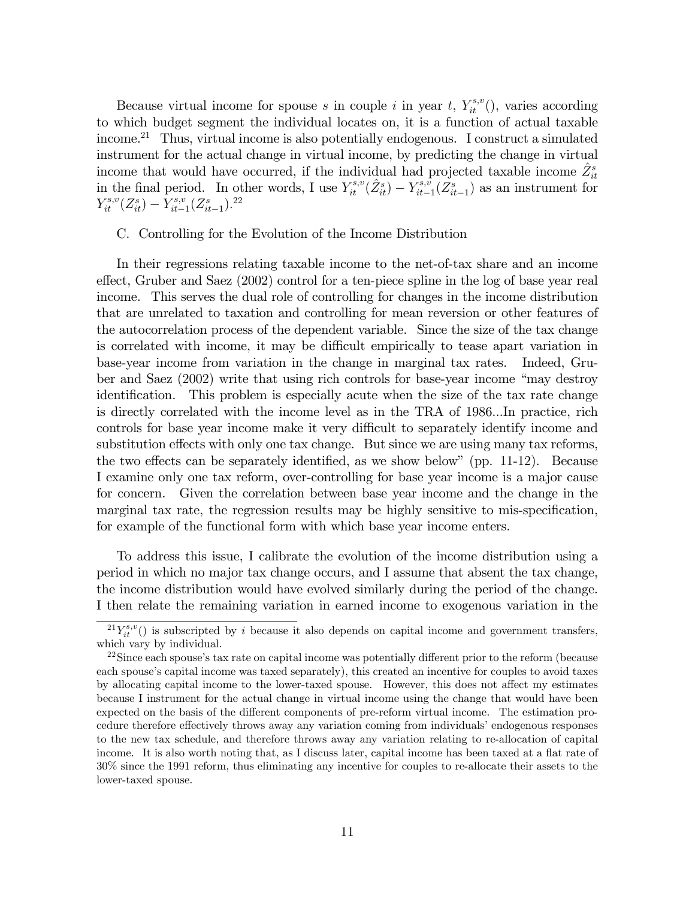Because virtual income for spouse s in couple i in year t,  $Y_{it}^{s,v}$  (), varies according to which budget segment the individual locates on, it is a function of actual taxable income.<sup>21</sup> Thus, virtual income is also potentially endogenous. I construct a simulated instrument for the actual change in virtual income, by predicting the change in virtual income that would have occurred, if the individual had projected taxable income  $\hat{Z}_{it}^s$ in the final period. In other words, I use  $Y_{it}^{s,v}(\hat{Z}_{it}^s) - Y_{it-}^{s,v}$  $\sum_{it=1}^{s,v}(Z_{it-1}^s)$  as an instrument for  $Y_{it}^{s,v}(Z_{it}^s) - Y_{it-}^{s,v}$  $\chi_{it-1}^{s,v}(Z_{it-1}^s).^{22}$ 

#### C. Controlling for the Evolution of the Income Distribution

In their regressions relating taxable income to the net-of-tax share and an income effect, Gruber and Saez (2002) control for a ten-piece spline in the log of base year real income. This serves the dual role of controlling for changes in the income distribution that are unrelated to taxation and controlling for mean reversion or other features of the autocorrelation process of the dependent variable. Since the size of the tax change is correlated with income, it may be difficult empirically to tease apart variation in base-year income from variation in the change in marginal tax rates. Indeed, Gruber and Saez  $(2002)$  write that using rich controls for base-year income "may destroy" identification. This problem is especially acute when the size of the tax rate change is directly correlated with the income level as in the TRA of 1986...In practice, rich controls for base year income make it very difficult to separately identify income and substitution effects with only one tax change. But since we are using many tax reforms, the two effects can be separately identified, as we show below" (pp.  $11-12$ ). Because I examine only one tax reform, over-controlling for base year income is a major cause for concern. Given the correlation between base year income and the change in the marginal tax rate, the regression results may be highly sensitive to mis-specification, for example of the functional form with which base year income enters.

To address this issue, I calibrate the evolution of the income distribution using a period in which no major tax change occurs, and I assume that absent the tax change, the income distribution would have evolved similarly during the period of the change. I then relate the remaining variation in earned income to exogenous variation in the

 ${}^{21}Y_{it}^{s,v}()$  is subscripted by i because it also depends on capital income and government transfers, which vary by individual.

 $22$ Since each spouse's tax rate on capital income was potentially different prior to the reform (because each spouse's capital income was taxed separately), this created an incentive for couples to avoid taxes by allocating capital income to the lower-taxed spouse. However, this does not affect my estimates because I instrument for the actual change in virtual income using the change that would have been expected on the basis of the different components of pre-reform virtual income. The estimation procedure therefore effectively throws away any variation coming from individuals' endogenous responses to the new tax schedule, and therefore throws away any variation relating to re-allocation of capital income. It is also worth noting that, as I discuss later, capital income has been taxed at a flat rate of 30% since the 1991 reform, thus eliminating any incentive for couples to re-allocate their assets to the lower-taxed spouse.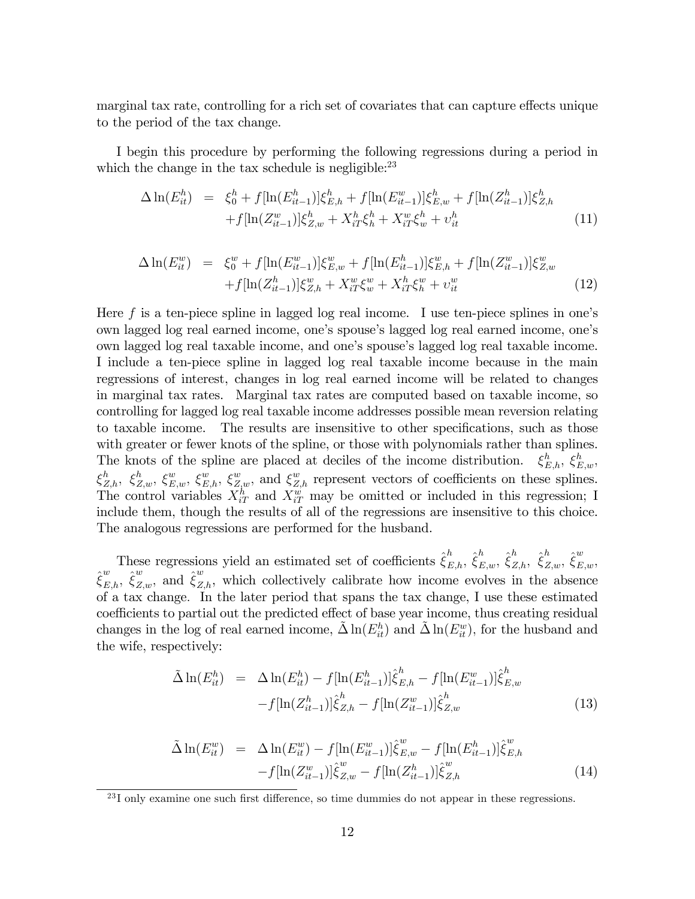marginal tax rate, controlling for a rich set of covariates that can capture effects unique to the period of the tax change.

I begin this procedure by performing the following regressions during a period in which the change in the tax schedule is negligible: $^{23}$ 

$$
\Delta \ln(E_{it}^h) = \xi_0^h + f[\ln(E_{it-1}^h)]\xi_{E,h}^h + f[\ln(E_{it-1}^w)]\xi_{E,w}^h + f[\ln(Z_{it-1}^h)]\xi_{Z,h}^h
$$
  
+ 
$$
f[\ln(Z_{it-1}^w)]\xi_{Z,w}^h + X_{iT}^h \xi_h^h + X_{iT}^w \xi_w^h + v_{it}^h
$$
 (11)

$$
\Delta \ln(E_{it}^{w}) = \xi_{0}^{w} + f[\ln(E_{it-1}^{w})] \xi_{E,w}^{w} + f[\ln(E_{it-1}^{h})] \xi_{E,h}^{w} + f[\ln(Z_{it-1}^{w})] \xi_{Z,w}^{w} \n+ f[\ln(Z_{it-1}^{h})] \xi_{Z,h}^{w} + X_{iT}^{w} \xi_{w}^{w} + X_{iT}^{h} \xi_{h}^{w} + \upsilon_{it}^{w}
$$
\n(12)

Here f is a ten-piece spline in lagged log real income. I use ten-piece splines in one's own lagged log real earned income, one's spouse's lagged log real earned income, one's own lagged log real taxable income, and oneís spouseís lagged log real taxable income. I include a ten-piece spline in lagged log real taxable income because in the main regressions of interest, changes in log real earned income will be related to changes in marginal tax rates. Marginal tax rates are computed based on taxable income, so controlling for lagged log real taxable income addresses possible mean reversion relating to taxable income. The results are insensitive to other specifications, such as those with greater or fewer knots of the spline, or those with polynomials rather than splines. The knots of the spline are placed at deciles of the income distribution.  $_{E,h}^h$ ,  $\xi_{E,w}^h$ ,  $\xi_{Z,h}^h$ ,  $\xi_{Z,w}^h$ ,  $\xi_{E,w}^w$ ,  $\xi_{Z,h}^w$ ,  $\xi_{Z,w}^w$ , and  $\xi_{Z,h}^w$  represent vectors of coefficients on these splines. The control variables  $X_{iT}^h$  and  $X_{iT}^w$  may be omitted or included in this regression; I include them, though the results of all of the regressions are insensitive to this choice. The analogous regressions are performed for the husband.

These regressions yield an estimated set of coefficients  $\hat{\xi}^h_{E,h}, \hat{\xi}^h_{E,w}, \hat{\xi}^h_{Z,h}, \hat{\xi}^h_{Z,w}, \hat{\xi}^w_{E,w}$  $\hat{\xi}^w_{E,h}, \hat{\xi}^w_{Z,w}$ , and  $\hat{\xi}^w_{Z,h}$ , which collectively calibrate how income evolves in the absence of a tax change: In the later period that spans the tax change, I use these estimated coefficients to partial out the predicted effect of base year income, thus creating residual changes in the log of real earned income,  $\tilde{\Delta} \ln(E_{it}^h)$  and  $\tilde{\Delta} \ln(E_{it}^w)$ , for the husband and the wife, respectively:

$$
\tilde{\Delta} \ln(E_{it}^h) = \Delta \ln(E_{it}^h) - f[\ln(E_{it-1}^h)] \hat{\xi}_{E,h}^h - f[\ln(E_{it-1}^w)] \hat{\xi}_{E,w}^h \n- f[\ln(Z_{it-1}^h)] \hat{\xi}_{Z,h}^h - f[\ln(Z_{it-1}^w)] \hat{\xi}_{Z,w}^h
$$
\n(13)

$$
\tilde{\Delta} \ln(E_{it}^w) = \Delta \ln(E_{it}^w) - f[\ln(E_{it-1}^w)] \hat{\xi}_{E,w}^w - f[\ln(E_{it-1}^h)] \hat{\xi}_{E,h}^w \n- f[\ln(Z_{it-1}^w)] \hat{\xi}_{Z,w}^w - f[\ln(Z_{it-1}^h)] \hat{\xi}_{Z,h}^w
$$
\n(14)

 $23$ I only examine one such first difference, so time dummies do not appear in these regressions.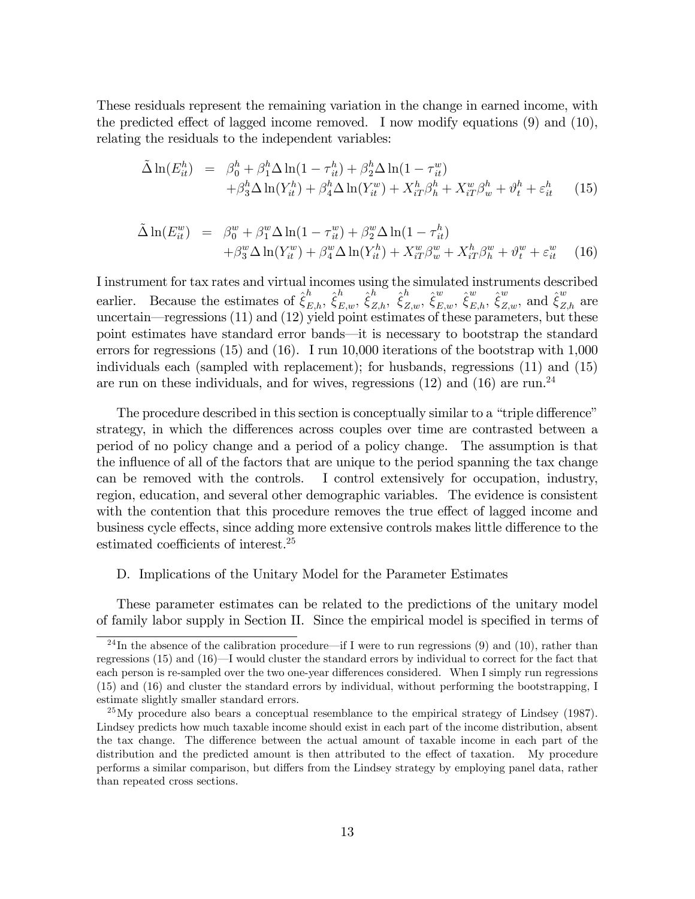These residuals represent the remaining variation in the change in earned income, with the predicted effect of lagged income removed. I now modify equations  $(9)$  and  $(10)$ , relating the residuals to the independent variables:

$$
\tilde{\Delta} \ln(E_{it}^h) = \beta_0^h + \beta_1^h \Delta \ln(1 - \tau_{it}^h) + \beta_2^h \Delta \ln(1 - \tau_{it}^w) \n+ \beta_3^h \Delta \ln(Y_{it}^h) + \beta_4^h \Delta \ln(Y_{it}^w) + X_{iT}^h \beta_h^h + X_{iT}^w \beta_w^h + \vartheta_t^h + \varepsilon_{it}^h
$$
\n(15)

$$
\tilde{\Delta} \ln(E_{it}^w) = \beta_0^w + \beta_1^w \Delta \ln(1 - \tau_{it}^w) + \beta_2^w \Delta \ln(1 - \tau_{it}^h) \n+ \beta_3^w \Delta \ln(Y_{it}^w) + \beta_4^w \Delta \ln(Y_{it}^h) + X_{iT}^w \beta_w^w + X_{iT}^h \beta_h^w + \vartheta_t^w + \varepsilon_{it}^w
$$
\n(16)

I instrument for tax rates and virtual incomes using the simulated instruments described earlier. Because the estimates of  $\hat{\xi}^h_{E,h}$ ,  $\hat{\xi}^h_{E,w}$ ,  $\hat{\xi}^h_{Z,h}$ ,  $\hat{\xi}^v_{Z,w}$ ,  $\hat{\xi}^w_{E,w}$ ,  $\hat{\xi}^w_{E,h}$ ,  $\hat{\xi}^w_{Z,w}$ , and  $\hat{\xi}^w_{Z,h}$  are uncertain—regressions  $(11)$  and  $(12)$  yield point estimates of these parameters, but these point estimates have standard error bands—it is necessary to bootstrap the standard errors for regressions (15) and (16). I run 10,000 iterations of the bootstrap with 1,000 individuals each (sampled with replacement); for husbands, regressions (11) and (15) are run on these individuals, and for wives, regressions (12) and (16) are run.<sup>24</sup>

The procedure described in this section is conceptually similar to a "triple difference" strategy, in which the differences across couples over time are contrasted between a period of no policy change and a period of a policy change. The assumption is that the influence of all of the factors that are unique to the period spanning the tax change can be removed with the controls. I control extensively for occupation, industry, region, education, and several other demographic variables. The evidence is consistent with the contention that this procedure removes the true effect of lagged income and business cycle effects, since adding more extensive controls makes little difference to the estimated coefficients of interest. $25$ 

#### D. Implications of the Unitary Model for the Parameter Estimates

These parameter estimates can be related to the predictions of the unitary model of family labor supply in Section II. Since the empirical model is specified in terms of

<sup>&</sup>lt;sup>24</sup>In the absence of the calibration procedure—if I were to run regressions (9) and (10), rather than regressions  $(15)$  and  $(16)$ —I would cluster the standard errors by individual to correct for the fact that each person is re-sampled over the two one-year differences considered. When I simply run regressions (15) and (16) and cluster the standard errors by individual, without performing the bootstrapping, I estimate slightly smaller standard errors.

 $^{25}$ My procedure also bears a conceptual resemblance to the empirical strategy of Lindsey (1987). Lindsey predicts how much taxable income should exist in each part of the income distribution, absent the tax change. The difference between the actual amount of taxable income in each part of the distribution and the predicted amount is then attributed to the effect of taxation. My procedure performs a similar comparison, but differs from the Lindsey strategy by employing panel data, rather than repeated cross sections.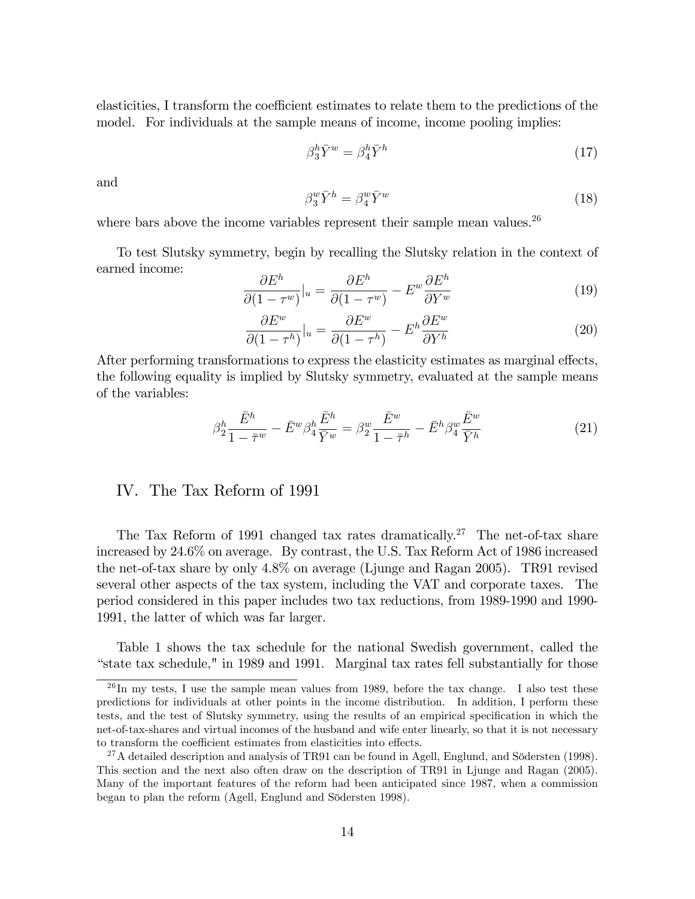elasticities, I transform the coefficient estimates to relate them to the predictions of the model. For individuals at the sample means of income, income pooling implies:

$$
\beta_3^h \bar{Y}^w = \beta_4^h \bar{Y}^h \tag{17}
$$

and

$$
\beta_3^w \bar{Y}^h = \beta_4^w \bar{Y}^w \tag{18}
$$

where bars above the income variables represent their sample mean values. $26$ 

To test Slutsky symmetry, begin by recalling the Slutsky relation in the context of earned income:

$$
\frac{\partial E^h}{\partial (1 - \tau^w)}\Big|_{u} = \frac{\partial E^h}{\partial (1 - \tau^w)} - E^w \frac{\partial E^h}{\partial Y^w}
$$
(19)

$$
\frac{\partial E^w}{\partial (1 - \tau^h)}\Big|_u = \frac{\partial E^w}{\partial (1 - \tau^h)} - E^h \frac{\partial E^w}{\partial Y^h}
$$
\n(20)

After performing transformations to express the elasticity estimates as marginal effects, the following equality is implied by Slutsky symmetry, evaluated at the sample means of the variables:

$$
\beta_2^h \frac{\bar{E}^h}{1 - \bar{\tau}^w} - \bar{E}^w \beta_4^h \frac{\bar{E}^h}{\bar{Y}^w} = \beta_2^w \frac{\bar{E}^w}{1 - \bar{\tau}^h} - \bar{E}^h \beta_4^w \frac{\bar{E}^w}{\bar{Y}^h}
$$
(21)

## IV. The Tax Reform of 1991

The Tax Reform of 1991 changed tax rates dramatically.<sup>27</sup> The net-of-tax share increased by 24.6% on average. By contrast, the U.S. Tax Reform Act of 1986 increased the net-of-tax share by only 4.8% on average (Ljunge and Ragan 2005). TR91 revised several other aspects of the tax system, including the VAT and corporate taxes. The period considered in this paper includes two tax reductions, from 1989-1990 and 1990- 1991, the latter of which was far larger.

Table 1 shows the tax schedule for the national Swedish government, called the ìstate tax schedule," in 1989 and 1991. Marginal tax rates fell substantially for those

 $^{26}$ In my tests, I use the sample mean values from 1989, before the tax change. I also test these predictions for individuals at other points in the income distribution. In addition, I perform these tests, and the test of Slutsky symmetry, using the results of an empirical specification in which the net-of-tax-shares and virtual incomes of the husband and wife enter linearly, so that it is not necessary to transform the coefficient estimates from elasticities into effects.

<sup>&</sup>lt;sup>27</sup>A detailed description and analysis of TR91 can be found in Agell, Englund, and Södersten (1998). This section and the next also often draw on the description of TR91 in Ljunge and Ragan (2005). Many of the important features of the reform had been anticipated since 1987, when a commission began to plan the reform (Agell, Englund and Södersten 1998).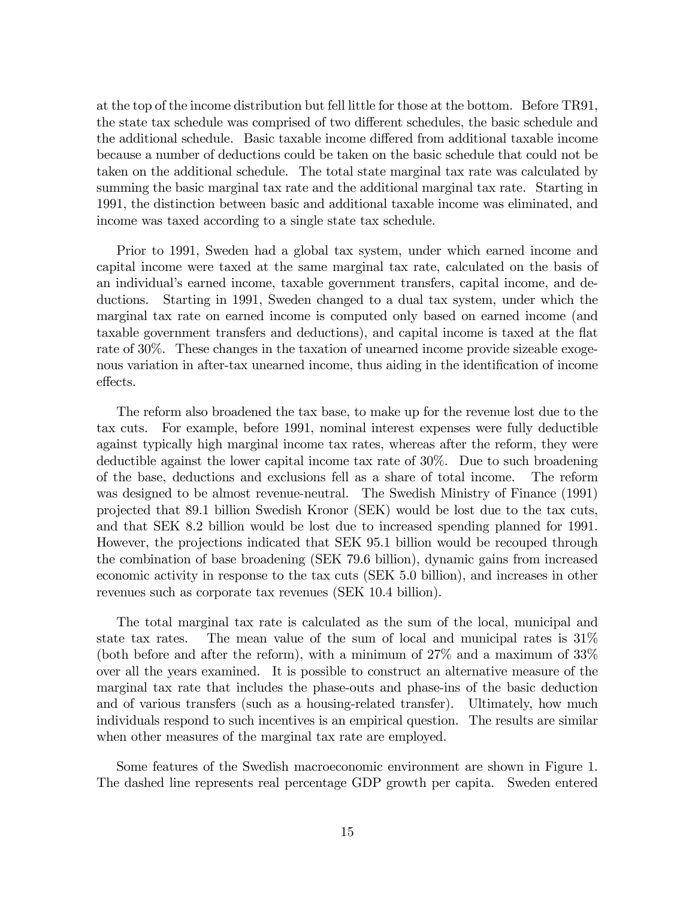at the top of the income distribution but fell little for those at the bottom. Before TR91, the state tax schedule was comprised of two different schedules, the basic schedule and the additional schedule. Basic taxable income differed from additional taxable income because a number of deductions could be taken on the basic schedule that could not be taken on the additional schedule. The total state marginal tax rate was calculated by summing the basic marginal tax rate and the additional marginal tax rate. Starting in 1991, the distinction between basic and additional taxable income was eliminated, and income was taxed according to a single state tax schedule.

Prior to 1991, Sweden had a global tax system, under which earned income and capital income were taxed at the same marginal tax rate, calculated on the basis of an individual's earned income, taxable government transfers, capital income, and deductions. Starting in 1991, Sweden changed to a dual tax system, under which the marginal tax rate on earned income is computed only based on earned income (and taxable government transfers and deductions), and capital income is taxed at the flat rate of 30%. These changes in the taxation of unearned income provide sizeable exogenous variation in after-tax unearned income, thus aiding in the identification of income effects.

The reform also broadened the tax base, to make up for the revenue lost due to the tax cuts. For example, before 1991, nominal interest expenses were fully deductible against typically high marginal income tax rates, whereas after the reform, they were deductible against the lower capital income tax rate of 30%. Due to such broadening of the base, deductions and exclusions fell as a share of total income. The reform was designed to be almost revenue-neutral. The Swedish Ministry of Finance (1991) projected that 89.1 billion Swedish Kronor (SEK) would be lost due to the tax cuts, and that SEK 8.2 billion would be lost due to increased spending planned for 1991. However, the projections indicated that SEK 95.1 billion would be recouped through the combination of base broadening (SEK 79.6 billion), dynamic gains from increased economic activity in response to the tax cuts (SEK 5.0 billion), and increases in other revenues such as corporate tax revenues (SEK 10.4 billion).

The total marginal tax rate is calculated as the sum of the local, municipal and state tax rates. The mean value of the sum of local and municipal rates is 31% (both before and after the reform), with a minimum of 27% and a maximum of 33% over all the years examined. It is possible to construct an alternative measure of the marginal tax rate that includes the phase-outs and phase-ins of the basic deduction and of various transfers (such as a housing-related transfer). Ultimately, how much individuals respond to such incentives is an empirical question. The results are similar when other measures of the marginal tax rate are employed.

Some features of the Swedish macroeconomic environment are shown in Figure 1. The dashed line represents real percentage GDP growth per capita. Sweden entered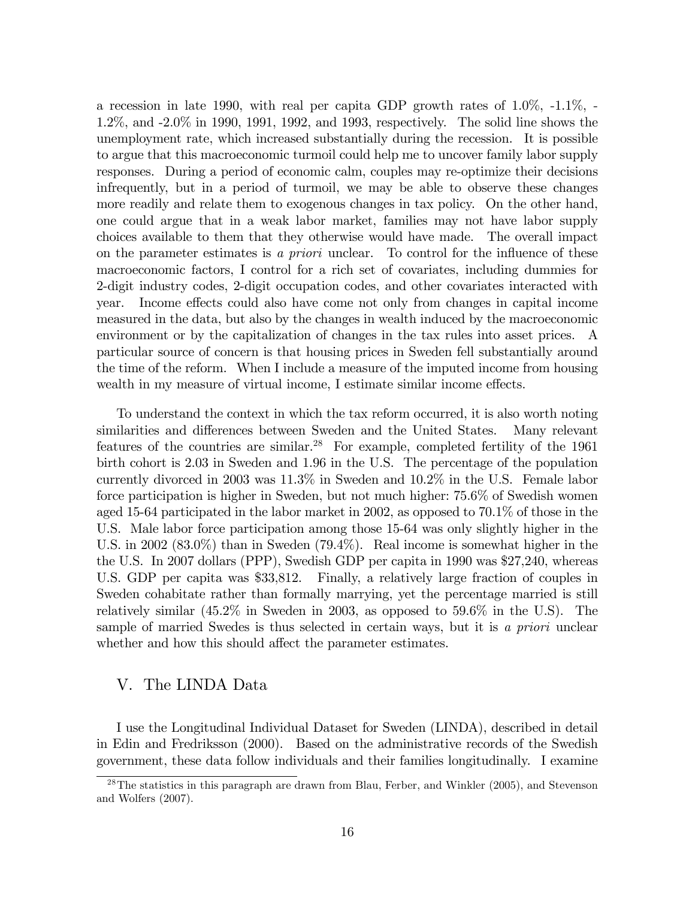a recession in late 1990, with real per capita GDP growth rates of 1.0%, -1.1%, - 1.2%, and -2.0% in 1990, 1991, 1992, and 1993, respectively. The solid line shows the unemployment rate, which increased substantially during the recession. It is possible to argue that this macroeconomic turmoil could help me to uncover family labor supply responses. During a period of economic calm, couples may re-optimize their decisions infrequently, but in a period of turmoil, we may be able to observe these changes more readily and relate them to exogenous changes in tax policy. On the other hand, one could argue that in a weak labor market, families may not have labor supply choices available to them that they otherwise would have made. The overall impact on the parameter estimates is a *priori* unclear. To control for the influence of these macroeconomic factors, I control for a rich set of covariates, including dummies for 2-digit industry codes, 2-digit occupation codes, and other covariates interacted with year. Income effects could also have come not only from changes in capital income measured in the data, but also by the changes in wealth induced by the macroeconomic environment or by the capitalization of changes in the tax rules into asset prices. A particular source of concern is that housing prices in Sweden fell substantially around the time of the reform. When I include a measure of the imputed income from housing wealth in my measure of virtual income, I estimate similar income effects.

To understand the context in which the tax reform occurred, it is also worth noting similarities and differences between Sweden and the United States. Many relevant features of the countries are similar.<sup>28</sup> For example, completed fertility of the  $1961$ birth cohort is 2.03 in Sweden and 1.96 in the U.S. The percentage of the population currently divorced in 2003 was 11.3% in Sweden and 10.2% in the U.S. Female labor force participation is higher in Sweden, but not much higher: 75.6% of Swedish women aged 15-64 participated in the labor market in 2002, as opposed to 70.1% of those in the U.S. Male labor force participation among those 15-64 was only slightly higher in the U.S. in 2002 (83.0%) than in Sweden (79.4%). Real income is somewhat higher in the the U.S. In 2007 dollars (PPP), Swedish GDP per capita in 1990 was \$27,240, whereas U.S. GDP per capita was \$33,812. Finally, a relatively large fraction of couples in Sweden cohabitate rather than formally marrying, yet the percentage married is still relatively similar (45.2% in Sweden in 2003, as opposed to 59.6% in the U.S). The sample of married Swedes is thus selected in certain ways, but it is a priori unclear whether and how this should affect the parameter estimates.

## V. The LINDA Data

I use the Longitudinal Individual Dataset for Sweden (LINDA), described in detail in Edin and Fredriksson (2000). Based on the administrative records of the Swedish government, these data follow individuals and their families longitudinally. I examine

<sup>28</sup>The statistics in this paragraph are drawn from Blau, Ferber, and Winkler (2005), and Stevenson and Wolfers (2007).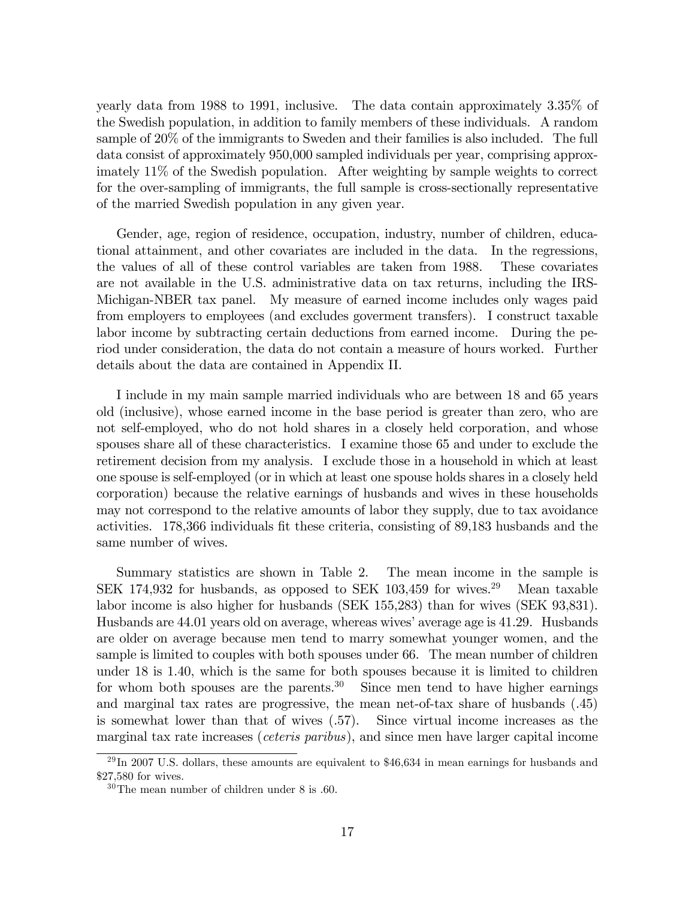yearly data from 1988 to 1991, inclusive. The data contain approximately 3.35% of the Swedish population, in addition to family members of these individuals. A random sample of 20% of the immigrants to Sweden and their families is also included. The full data consist of approximately 950,000 sampled individuals per year, comprising approximately 11% of the Swedish population. After weighting by sample weights to correct for the over-sampling of immigrants, the full sample is cross-sectionally representative of the married Swedish population in any given year.

Gender, age, region of residence, occupation, industry, number of children, educational attainment, and other covariates are included in the data. In the regressions, the values of all of these control variables are taken from 1988. These covariates are not available in the U.S. administrative data on tax returns, including the IRS-Michigan-NBER tax panel. My measure of earned income includes only wages paid from employers to employees (and excludes goverment transfers). I construct taxable labor income by subtracting certain deductions from earned income. During the period under consideration, the data do not contain a measure of hours worked. Further details about the data are contained in Appendix II.

I include in my main sample married individuals who are between 18 and 65 years old (inclusive), whose earned income in the base period is greater than zero, who are not self-employed, who do not hold shares in a closely held corporation, and whose spouses share all of these characteristics. I examine those 65 and under to exclude the retirement decision from my analysis. I exclude those in a household in which at least one spouse is self-employed (or in which at least one spouse holds shares in a closely held corporation) because the relative earnings of husbands and wives in these households may not correspond to the relative amounts of labor they supply, due to tax avoidance activities. 178,366 individuals fit these criteria, consisting of 89,183 husbands and the same number of wives.

Summary statistics are shown in Table 2. The mean income in the sample is SEK 174,932 for husbands, as opposed to SEK 103,459 for wives.<sup>29</sup> Mean taxable labor income is also higher for husbands (SEK 155,283) than for wives (SEK 93,831). Husbands are 44.01 years old on average, whereas wives' average age is 41.29. Husbands are older on average because men tend to marry somewhat younger women, and the sample is limited to couples with both spouses under 66. The mean number of children under 18 is 1.40, which is the same for both spouses because it is limited to children for whom both spouses are the parents.<sup>30</sup> Since men tend to have higher earnings and marginal tax rates are progressive, the mean net-of-tax share of husbands (.45) is somewhat lower than that of wives (.57). Since virtual income increases as the marginal tax rate increases (ceteris paribus), and since men have larger capital income

 $^{29}$ In 2007 U.S. dollars, these amounts are equivalent to \$46,634 in mean earnings for husbands and \$27,580 for wives.

 $30$ The mean number of children under 8 is .60.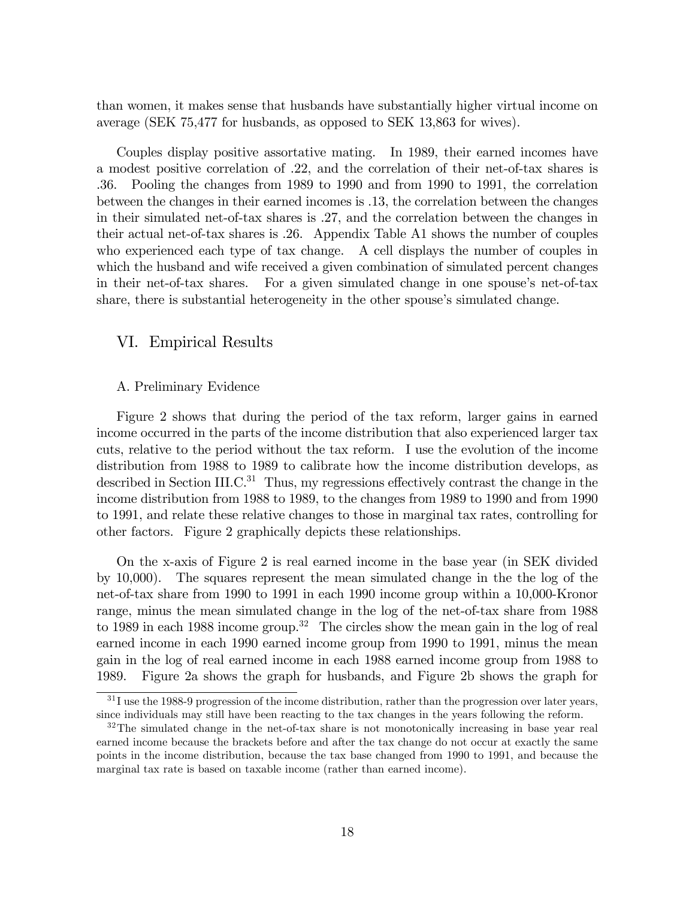than women, it makes sense that husbands have substantially higher virtual income on average (SEK 75,477 for husbands, as opposed to SEK 13,863 for wives).

Couples display positive assortative mating. In 1989, their earned incomes have a modest positive correlation of .22, and the correlation of their net-of-tax shares is .36. Pooling the changes from 1989 to 1990 and from 1990 to 1991, the correlation between the changes in their earned incomes is .13, the correlation between the changes in their simulated net-of-tax shares is .27, and the correlation between the changes in their actual net-of-tax shares is .26. Appendix Table A1 shows the number of couples who experienced each type of tax change. A cell displays the number of couples in which the husband and wife received a given combination of simulated percent changes in their net-of-tax shares. For a given simulated change in one spouse's net-of-tax share, there is substantial heterogeneity in the other spouse's simulated change.

## VI. Empirical Results

#### A. Preliminary Evidence

Figure 2 shows that during the period of the tax reform, larger gains in earned income occurred in the parts of the income distribution that also experienced larger tax cuts, relative to the period without the tax reform. I use the evolution of the income distribution from 1988 to 1989 to calibrate how the income distribution develops, as described in Section III.C. $31$  Thus, my regressions effectively contrast the change in the income distribution from 1988 to 1989, to the changes from 1989 to 1990 and from 1990 to 1991, and relate these relative changes to those in marginal tax rates, controlling for other factors. Figure 2 graphically depicts these relationships.

On the x-axis of Figure 2 is real earned income in the base year (in SEK divided by 10,000). The squares represent the mean simulated change in the the log of the net-of-tax share from 1990 to 1991 in each 1990 income group within a 10,000-Kronor range, minus the mean simulated change in the log of the net-of-tax share from 1988 to 1989 in each 1988 income group.<sup>32</sup> The circles show the mean gain in the log of real earned income in each 1990 earned income group from 1990 to 1991, minus the mean gain in the log of real earned income in each 1988 earned income group from 1988 to 1989. Figure 2a shows the graph for husbands, and Figure 2b shows the graph for

 $31$  I use the 1988-9 progression of the income distribution, rather than the progression over later years, since individuals may still have been reacting to the tax changes in the years following the reform.

<sup>&</sup>lt;sup>32</sup>The simulated change in the net-of-tax share is not monotonically increasing in base year real earned income because the brackets before and after the tax change do not occur at exactly the same points in the income distribution, because the tax base changed from 1990 to 1991, and because the marginal tax rate is based on taxable income (rather than earned income).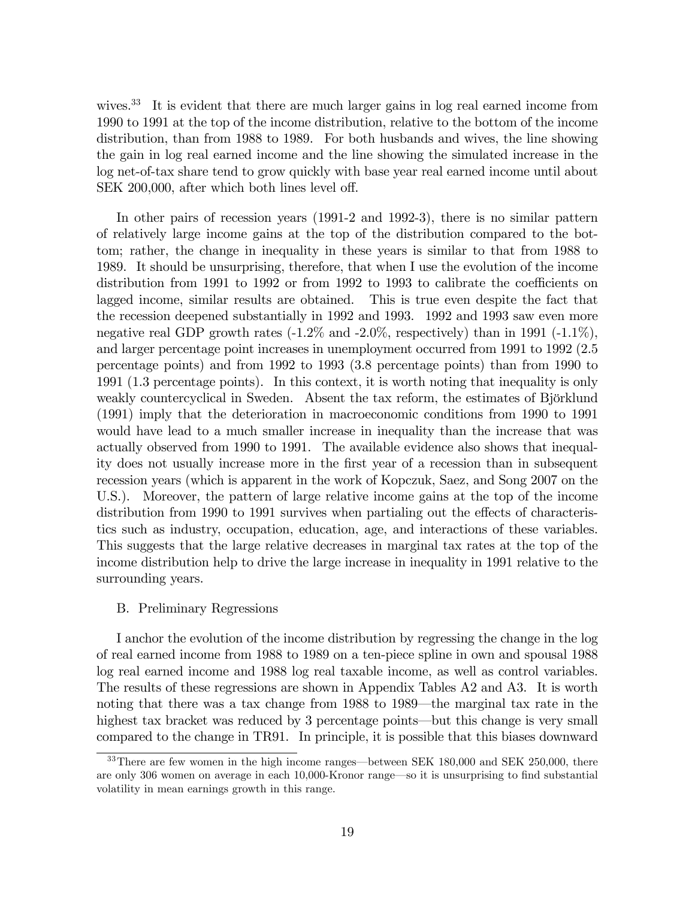wives.<sup>33</sup> It is evident that there are much larger gains in log real earned income from 1990 to 1991 at the top of the income distribution, relative to the bottom of the income distribution, than from 1988 to 1989. For both husbands and wives, the line showing the gain in log real earned income and the line showing the simulated increase in the log net-of-tax share tend to grow quickly with base year real earned income until about SEK 200,000, after which both lines level off.

In other pairs of recession years (1991-2 and 1992-3), there is no similar pattern of relatively large income gains at the top of the distribution compared to the bottom; rather, the change in inequality in these years is similar to that from 1988 to 1989. It should be unsurprising, therefore, that when I use the evolution of the income distribution from 1991 to 1992 or from 1992 to 1993 to calibrate the coefficients on lagged income, similar results are obtained. This is true even despite the fact that the recession deepened substantially in 1992 and 1993. 1992 and 1993 saw even more negative real GDP growth rates  $(-1.2\%$  and  $-2.0\%$ , respectively) than in 1991  $(-1.1\%)$ , and larger percentage point increases in unemployment occurred from 1991 to 1992 (2.5 percentage points) and from 1992 to 1993 (3.8 percentage points) than from 1990 to 1991 (1.3 percentage points). In this context, it is worth noting that inequality is only weakly countercyclical in Sweden. Absent the tax reform, the estimates of Björklund (1991) imply that the deterioration in macroeconomic conditions from 1990 to 1991 would have lead to a much smaller increase in inequality than the increase that was actually observed from 1990 to 1991. The available evidence also shows that inequality does not usually increase more in the Örst year of a recession than in subsequent recession years (which is apparent in the work of Kopczuk, Saez, and Song 2007 on the U.S.). Moreover, the pattern of large relative income gains at the top of the income distribution from 1990 to 1991 survives when partialing out the effects of characteristics such as industry, occupation, education, age, and interactions of these variables. This suggests that the large relative decreases in marginal tax rates at the top of the income distribution help to drive the large increase in inequality in 1991 relative to the surrounding years.

#### B. Preliminary Regressions

I anchor the evolution of the income distribution by regressing the change in the log of real earned income from 1988 to 1989 on a ten-piece spline in own and spousal 1988 log real earned income and 1988 log real taxable income, as well as control variables. The results of these regressions are shown in Appendix Tables A2 and A3. It is worth noting that there was a tax change from 1988 to 1989—the marginal tax rate in the highest tax bracket was reduced by 3 percentage points—but this change is very small compared to the change in TR91. In principle, it is possible that this biases downward

 $33$ There are few women in the high income ranges—between SEK 180,000 and SEK 250,000, there are only 306 women on average in each 10,000-Kronor range so it is unsurprising to find substantial volatility in mean earnings growth in this range.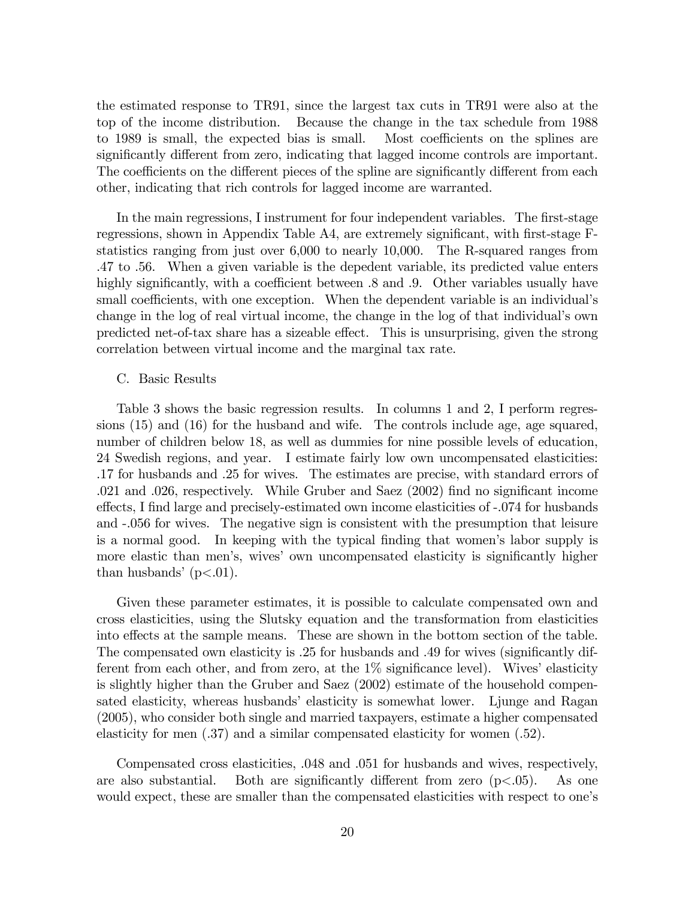the estimated response to TR91, since the largest tax cuts in TR91 were also at the top of the income distribution. Because the change in the tax schedule from 1988 to 1989 is small, the expected bias is small. Most coefficients on the splines are significantly different from zero, indicating that lagged income controls are important. The coefficients on the different pieces of the spline are significantly different from each other, indicating that rich controls for lagged income are warranted.

In the main regressions, I instrument for four independent variables. The first-stage regressions, shown in Appendix Table A4, are extremely significant, with first-stage Fstatistics ranging from just over 6,000 to nearly 10,000. The R-squared ranges from .47 to .56. When a given variable is the depedent variable, its predicted value enters highly significantly, with a coefficient between  $.8$  and  $.9$ . Other variables usually have small coefficients, with one exception. When the dependent variable is an individual's change in the log of real virtual income, the change in the log of that individual's own predicted net-of-tax share has a sizeable effect. This is unsurprising, given the strong correlation between virtual income and the marginal tax rate.

#### C. Basic Results

Table 3 shows the basic regression results. In columns 1 and 2, I perform regressions (15) and (16) for the husband and wife. The controls include age, age squared, number of children below 18, as well as dummies for nine possible levels of education, 24 Swedish regions, and year. I estimate fairly low own uncompensated elasticities: .17 for husbands and .25 for wives. The estimates are precise, with standard errors of .021 and .026, respectively. While Gruber and Saez (2002) find no significant income effects, I find large and precisely-estimated own income elasticities of -.074 for husbands and -.056 for wives. The negative sign is consistent with the presumption that leisure is a normal good. In keeping with the typical Önding that womenís labor supply is more elastic than men's, wives' own uncompensated elasticity is significantly higher than husbands'  $(p<.01)$ .

Given these parameter estimates, it is possible to calculate compensated own and cross elasticities, using the Slutsky equation and the transformation from elasticities into effects at the sample means. These are shown in the bottom section of the table. The compensated own elasticity is .25 for husbands and .49 for wives (significantly different from each other, and from zero, at the  $1\%$  significance level). Wives' elasticity is slightly higher than the Gruber and Saez (2002) estimate of the household compensated elasticity, whereas husbands' elasticity is somewhat lower. Ljunge and Ragan (2005), who consider both single and married taxpayers, estimate a higher compensated elasticity for men (.37) and a similar compensated elasticity for women (.52).

Compensated cross elasticities, .048 and .051 for husbands and wives, respectively, are also substantial. Both are significantly different from zero  $(p<.05)$ . As one would expect, these are smaller than the compensated elasticities with respect to one's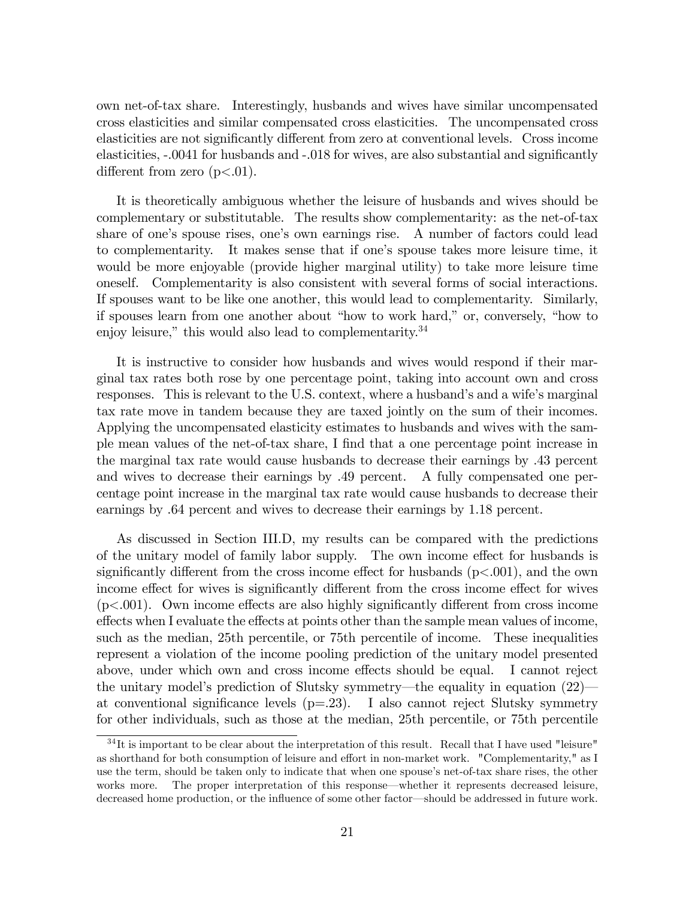own net-of-tax share. Interestingly, husbands and wives have similar uncompensated cross elasticities and similar compensated cross elasticities. The uncompensated cross elasticities are not significantly different from zero at conventional levels. Cross income elasticities, -.0041 for husbands and -.018 for wives, are also substantial and significantly different from zero  $(p<.01)$ .

It is theoretically ambiguous whether the leisure of husbands and wives should be complementary or substitutable. The results show complementarity: as the net-of-tax share of one's spouse rises, one's own earnings rise. A number of factors could lead to complementarity. It makes sense that if one's spouse takes more leisure time, it would be more enjoyable (provide higher marginal utility) to take more leisure time oneself. Complementarity is also consistent with several forms of social interactions. If spouses want to be like one another, this would lead to complementarity. Similarly, if spouses learn from one another about "how to work hard," or, conversely, "how to enjoy leisure," this would also lead to complementarity.<sup>34</sup>

It is instructive to consider how husbands and wives would respond if their marginal tax rates both rose by one percentage point, taking into account own and cross responses. This is relevant to the U.S. context, where a husband's and a wife's marginal tax rate move in tandem because they are taxed jointly on the sum of their incomes. Applying the uncompensated elasticity estimates to husbands and wives with the sample mean values of the net-of-tax share, I Önd that a one percentage point increase in the marginal tax rate would cause husbands to decrease their earnings by .43 percent and wives to decrease their earnings by .49 percent. A fully compensated one percentage point increase in the marginal tax rate would cause husbands to decrease their earnings by .64 percent and wives to decrease their earnings by 1.18 percent.

As discussed in Section III.D, my results can be compared with the predictions of the unitary model of family labor supply. The own income effect for husbands is significantly different from the cross income effect for husbands ( $p<.001$ ), and the own income effect for wives is significantly different from the cross income effect for wives  $(p<.001)$ . Own income effects are also highly significantly different from cross income effects when I evaluate the effects at points other than the sample mean values of income, such as the median, 25th percentile, or 75th percentile of income. These inequalities represent a violation of the income pooling prediction of the unitary model presented above, under which own and cross income effects should be equal. I cannot reject the unitary model's prediction of Slutsky symmetry—the equality in equation  $(22)$  at conventional significance levels  $(p=23)$ . I also cannot reject Slutsky symmetry for other individuals, such as those at the median, 25th percentile, or 75th percentile

 $34$ It is important to be clear about the interpretation of this result. Recall that I have used "leisure" as shorthand for both consumption of leisure and effort in non-market work. "Complementarity," as I use the term, should be taken only to indicate that when one spouse's net-of-tax share rises, the other works more. The proper interpretation of this response—whether it represents decreased leisure, decreased home production, or the influence of some other factor—should be addressed in future work.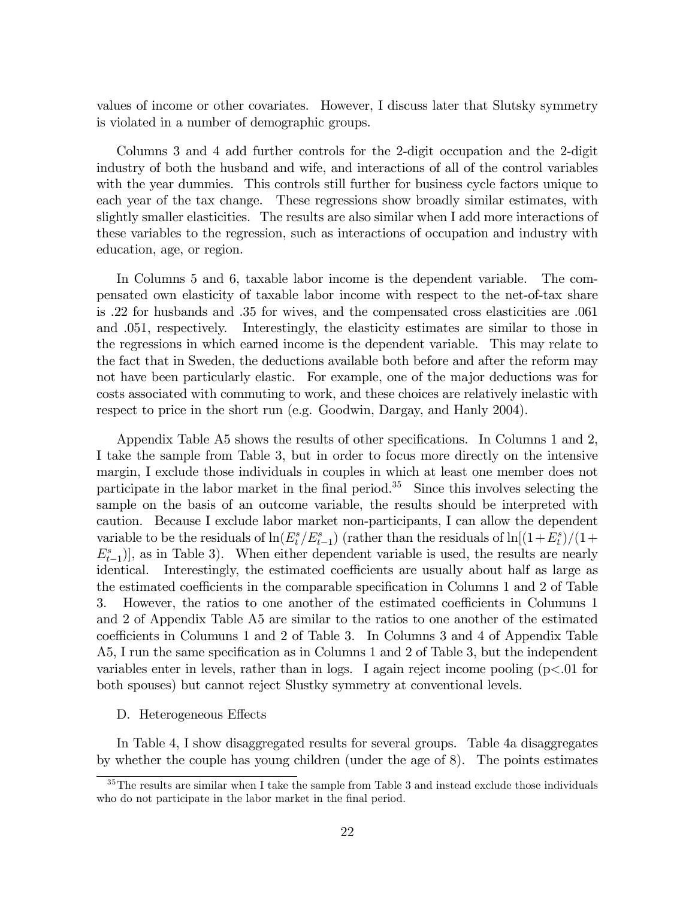values of income or other covariates. However, I discuss later that Slutsky symmetry is violated in a number of demographic groups.

Columns 3 and 4 add further controls for the 2-digit occupation and the 2-digit industry of both the husband and wife, and interactions of all of the control variables with the year dummies. This controls still further for business cycle factors unique to each year of the tax change. These regressions show broadly similar estimates, with slightly smaller elasticities. The results are also similar when I add more interactions of these variables to the regression, such as interactions of occupation and industry with education, age, or region.

In Columns 5 and 6, taxable labor income is the dependent variable. The compensated own elasticity of taxable labor income with respect to the net-of-tax share is .22 for husbands and .35 for wives, and the compensated cross elasticities are .061 and .051, respectively. Interestingly, the elasticity estimates are similar to those in the regressions in which earned income is the dependent variable. This may relate to the fact that in Sweden, the deductions available both before and after the reform may not have been particularly elastic. For example, one of the major deductions was for costs associated with commuting to work, and these choices are relatively inelastic with respect to price in the short run (e.g. Goodwin, Dargay, and Hanly 2004).

Appendix Table A5 shows the results of other specifications. In Columns 1 and 2, I take the sample from Table 3, but in order to focus more directly on the intensive margin, I exclude those individuals in couples in which at least one member does not participate in the labor market in the final period.<sup>35</sup> Since this involves selecting the sample on the basis of an outcome variable, the results should be interpreted with caution. Because I exclude labor market non-participants, I can allow the dependent variable to be the residuals of  $\ln(E_t^s/E_{t-1}^s)$  (rather than the residuals of  $\ln[(1+E_t^s)/(1+E_t^s)]$ )  $E_{t-1}^s$ ), as in Table 3). When either dependent variable is used, the results are nearly identical. Interestingly, the estimated coefficients are usually about half as large as the estimated coefficients in the comparable specification in Columns 1 and 2 of Table 3. However, the ratios to one another of the estimated coefficients in Columuns 1 and 2 of Appendix Table A5 are similar to the ratios to one another of the estimated coefficients in Columuns 1 and 2 of Table 3. In Columns 3 and 4 of Appendix Table A5, I run the same specification as in Columns 1 and 2 of Table 3, but the independent variables enter in levels, rather than in logs. I again reject income pooling  $(p<.01$  for both spouses) but cannot reject Slustky symmetry at conventional levels.

## D. Heterogeneous Effects

In Table 4, I show disaggregated results for several groups. Table 4a disaggregates by whether the couple has young children (under the age of 8). The points estimates

 $35$ The results are similar when I take the sample from Table 3 and instead exclude those individuals who do not participate in the labor market in the final period.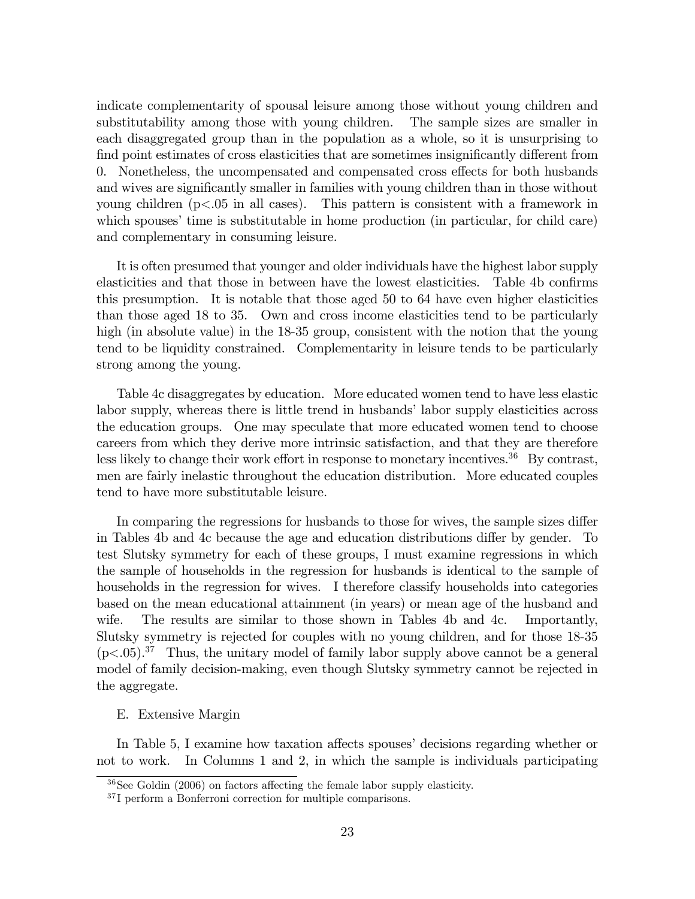indicate complementarity of spousal leisure among those without young children and substitutability among those with young children. The sample sizes are smaller in each disaggregated group than in the population as a whole, so it is unsurprising to find point estimates of cross elasticities that are sometimes insignificantly different from 0. Nonetheless, the uncompensated and compensated cross effects for both husbands and wives are significantly smaller in families with young children than in those without young children (p<.05 in all cases). This pattern is consistent with a framework in which spouses' time is substitutable in home production (in particular, for child care) and complementary in consuming leisure.

It is often presumed that younger and older individuals have the highest labor supply elasticities and that those in between have the lowest elasticities. Table 4b confirms this presumption. It is notable that those aged 50 to 64 have even higher elasticities than those aged 18 to 35. Own and cross income elasticities tend to be particularly high (in absolute value) in the 18-35 group, consistent with the notion that the young tend to be liquidity constrained. Complementarity in leisure tends to be particularly strong among the young.

Table 4c disaggregates by education. More educated women tend to have less elastic labor supply, whereas there is little trend in husbands' labor supply elasticities across the education groups. One may speculate that more educated women tend to choose careers from which they derive more intrinsic satisfaction, and that they are therefore less likely to change their work effort in response to monetary incentives.<sup>36</sup> By contrast, men are fairly inelastic throughout the education distribution. More educated couples tend to have more substitutable leisure.

In comparing the regressions for husbands to those for wives, the sample sizes differ in Tables 4b and 4c because the age and education distributions differ by gender. To test Slutsky symmetry for each of these groups, I must examine regressions in which the sample of households in the regression for husbands is identical to the sample of households in the regression for wives. I therefore classify households into categories based on the mean educational attainment (in years) or mean age of the husband and wife. The results are similar to those shown in Tables 4b and 4c. Importantly, Slutsky symmetry is rejected for couples with no young children, and for those 18-35  $(p<.05)$ .<sup>37</sup> Thus, the unitary model of family labor supply above cannot be a general model of family decision-making, even though Slutsky symmetry cannot be rejected in the aggregate.

#### E. Extensive Margin

In Table 5, I examine how taxation affects spouses' decisions regarding whether or not to work. In Columns 1 and 2, in which the sample is individuals participating

 $36$ See Goldin (2006) on factors affecting the female labor supply elasticity.

<sup>37</sup> I perform a Bonferroni correction for multiple comparisons.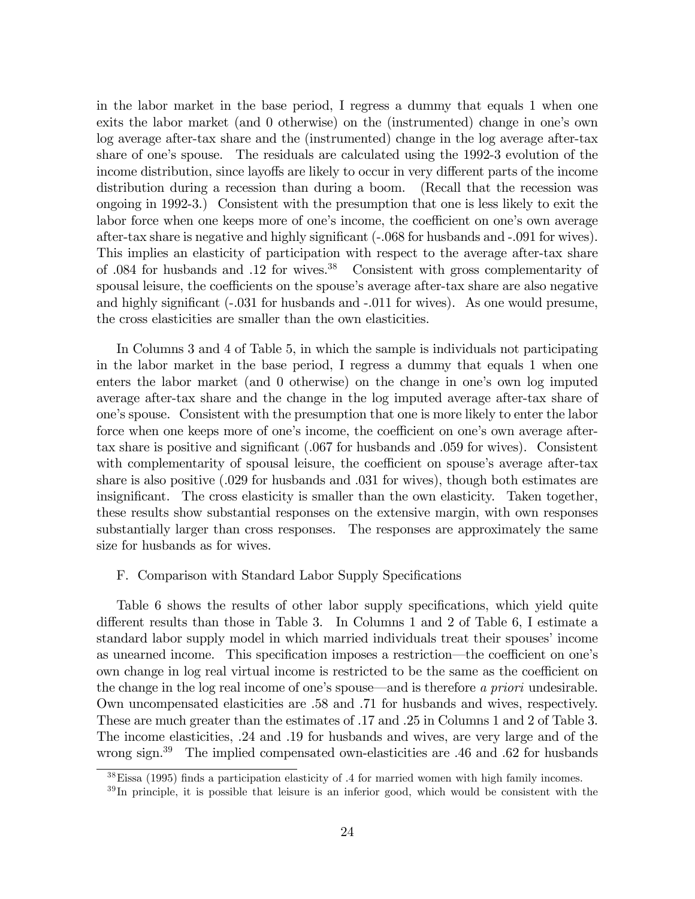in the labor market in the base period, I regress a dummy that equals 1 when one exits the labor market (and 0 otherwise) on the (instrumented) change in one's own log average after-tax share and the (instrumented) change in the log average after-tax share of one's spouse. The residuals are calculated using the 1992-3 evolution of the income distribution, since layoffs are likely to occur in very different parts of the income distribution during a recession than during a boom. (Recall that the recession was ongoing in 1992-3.) Consistent with the presumption that one is less likely to exit the labor force when one keeps more of one's income, the coefficient on one's own average after-tax share is negative and highly significant  $(-.068$  for husbands and  $-.091$  for wives). This implies an elasticity of participation with respect to the average after-tax share of .084 for husbands and .12 for wives.<sup>38</sup> Consistent with gross complementarity of spousal leisure, the coefficients on the spouse's average after-tax share are also negative and highly significant  $(-0.031)$  for husbands and  $-0.011$  for wives). As one would presume, the cross elasticities are smaller than the own elasticities.

In Columns 3 and 4 of Table 5, in which the sample is individuals not participating in the labor market in the base period, I regress a dummy that equals 1 when one enters the labor market (and  $\theta$  otherwise) on the change in one's own log imputed average after-tax share and the change in the log imputed average after-tax share of one's spouse. Consistent with the presumption that one is more likely to enter the labor force when one keeps more of one's income, the coefficient on one's own average aftertax share is positive and significant  $(.067$  for husbands and  $.059$  for wives). Consistent with complementarity of spousal leisure, the coefficient on spouse's average after-tax share is also positive (.029 for husbands and .031 for wives), though both estimates are insignificant. The cross elasticity is smaller than the own elasticity. Taken together, these results show substantial responses on the extensive margin, with own responses substantially larger than cross responses. The responses are approximately the same size for husbands as for wives.

#### F. Comparison with Standard Labor Supply Specifications

Table 6 shows the results of other labor supply specifications, which yield quite different results than those in Table 3. In Columns 1 and 2 of Table 6, I estimate a standard labor supply model in which married individuals treat their spouses' income as unearned income. This specification imposes a restriction—the coefficient on one's own change in log real virtual income is restricted to be the same as the coefficient on the change in the log real income of one's spouse—and is therefore a priori undesirable. Own uncompensated elasticities are .58 and .71 for husbands and wives, respectively. These are much greater than the estimates of .17 and .25 in Columns 1 and 2 of Table 3. The income elasticities, .24 and .19 for husbands and wives, are very large and of the wrong sign.<sup>39</sup> The implied compensated own-elasticities are .46 and .62 for husbands

 $38$ Eissa (1995) finds a participation elasticity of .4 for married women with high family incomes.

 $39$  In principle, it is possible that leisure is an inferior good, which would be consistent with the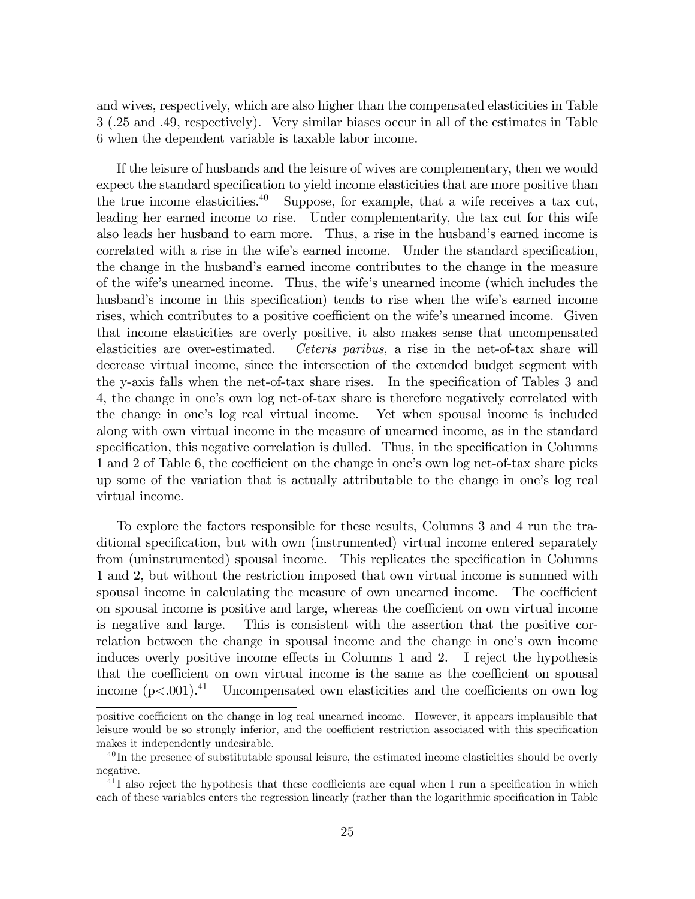and wives, respectively, which are also higher than the compensated elasticities in Table 3 (.25 and .49, respectively). Very similar biases occur in all of the estimates in Table 6 when the dependent variable is taxable labor income.

If the leisure of husbands and the leisure of wives are complementary, then we would expect the standard specification to yield income elasticities that are more positive than the true income elasticities.<sup>40</sup> Suppose, for example, that a wife receives a tax cut, leading her earned income to rise. Under complementarity, the tax cut for this wife also leads her husband to earn more. Thus, a rise in the husband's earned income is correlated with a rise in the wife's earned income. Under the standard specification, the change in the husband's earned income contributes to the change in the measure of the wifeís unearned income. Thus, the wifeís unearned income (which includes the husband's income in this specification) tends to rise when the wife's earned income rises, which contributes to a positive coefficient on the wife's unearned income. Given that income elasticities are overly positive, it also makes sense that uncompensated elasticities are over-estimated. Ceteris paribus, a rise in the net-of-tax share will decrease virtual income, since the intersection of the extended budget segment with the y-axis falls when the net-of-tax share rises. In the specification of Tables 3 and 4, the change in one's own log net-of-tax share is therefore negatively correlated with the change in oneís log real virtual income. Yet when spousal income is included along with own virtual income in the measure of unearned income, as in the standard specification, this negative correlation is dulled. Thus, in the specification in Columns 1 and 2 of Table 6, the coefficient on the change in one's own log net-of-tax share picks up some of the variation that is actually attributable to the change in one's log real virtual income.

To explore the factors responsible for these results, Columns 3 and 4 run the traditional specification, but with own (instrumented) virtual income entered separately from (uninstrumented) spousal income. This replicates the specification in Columns 1 and 2, but without the restriction imposed that own virtual income is summed with spousal income in calculating the measure of own unearned income. The coefficient on spousal income is positive and large, whereas the coefficient on own virtual income is negative and large. This is consistent with the assertion that the positive correlation between the change in spousal income and the change in one's own income induces overly positive income effects in Columns 1 and 2. I reject the hypothesis that the coefficient on own virtual income is the same as the coefficient on spousal income  $(p<.001).<sup>41</sup>$  Uncompensated own elasticities and the coefficients on own log

positive coefficient on the change in log real unearned income. However, it appears implausible that leisure would be so strongly inferior, and the coefficient restriction associated with this specification makes it independently undesirable.

 $^{40}$ In the presence of substitutable spousal leisure, the estimated income elasticities should be overly negative.

 $^{41}$ I also reject the hypothesis that these coefficients are equal when I run a specification in which each of these variables enters the regression linearly (rather than the logarithmic specification in Table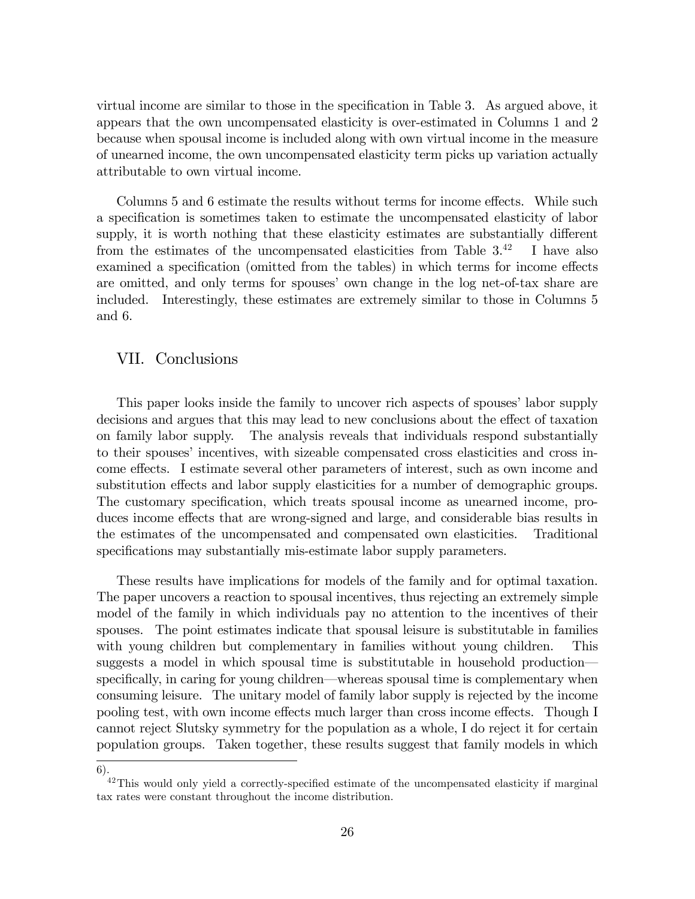virtual income are similar to those in the specification in Table  $3$ . As argued above, it appears that the own uncompensated elasticity is over-estimated in Columns 1 and 2 because when spousal income is included along with own virtual income in the measure of unearned income, the own uncompensated elasticity term picks up variation actually attributable to own virtual income.

Columns 5 and 6 estimate the results without terms for income effects. While such a specification is sometimes taken to estimate the uncompensated elasticity of labor supply, it is worth nothing that these elasticity estimates are substantially different from the estimates of the uncompensated elasticities from Table  $3^{42}$  I have also examined a specification (omitted from the tables) in which terms for income effects are omitted, and only terms for spouses' own change in the log net-of-tax share are included. Interestingly, these estimates are extremely similar to those in Columns 5 and 6.

## VII. Conclusions

This paper looks inside the family to uncover rich aspects of spouses' labor supply decisions and argues that this may lead to new conclusions about the effect of taxation on family labor supply. The analysis reveals that individuals respond substantially to their spouses' incentives, with sizeable compensated cross elasticities and cross income effects. I estimate several other parameters of interest, such as own income and substitution effects and labor supply elasticities for a number of demographic groups. The customary specification, which treats spousal income as unearned income, produces income effects that are wrong-signed and large, and considerable bias results in the estimates of the uncompensated and compensated own elasticities. Traditional specifications may substantially mis-estimate labor supply parameters.

These results have implications for models of the family and for optimal taxation. The paper uncovers a reaction to spousal incentives, thus rejecting an extremely simple model of the family in which individuals pay no attention to the incentives of their spouses. The point estimates indicate that spousal leisure is substitutable in families with young children but complementary in families without young children. This suggests a model in which spousal time is substitutable in household production specifically, in caring for young children—whereas spousal time is complementary when consuming leisure. The unitary model of family labor supply is rejected by the income pooling test, with own income effects much larger than cross income effects. Though I cannot reject Slutsky symmetry for the population as a whole, I do reject it for certain population groups. Taken together, these results suggest that family models in which

<sup>6).</sup>

 $^{42}$ This would only yield a correctly-specified estimate of the uncompensated elasticity if marginal tax rates were constant throughout the income distribution.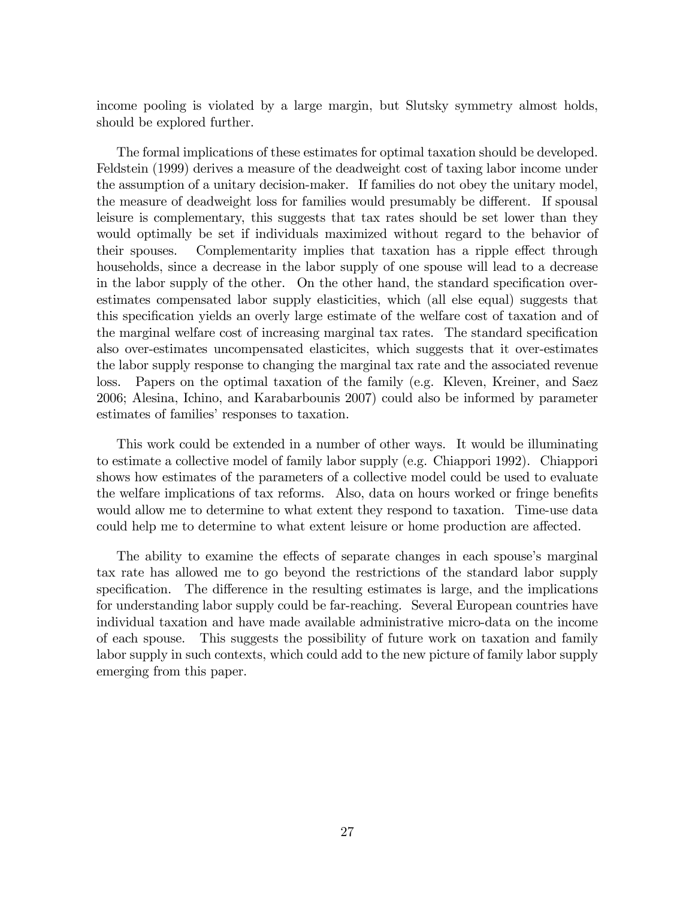income pooling is violated by a large margin, but Slutsky symmetry almost holds, should be explored further.

The formal implications of these estimates for optimal taxation should be developed. Feldstein (1999) derives a measure of the deadweight cost of taxing labor income under the assumption of a unitary decision-maker. If families do not obey the unitary model, the measure of deadweight loss for families would presumably be different. If spousal leisure is complementary, this suggests that tax rates should be set lower than they would optimally be set if individuals maximized without regard to the behavior of their spouses. Complementarity implies that taxation has a ripple effect through households, since a decrease in the labor supply of one spouse will lead to a decrease in the labor supply of the other. On the other hand, the standard specification overestimates compensated labor supply elasticities, which (all else equal) suggests that this specification yields an overly large estimate of the welfare cost of taxation and of the marginal welfare cost of increasing marginal tax rates. The standard specification also over-estimates uncompensated elasticites, which suggests that it over-estimates the labor supply response to changing the marginal tax rate and the associated revenue loss. Papers on the optimal taxation of the family (e.g. Kleven, Kreiner, and Saez 2006; Alesina, Ichino, and Karabarbounis 2007) could also be informed by parameter estimates of families' responses to taxation.

This work could be extended in a number of other ways. It would be illuminating to estimate a collective model of family labor supply (e.g. Chiappori 1992). Chiappori shows how estimates of the parameters of a collective model could be used to evaluate the welfare implications of tax reforms. Also, data on hours worked or fringe benefits would allow me to determine to what extent they respond to taxation. Time-use data could help me to determine to what extent leisure or home production are affected.

The ability to examine the effects of separate changes in each spouse's marginal tax rate has allowed me to go beyond the restrictions of the standard labor supply specification. The difference in the resulting estimates is large, and the implications for understanding labor supply could be far-reaching. Several European countries have individual taxation and have made available administrative micro-data on the income of each spouse. This suggests the possibility of future work on taxation and family labor supply in such contexts, which could add to the new picture of family labor supply emerging from this paper.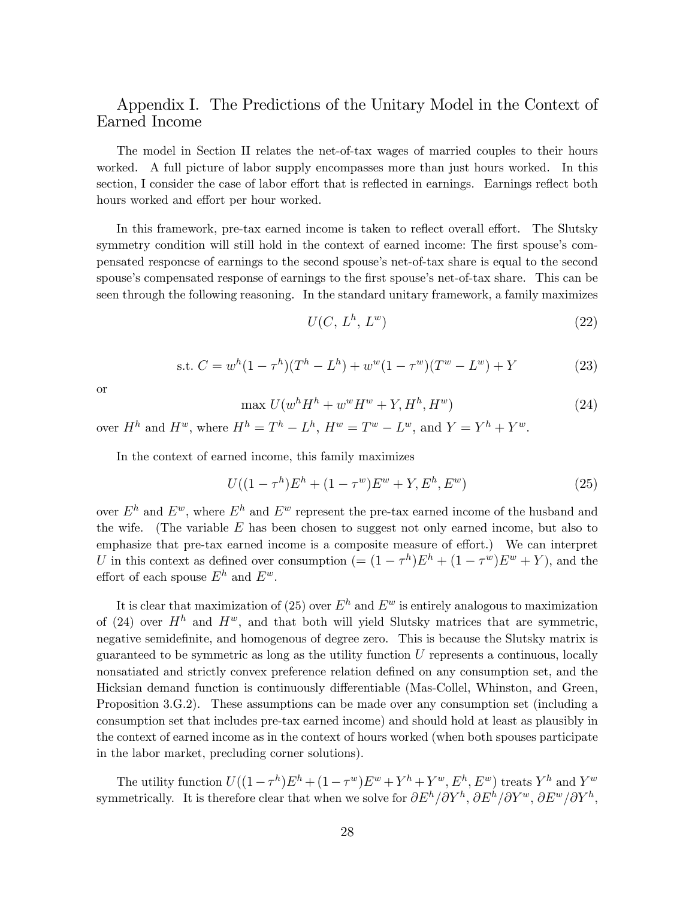# Appendix I. The Predictions of the Unitary Model in the Context of Earned Income

The model in Section II relates the net-of-tax wages of married couples to their hours worked. A full picture of labor supply encompasses more than just hours worked. In this section, I consider the case of labor effort that is reflected in earnings. Earnings reflect both hours worked and effort per hour worked.

In this framework, pre-tax earned income is taken to reflect overall effort. The Slutsky symmetry condition will still hold in the context of earned income: The first spouse's compensated responcse of earnings to the second spouseís net-of-tax share is equal to the second spouse's compensated response of earnings to the first spouse's net-of-tax share. This can be seen through the following reasoning. In the standard unitary framework, a family maximizes

$$
U(C, L^h, L^w) \tag{22}
$$

s.t. 
$$
C = w^{h}(1 - \tau^{h})(T^{h} - L^{h}) + w^{w}(1 - \tau^{w})(T^{w} - L^{w}) + Y
$$
 (23)

or

$$
\max U(w^h H^h + w^w H^w + Y, H^h, H^w) \tag{24}
$$

over  $H^h$  and  $H^w$ , where  $H^h = T^h - L^h$ ,  $H^w = T^w - L^w$ , and  $Y = Y^h + Y^w$ .

In the context of earned income, this family maximizes

$$
U((1 - \tau^h)E^h + (1 - \tau^w)E^w + Y, E^h, E^w)
$$
\n(25)

over  $E^h$  and  $E^w$ , where  $E^h$  and  $E^w$  represent the pre-tax earned income of the husband and the wife. (The variable  $E$  has been chosen to suggest not only earned income, but also to emphasize that pre-tax earned income is a composite measure of effort.) We can interpret U in this context as defined over consumption  $(=(1-\tau^h)E^h + (1-\tau^w)E^w + Y)$ , and the effort of each spouse  $E^h$  and  $E^w$ .

It is clear that maximization of (25) over  $E^h$  and  $E^w$  is entirely analogous to maximization of (24) over  $H<sup>h</sup>$  and  $H<sup>w</sup>$ , and that both will yield Slutsky matrices that are symmetric, negative semidefinite, and homogenous of degree zero. This is because the Slutsky matrix is guaranteed to be symmetric as long as the utility function  $U$  represents a continuous, locally nonsatiated and strictly convex preference relation defined on any consumption set, and the Hicksian demand function is continuously differentiable (Mas-Collel, Whinston, and Green, Proposition 3.G.2). These assumptions can be made over any consumption set (including a consumption set that includes pre-tax earned income) and should hold at least as plausibly in the context of earned income as in the context of hours worked (when both spouses participate in the labor market, precluding corner solutions).

The utility function  $U((1-\tau^h)E^h + (1-\tau^w)E^w + Y^h + Y^w, E^h, E^w)$  treats  $Y^h$  and  $Y^w$ symmetrically. It is therefore clear that when we solve for  $\partial E^h/\partial Y^h$ ,  $\partial E^h/\partial Y^w$ ,  $\partial E^w/\partial Y^h$ ,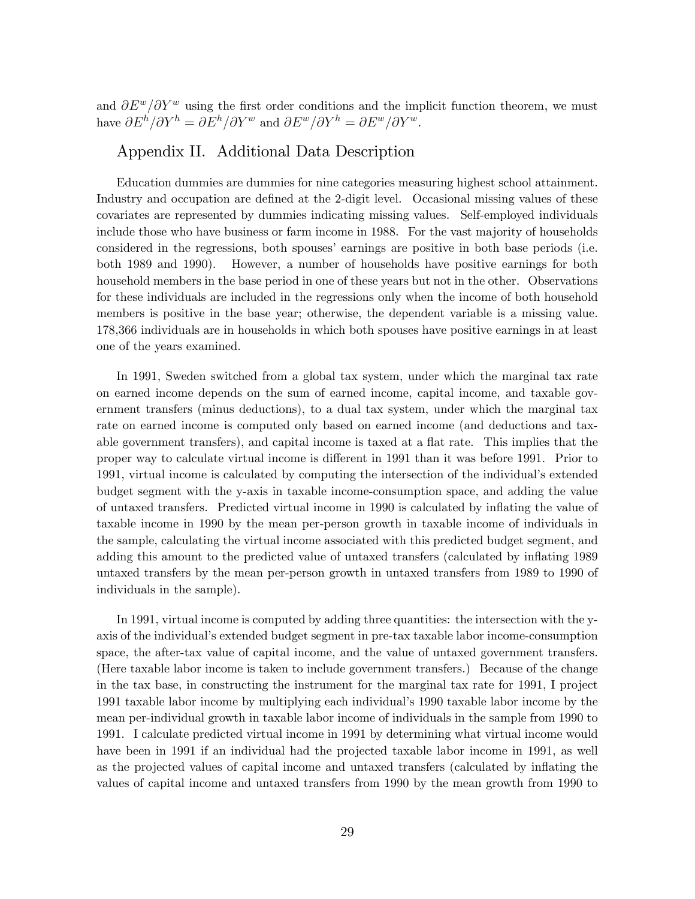and  $\partial E^w/\partial Y^w$  using the first order conditions and the implicit function theorem, we must have  $\partial E^h/\partial Y^h = \partial E^h/\partial Y^w$  and  $\partial E^w/\partial Y^h = \partial E^w/\partial Y^w$ .

## Appendix II. Additional Data Description

Education dummies are dummies for nine categories measuring highest school attainment. Industry and occupation are defined at the 2-digit level. Occasional missing values of these covariates are represented by dummies indicating missing values. Self-employed individuals include those who have business or farm income in 1988. For the vast majority of households considered in the regressions, both spouses' earnings are positive in both base periods (i.e. both 1989 and 1990). However, a number of households have positive earnings for both household members in the base period in one of these years but not in the other. Observations for these individuals are included in the regressions only when the income of both household members is positive in the base year; otherwise, the dependent variable is a missing value. 178,366 individuals are in households in which both spouses have positive earnings in at least one of the years examined.

In 1991, Sweden switched from a global tax system, under which the marginal tax rate on earned income depends on the sum of earned income, capital income, and taxable government transfers (minus deductions), to a dual tax system, under which the marginal tax rate on earned income is computed only based on earned income (and deductions and taxable government transfers), and capital income is taxed at a flat rate. This implies that the proper way to calculate virtual income is different in 1991 than it was before 1991. Prior to 1991, virtual income is calculated by computing the intersection of the individual's extended budget segment with the y-axis in taxable income-consumption space, and adding the value of untaxed transfers. Predicted virtual income in 1990 is calculated by ináating the value of taxable income in 1990 by the mean per-person growth in taxable income of individuals in the sample, calculating the virtual income associated with this predicted budget segment, and adding this amount to the predicted value of untaxed transfers (calculated by inflating 1989 untaxed transfers by the mean per-person growth in untaxed transfers from 1989 to 1990 of individuals in the sample).

In 1991, virtual income is computed by adding three quantities: the intersection with the yaxis of the individual's extended budget segment in pre-tax taxable labor income-consumption space, the after-tax value of capital income, and the value of untaxed government transfers. (Here taxable labor income is taken to include government transfers.) Because of the change in the tax base, in constructing the instrument for the marginal tax rate for 1991, I project 1991 taxable labor income by multiplying each individualís 1990 taxable labor income by the mean per-individual growth in taxable labor income of individuals in the sample from 1990 to 1991. I calculate predicted virtual income in 1991 by determining what virtual income would have been in 1991 if an individual had the projected taxable labor income in 1991, as well as the projected values of capital income and untaxed transfers (calculated by inflating the values of capital income and untaxed transfers from 1990 by the mean growth from 1990 to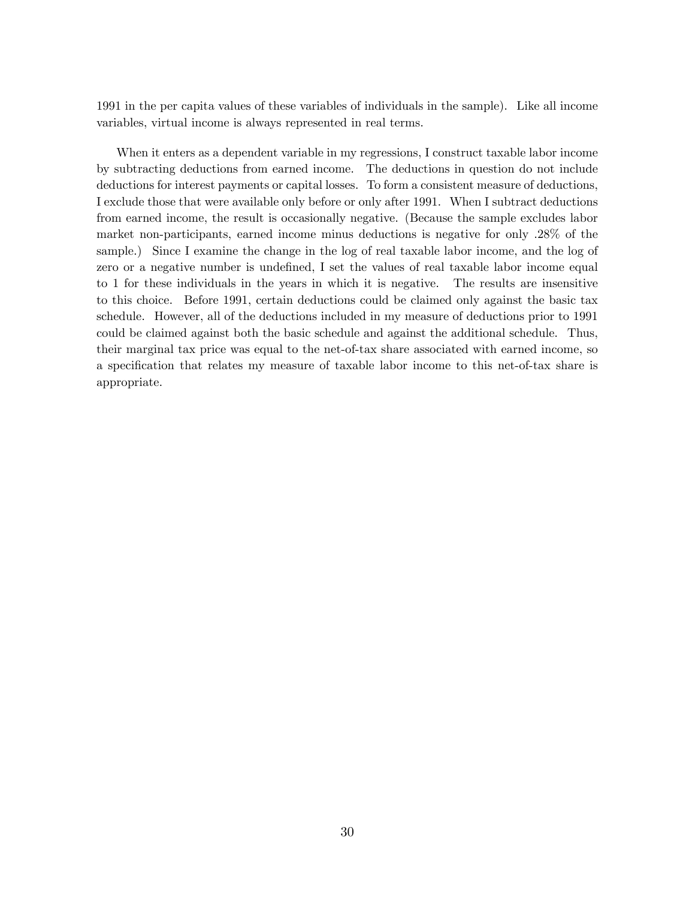1991 in the per capita values of these variables of individuals in the sample). Like all income variables, virtual income is always represented in real terms.

When it enters as a dependent variable in my regressions, I construct taxable labor income by subtracting deductions from earned income. The deductions in question do not include deductions for interest payments or capital losses. To form a consistent measure of deductions, I exclude those that were available only before or only after 1991. When I subtract deductions from earned income, the result is occasionally negative. (Because the sample excludes labor market non-participants, earned income minus deductions is negative for only .28% of the sample.) Since I examine the change in the log of real taxable labor income, and the log of zero or a negative number is undefined, I set the values of real taxable labor income equal to 1 for these individuals in the years in which it is negative. The results are insensitive to this choice. Before 1991, certain deductions could be claimed only against the basic tax schedule. However, all of the deductions included in my measure of deductions prior to 1991 could be claimed against both the basic schedule and against the additional schedule. Thus, their marginal tax price was equal to the net-of-tax share associated with earned income, so a specification that relates my measure of taxable labor income to this net-of-tax share is appropriate.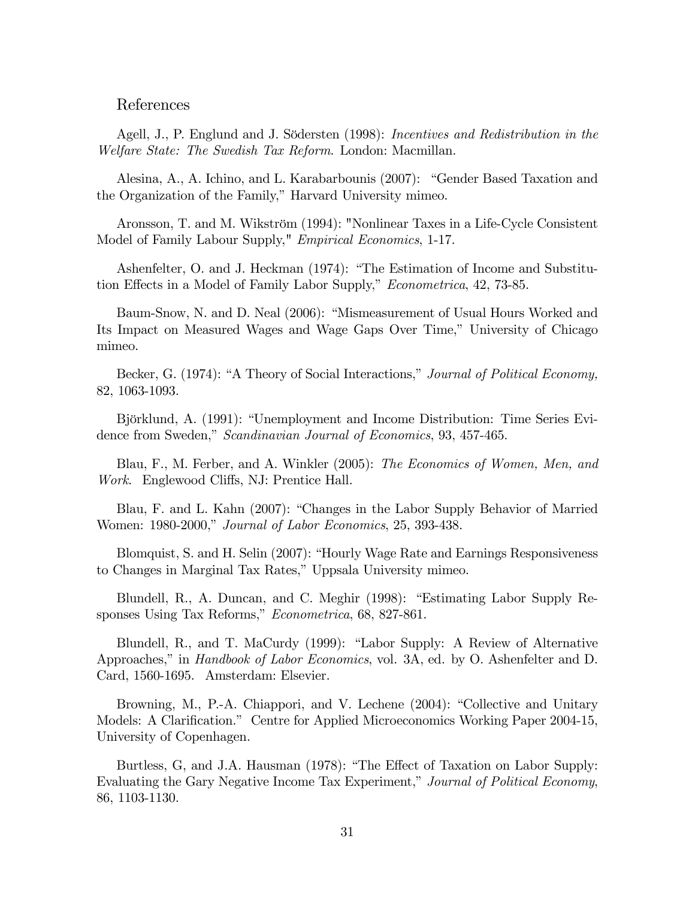#### References

Agell, J., P. Englund and J. Södersten (1998): Incentives and Redistribution in the Welfare State: The Swedish Tax Reform. London: Macmillan.

Alesina, A., A. Ichino, and L. Karabarbounis (2007): "Gender Based Taxation and the Organization of the Family," Harvard University mimeo.

Aronsson, T. and M. Wikström (1994): "Nonlinear Taxes in a Life-Cycle Consistent Model of Family Labour Supply," *Empirical Economics*, 1-17.

Ashenfelter, O. and J. Heckman (1974): "The Estimation of Income and Substitution Effects in a Model of Family Labor Supply," *Econometrica*, 42, 73-85.

Baum-Snow, N. and D. Neal (2006): "Mismeasurement of Usual Hours Worked and Its Impact on Measured Wages and Wage Gaps Over Time," University of Chicago mimeo.

Becker, G. (1974): "A Theory of Social Interactions," Journal of Political Economy, 82, 1063-1093.

Björklund, A. (1991): "Unemployment and Income Distribution: Time Series Evidence from Sweden," Scandinavian Journal of Economics, 93, 457-465.

Blau, F., M. Ferber, and A. Winkler (2005): The Economics of Women, Men, and Work. Englewood Cliffs, NJ: Prentice Hall.

Blau, F. and L. Kahn (2007): "Changes in the Labor Supply Behavior of Married Women: 1980-2000," *Journal of Labor Economics*, 25, 393-438.

Blomquist, S. and H. Selin (2007): "Hourly Wage Rate and Earnings Responsiveness to Changes in Marginal Tax Rates," Uppsala University mimeo.

Blundell, R., A. Duncan, and C. Meghir (1998): "Estimating Labor Supply Responses Using Tax Reforms," Econometrica, 68, 827-861.

Blundell, R., and T. MaCurdy (1999): "Labor Supply: A Review of Alternative Approaches," in *Handbook of Labor Economics*, vol. 3A, ed. by O. Ashenfelter and D. Card, 1560-1695. Amsterdam: Elsevier.

Browning, M., P.-A. Chiappori, and V. Lechene (2004): "Collective and Unitary Models: A Clarification." Centre for Applied Microeconomics Working Paper 2004-15, University of Copenhagen.

Burtless, G, and J.A. Hausman (1978): "The Effect of Taxation on Labor Supply: Evaluating the Gary Negative Income Tax Experiment," Journal of Political Economy, 86, 1103-1130.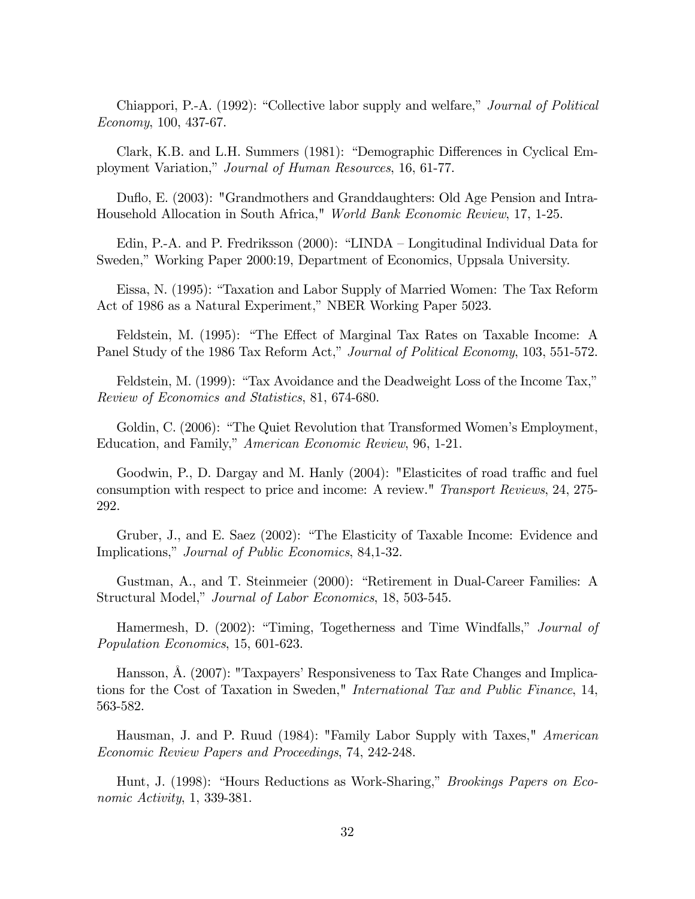Chiappori, P.-A. (1992): "Collective labor supply and welfare," *Journal of Political* Economy, 100, 437-67.

Clark, K.B. and L.H. Summers (1981): "Demographic Differences in Cyclical Employment Variation," Journal of Human Resources, 16, 61-77.

Duáo, E. (2003): "Grandmothers and Granddaughters: Old Age Pension and Intra-Household Allocation in South Africa," World Bank Economic Review, 17, 1-25.

Edin, P.-A. and P. Fredriksson  $(2000)$ : "LINDA – Longitudinal Individual Data for Sweden," Working Paper 2000:19, Department of Economics, Uppsala University.

Eissa, N. (1995): "Taxation and Labor Supply of Married Women: The Tax Reform Act of 1986 as a Natural Experiment," NBER Working Paper 5023.

Feldstein, M. (1995): "The Effect of Marginal Tax Rates on Taxable Income: A Panel Study of the 1986 Tax Reform Act," Journal of Political Economy, 103, 551-572.

Feldstein, M.  $(1999)$ : "Tax Avoidance and the Deadweight Loss of the Income Tax," Review of Economics and Statistics, 81, 674-680.

Goldin, C. (2006): "The Quiet Revolution that Transformed Women's Employment, Education, and Family," American Economic Review, 96, 1-21.

Goodwin, P., D. Dargay and M. Hanly (2004): "Elasticites of road traffic and fuel consumption with respect to price and income: A review." Transport Reviews, 24, 275- 292.

Gruber, J., and E. Saez (2002): "The Elasticity of Taxable Income: Evidence and Implications," Journal of Public Economics, 84,1-32.

Gustman, A., and T. Steinmeier (2000): "Retirement in Dual-Career Families: A Structural Model," Journal of Labor Economics, 18, 503-545.

Hamermesh, D. (2002): "Timing, Togetherness and Time Windfalls," Journal of Population Economics, 15, 601-623.

Hansson,  $\AA$ . (2007): "Taxpayers' Responsiveness to Tax Rate Changes and Implications for the Cost of Taxation in Sweden," International Tax and Public Finance, 14, 563-582.

Hausman, J. and P. Ruud (1984): "Family Labor Supply with Taxes," American Economic Review Papers and Proceedings, 74, 242-248.

Hunt, J. (1998): "Hours Reductions as Work-Sharing," *Brookings Papers on Eco*nomic Activity, 1, 339-381.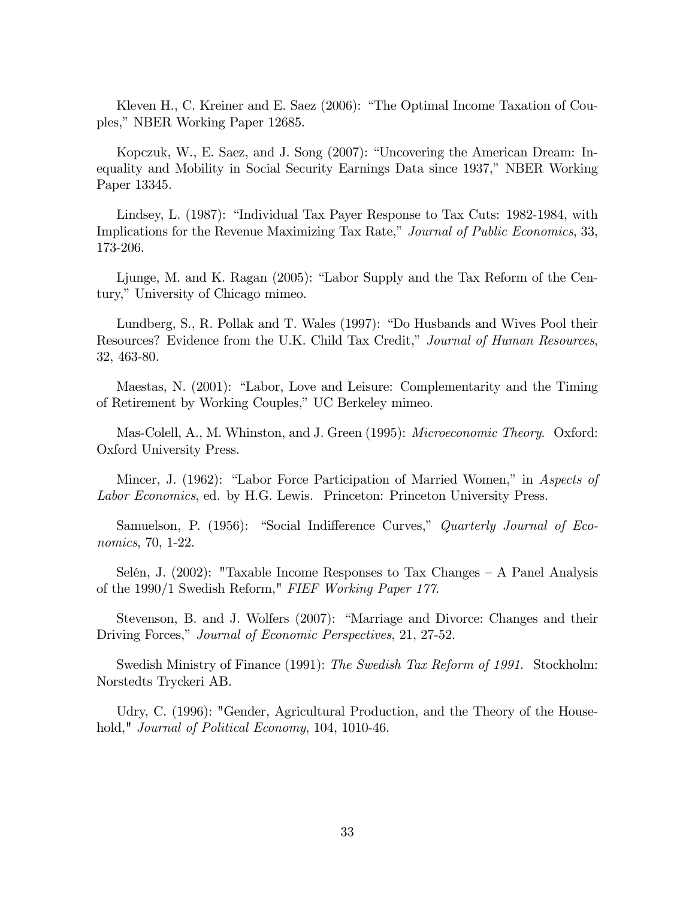Kleven H., C. Kreiner and E. Saez  $(2006)$ : "The Optimal Income Taxation of Couples," NBER Working Paper 12685.

Kopczuk, W., E. Saez, and J. Song (2007): "Uncovering the American Dream: Inequality and Mobility in Social Security Earnings Data since 1937," NBER Working Paper 13345.

Lindsey, L. (1987): "Individual Tax Payer Response to Tax Cuts: 1982-1984, with Implications for the Revenue Maximizing Tax Rate," Journal of Public Economics, 33, 173-206.

Ljunge, M. and K. Ragan  $(2005)$ : "Labor Supply and the Tax Reform of the Century," University of Chicago mimeo.

Lundberg, S., R. Pollak and T. Wales (1997): "Do Husbands and Wives Pool their Resources? Evidence from the U.K. Child Tax Credit," Journal of Human Resources, 32, 463-80.

Maestas, N. (2001): "Labor, Love and Leisure: Complementarity and the Timing of Retirement by Working Couples," UC Berkeley mimeo.

Mas-Colell, A., M. Whinston, and J. Green (1995): *Microeconomic Theory.* Oxford: Oxford University Press.

Mincer, J. (1962): "Labor Force Participation of Married Women," in Aspects of Labor Economics, ed. by H.G. Lewis. Princeton: Princeton University Press.

Samuelson, P. (1956): "Social Indifference Curves," Quarterly Journal of Economics, 70, 1-22.

Selén, J. (2002): "Taxable Income Responses to Tax Changes  $- A$  Panel Analysis of the 1990/1 Swedish Reform," FIEF Working Paper 177.

Stevenson, B. and J. Wolfers (2007): "Marriage and Divorce: Changes and their Driving Forces," Journal of Economic Perspectives, 21, 27-52.

Swedish Ministry of Finance (1991): The Swedish Tax Reform of 1991. Stockholm: Norstedts Tryckeri AB.

Udry, C. (1996): "Gender, Agricultural Production, and the Theory of the Household," *Journal of Political Economy*, 104, 1010-46.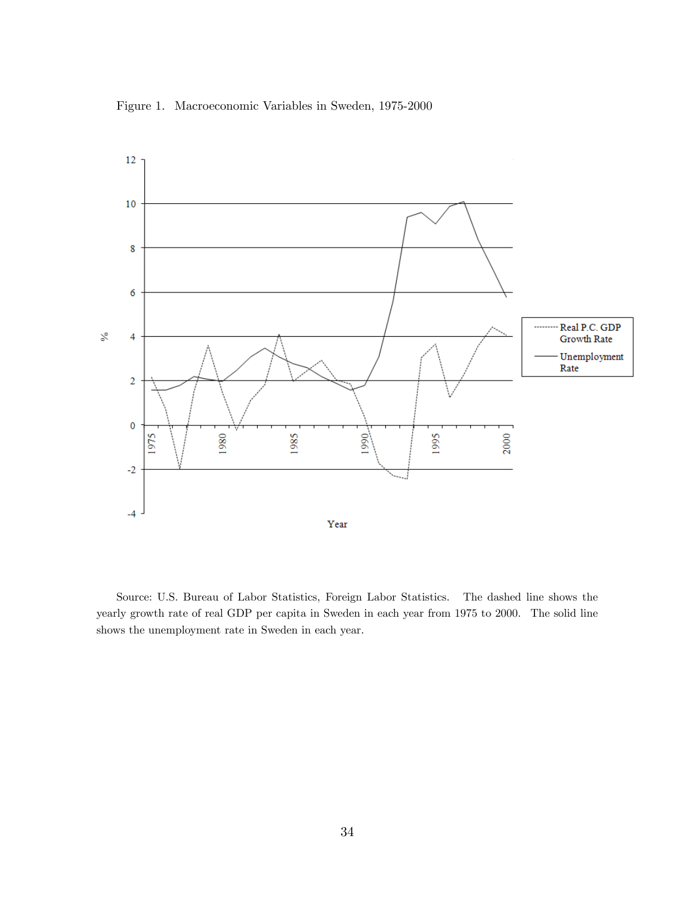Figure 1. Macroeconomic Variables in Sweden, 1975-2000



Source: U.S. Bureau of Labor Statistics, Foreign Labor Statistics. The dashed line shows the yearly growth rate of real GDP per capita in Sweden in each year from 1975 to 2000. The solid line shows the unemployment rate in Sweden in each year.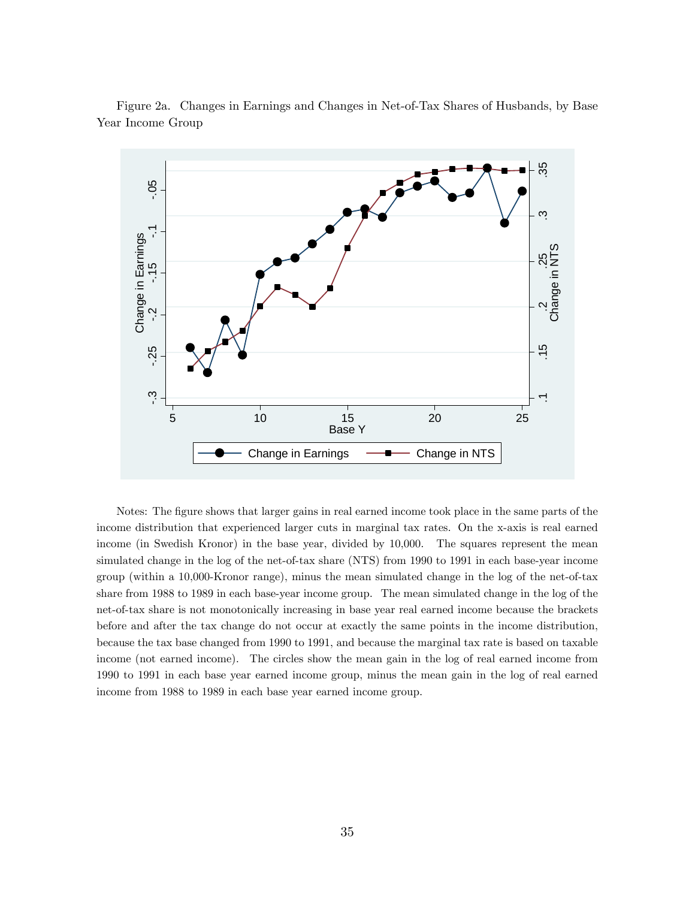

Figure 2a. Changes in Earnings and Changes in Net-of-Tax Shares of Husbands, by Base Year Income Group

Notes: The figure shows that larger gains in real earned income took place in the same parts of the income distribution that experienced larger cuts in marginal tax rates. On the x-axis is real earned income (in Swedish Kronor) in the base year, divided by 10,000. The squares represent the mean simulated change in the log of the net-of-tax share (NTS) from 1990 to 1991 in each base-year income group (within a 10,000-Kronor range), minus the mean simulated change in the log of the net-of-tax share from 1988 to 1989 in each base-year income group. The mean simulated change in the log of the net-of-tax share is not monotonically increasing in base year real earned income because the brackets before and after the tax change do not occur at exactly the same points in the income distribution, because the tax base changed from 1990 to 1991, and because the marginal tax rate is based on taxable income (not earned income). The circles show the mean gain in the log of real earned income from 1990 to 1991 in each base year earned income group, minus the mean gain in the log of real earned income from 1988 to 1989 in each base year earned income group.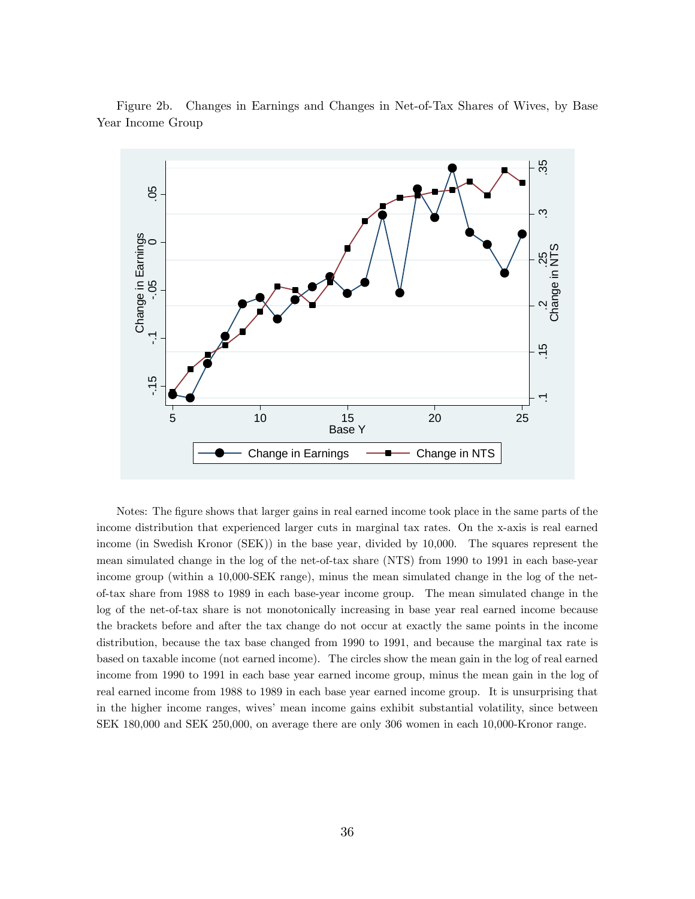

Figure 2b. Changes in Earnings and Changes in Net-of-Tax Shares of Wives, by Base Year Income Group

Notes: The figure shows that larger gains in real earned income took place in the same parts of the income distribution that experienced larger cuts in marginal tax rates. On the x-axis is real earned income (in Swedish Kronor (SEK)) in the base year, divided by 10,000. The squares represent the mean simulated change in the log of the net-of-tax share (NTS) from 1990 to 1991 in each base-year income group (within a 10,000-SEK range), minus the mean simulated change in the log of the netof-tax share from 1988 to 1989 in each base-year income group. The mean simulated change in the log of the net-of-tax share is not monotonically increasing in base year real earned income because the brackets before and after the tax change do not occur at exactly the same points in the income distribution, because the tax base changed from 1990 to 1991, and because the marginal tax rate is based on taxable income (not earned income). The circles show the mean gain in the log of real earned income from 1990 to 1991 in each base year earned income group, minus the mean gain in the log of real earned income from 1988 to 1989 in each base year earned income group. It is unsurprising that in the higher income ranges, wives' mean income gains exhibit substantial volatility, since between SEK 180,000 and SEK 250,000, on average there are only 306 women in each 10,000-Kronor range.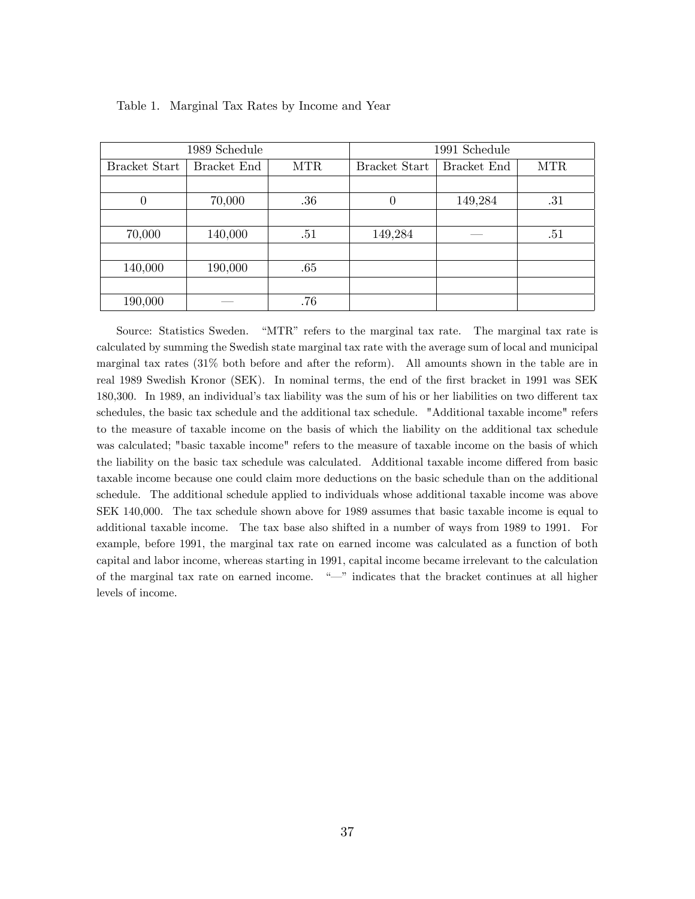|               | 1989 Schedule |            | 1991 Schedule        |             |            |  |
|---------------|---------------|------------|----------------------|-------------|------------|--|
| Bracket Start | Bracket End   | <b>MTR</b> | <b>Bracket Start</b> | Bracket End | <b>MTR</b> |  |
|               |               |            |                      |             |            |  |
| $\theta$      | 70,000        | .36        | 0                    | 149,284     | .31        |  |
|               |               |            |                      |             |            |  |
| 70,000        | 140,000       | .51        | 149,284              |             | .51        |  |
|               |               |            |                      |             |            |  |
| 140,000       | 190,000       | .65        |                      |             |            |  |
|               |               |            |                      |             |            |  |
| 190,000       |               | .76        |                      |             |            |  |

Table 1. Marginal Tax Rates by Income and Year

Source: Statistics Sweden. "MTR" refers to the marginal tax rate. The marginal tax rate is calculated by summing the Swedish state marginal tax rate with the average sum of local and municipal marginal tax rates (31% both before and after the reform). All amounts shown in the table are in real 1989 Swedish Kronor (SEK). In nominal terms, the end of the first bracket in 1991 was SEK 180,300. In 1989, an individual's tax liability was the sum of his or her liabilities on two different tax schedules, the basic tax schedule and the additional tax schedule. "Additional taxable income" refers to the measure of taxable income on the basis of which the liability on the additional tax schedule was calculated; "basic taxable income" refers to the measure of taxable income on the basis of which the liability on the basic tax schedule was calculated. Additional taxable income differed from basic taxable income because one could claim more deductions on the basic schedule than on the additional schedule. The additional schedule applied to individuals whose additional taxable income was above SEK 140,000. The tax schedule shown above for 1989 assumes that basic taxable income is equal to additional taxable income. The tax base also shifted in a number of ways from 1989 to 1991. For example, before 1991, the marginal tax rate on earned income was calculated as a function of both capital and labor income, whereas starting in 1991, capital income became irrelevant to the calculation of the marginal tax rate on earned income.  $\frac{a}{n}$  indicates that the bracket continues at all higher levels of income.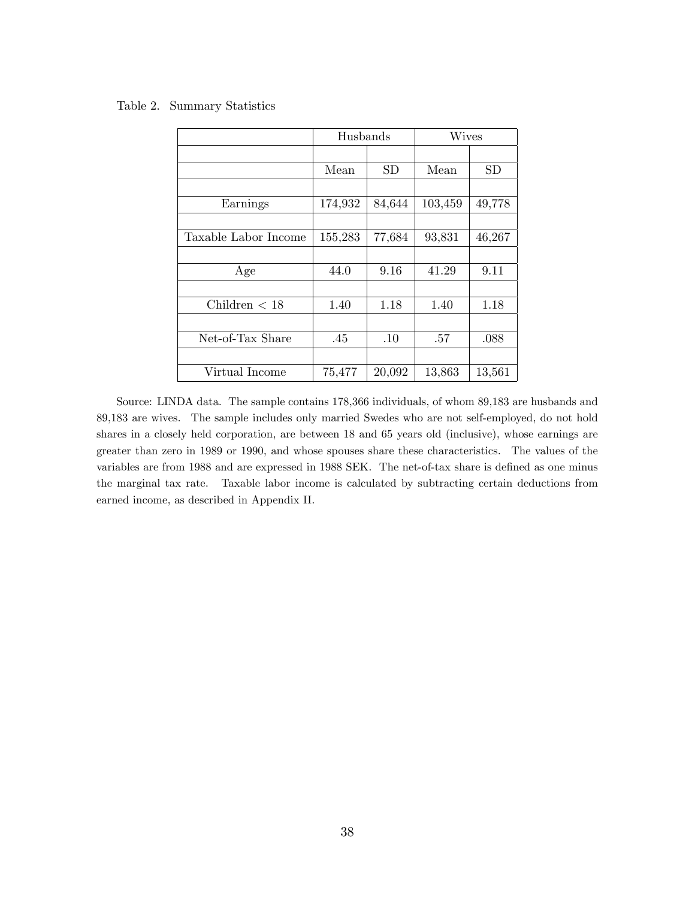Table 2. Summary Statistics

|                      | Husbands |           | <b>Wives</b> |           |
|----------------------|----------|-----------|--------------|-----------|
|                      |          |           |              |           |
|                      | Mean     | <b>SD</b> | Mean         | <b>SD</b> |
|                      |          |           |              |           |
| Earnings             | 174,932  | 84,644    | 103,459      | 49,778    |
|                      |          |           |              |           |
| Taxable Labor Income | 155,283  | 77,684    | 93,831       | 46,267    |
|                      |          |           |              |           |
| Age                  | 44.0     | 9.16      | 41.29        | 9.11      |
|                      |          |           |              |           |
| Children $< 18$      | 1.40     | 1.18      | 1.40         | 1.18      |
|                      |          |           |              |           |
| Net-of-Tax Share     | .45      | .10       | .57          | .088      |
|                      |          |           |              |           |
| Virtual Income       | 75,477   | 20,092    | 13,863       | 13,561    |

Source: LINDA data. The sample contains 178,366 individuals, of whom 89,183 are husbands and 89,183 are wives. The sample includes only married Swedes who are not self-employed, do not hold shares in a closely held corporation, are between 18 and 65 years old (inclusive), whose earnings are greater than zero in 1989 or 1990, and whose spouses share these characteristics. The values of the variables are from 1988 and are expressed in 1988 SEK. The net-of-tax share is defined as one minus the marginal tax rate. Taxable labor income is calculated by subtracting certain deductions from earned income, as described in Appendix II.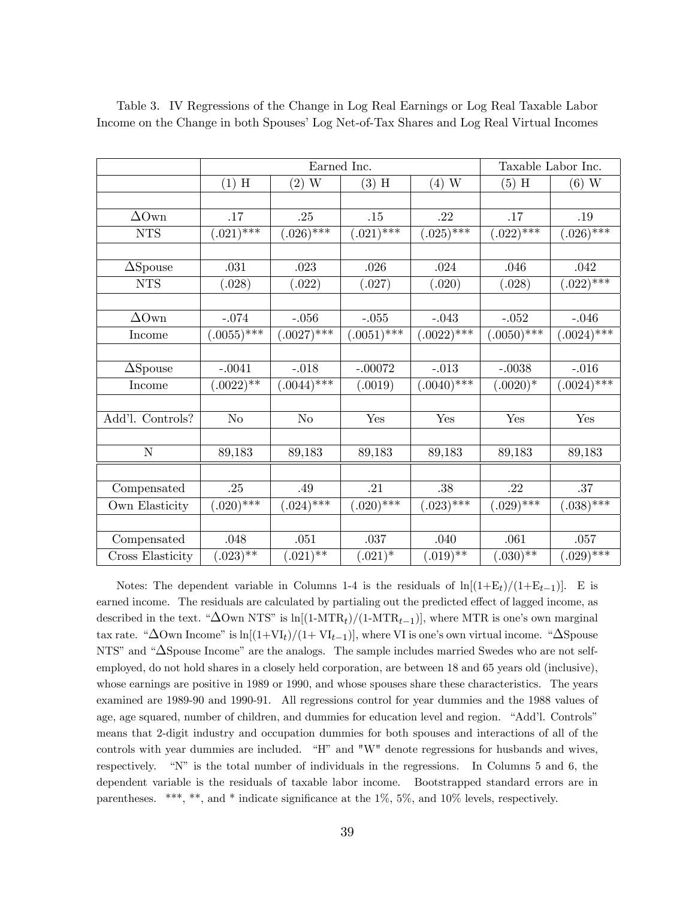|                  |                | Earned Inc.    |                |                 | Taxable Labor Inc. |                            |
|------------------|----------------|----------------|----------------|-----------------|--------------------|----------------------------|
|                  | $(1)$ H        | $(2)$ W        | $(3)$ H        | $(4)$ W         | $(5)$ H            | $(6)$ W                    |
|                  |                |                |                |                 |                    |                            |
| $\Delta$ Own     | .17            | .25            | .15            | .22             | .17                | .19                        |
| <b>NTS</b>       | $(.021)$ ***   | $(.026)^{***}$ | $(.021)$ ***   | $(.025)$ ***    | $(.022)$ ***       | $(.026)^{***}$             |
|                  |                |                |                |                 |                    |                            |
| $\Delta$ Spouse  | .031           | .023           | .026           | .024            | .046               | .042                       |
| ${\rm NTS}$      | (.028)         | (.022)         | (.027)         | (.020)          | (.028)             | $(.022)$ ***               |
|                  |                |                |                |                 |                    |                            |
| $\Delta$ Own     | $-.074$        | $-.056$        | $-.055$        | $-.043$         | $-.052$            | $-.046$                    |
| Income           | $(0.0055)$ *** | $(.0027)$ ***  | $(.0051)$ ***  | $(.0022)^{***}$ | $(.0050)$ ***      | $(.0024)$ ***              |
|                  |                |                |                |                 |                    |                            |
| $\Delta$ Spouse  | $-.0041$       | $-.018$        | $-.00072$      | $-.013$         | $-.0038$           | $-.016$                    |
| Income           | $(.0022)**$    | $(.0044)$ ***  | (.0019)        | $(.0040)$ ***   | $(.0020)*$         | $(.0024)^{\overline{***}}$ |
|                  |                |                |                |                 |                    |                            |
| Add'l. Controls? | N <sub>o</sub> | N <sub>o</sub> | Yes            | Yes             | Yes                | $\operatorname{Yes}$       |
|                  |                |                |                |                 |                    |                            |
| N                | 89,183         | 89,183         | 89,183         | 89,183          | 89,183             | 89,183                     |
|                  |                |                |                |                 |                    |                            |
| Compensated      | .25            | .49            | .21            | .38             | .22                | .37                        |
| Own Elasticity   | $(.020)^{***}$ | $(.024)^{***}$ | $(.020)^{***}$ | $(.023)$ ***    | $(.029)$ ***       | $(.038)$ ***               |
|                  |                |                |                |                 |                    |                            |
| Compensated      | .048           | .051           | .037           | .040            | .061               | .057                       |
| Cross Elasticity | $(.023)$ **    | $(.021)$ **    | $(.021)^*$     | $(.019)$ **     | $(.030)*+$         | $(.029)$ ***               |

Table 3. IV Regressions of the Change in Log Real Earnings or Log Real Taxable Labor Income on the Change in both Spouses' Log Net-of-Tax Shares and Log Real Virtual Incomes

Notes: The dependent variable in Columns 1-4 is the residuals of  $\ln[(1+E_t)/(1+E_{t-1})]$ . E is earned income. The residuals are calculated by partialing out the predicted effect of lagged income, as described in the text. " $\Delta$ Own NTS" is ln[(1-MTR<sub>t</sub>)/(1-MTR<sub>t-1</sub>)], where MTR is one's own marginal tax rate. " $\Delta$ Own Income" is ln $[(1+VI_t)/(1+VI_{t-1})]$ , where VI is one's own virtual income. " $\Delta$ Spouse NTS" and " $\Delta$ Spouse Income" are the analogs. The sample includes married Swedes who are not selfemployed, do not hold shares in a closely held corporation, are between 18 and 65 years old (inclusive), whose earnings are positive in 1989 or 1990, and whose spouses share these characteristics. The years examined are 1989-90 and 1990-91. All regressions control for year dummies and the 1988 values of age, age squared, number of children, and dummies for education level and region. "Add'l. Controls" means that 2-digit industry and occupation dummies for both spouses and interactions of all of the controls with year dummies are included.  $H^2$  and "W" denote regressions for husbands and wives, respectively.  $\omega$  is the total number of individuals in the regressions. In Columns 5 and 6, the dependent variable is the residuals of taxable labor income. Bootstrapped standard errors are in parentheses. \*\*\*, \*\*, and \* indicate significance at the  $1\%$ ,  $5\%$ , and  $10\%$  levels, respectively.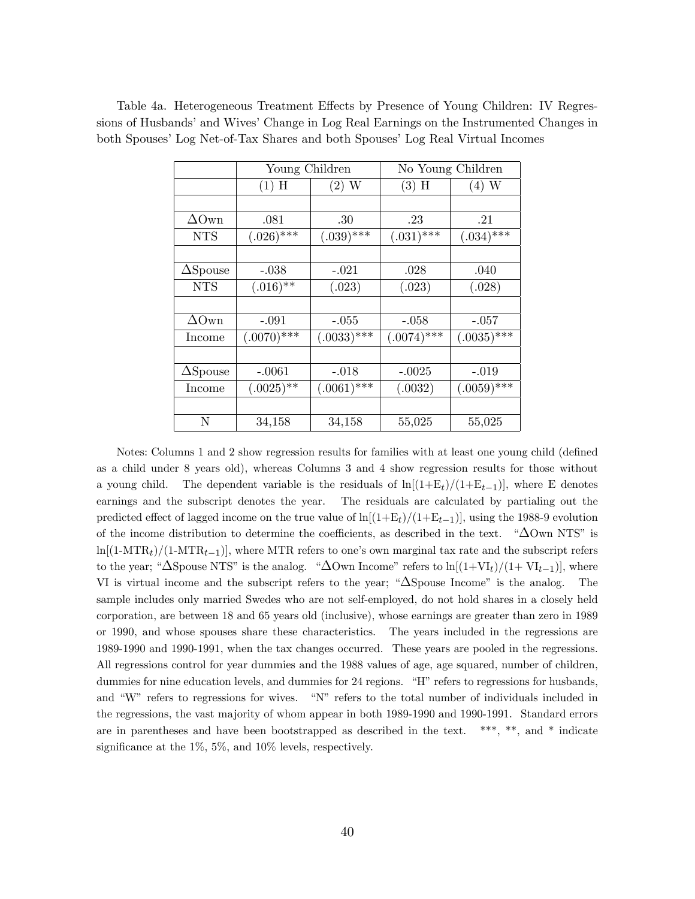|                     | Young Children |               | No Young Children |               |  |
|---------------------|----------------|---------------|-------------------|---------------|--|
|                     | $(1)$ H        | $(2)$ W       | $(3)$ H           | $(4)$ W       |  |
|                     |                |               |                   |               |  |
| $\Delta \text{Own}$ | .081           | .30           | .23               | .21           |  |
| <b>NTS</b>          | $(.026)$ ***   | $(.039)$ ***  | $(.031)$ ***      | $(.034)$ ***  |  |
|                     |                |               |                   |               |  |
| $\Delta$ Spouse     | $-.038$        | $-.021$       | .028              | .040          |  |
| <b>NTS</b>          | $(.016)$ **    | (.023)        | (.023)            | (.028)        |  |
|                     |                |               |                   |               |  |
| $\Delta$ Own        | $-.091$        | $-.055$       | $-.058$           | $-.057$       |  |
| Income              | $(.0070)$ ***  | $(.0033)$ *** | $(.0074)$ ***     | $(.0035)$ *** |  |
|                     |                |               |                   |               |  |
| $\Delta$ Spouse     | $-.0061$       | $-.018$       | $-.0025$          | $-.019$       |  |
| Income              | $(.0025)$ **   | $(.0061)$ *** | (.0032)           | $(.0059)$ *** |  |
|                     |                |               |                   |               |  |
| N                   | 34,158         | 34,158        | 55,025            | 55,025        |  |

Table 4a. Heterogeneous Treatment Effects by Presence of Young Children: IV Regressions of Husbands' and Wives' Change in Log Real Earnings on the Instrumented Changes in both Spouses' Log Net-of-Tax Shares and both Spouses' Log Real Virtual Incomes

Notes: Columns 1 and 2 show regression results for families with at least one young child (defined as a child under 8 years old), whereas Columns 3 and 4 show regression results for those without a young child. The dependent variable is the residuals of  $\ln[(1+E_t)/(1+E_{t-1})]$ , where E denotes earnings and the subscript denotes the year. The residuals are calculated by partialing out the predicted effect of lagged income on the true value of  $\ln[(1+E_t)/(1+E_{t-1})]$ , using the 1988-9 evolution of the income distribution to determine the coefficients, as described in the text.  $\Delta$ Own NTS<sup>n</sup> is  $ln[(1-MTR<sub>t</sub>)/(1-MTR<sub>t-1</sub>)],$  where MTR refers to one's own marginal tax rate and the subscript refers to the year; " $\Delta$ Spouse NTS" is the analog. " $\Delta$ Own Income" refers to ln[ $(1+VI_t)/(1+VI_{t-1})$ ], where VI is virtual income and the subscript refers to the year;  $\Delta$ Spouse Income" is the analog. The sample includes only married Swedes who are not self-employed, do not hold shares in a closely held corporation, are between 18 and 65 years old (inclusive), whose earnings are greater than zero in 1989 or 1990, and whose spouses share these characteristics. The years included in the regressions are 1989-1990 and 1990-1991, when the tax changes occurred. These years are pooled in the regressions. All regressions control for year dummies and the 1988 values of age, age squared, number of children, dummies for nine education levels, and dummies for 24 regions. "H" refers to regressions for husbands, and "W" refers to regressions for wives.  $\partial N''$  refers to the total number of individuals included in the regressions, the vast majority of whom appear in both 1989-1990 and 1990-1991. Standard errors are in parentheses and have been bootstrapped as described in the text. \*\*\*, \*\*, and \* indicate significance at the  $1\%, 5\%,$  and  $10\%$  levels, respectively.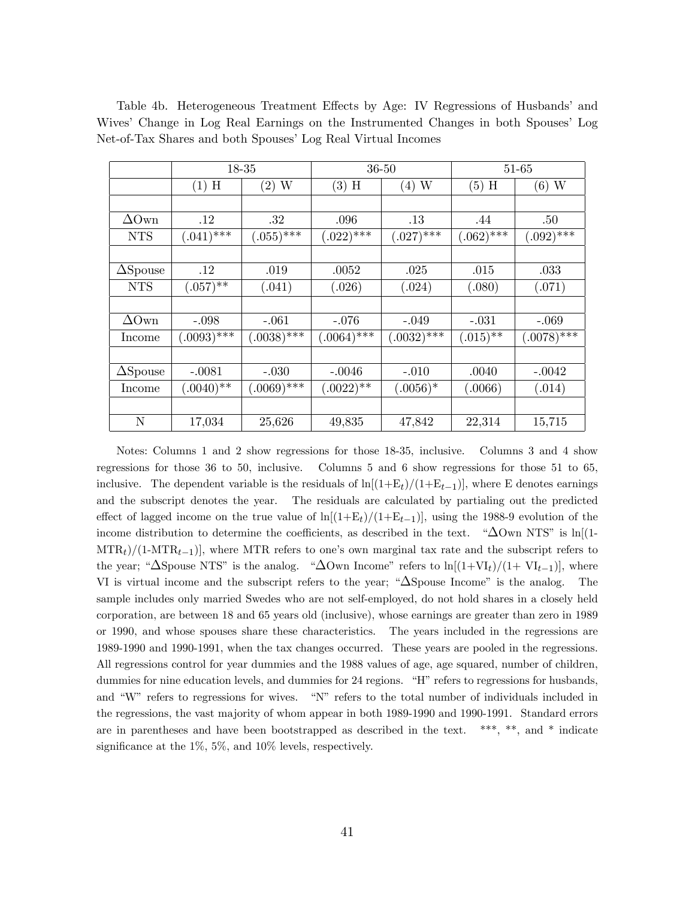|                 |               | 18-35         |               | $36 - 50$     |              | 51-65         |
|-----------------|---------------|---------------|---------------|---------------|--------------|---------------|
|                 | $(1)$ H       | $(2)$ W       | $(3)$ H       | (4)W          | $(5)$ H      | (6) W         |
|                 |               |               |               |               |              |               |
| $\Delta$ Own    | .12           | $.32\,$       | .096          | $.13\,$       | .44          | .50           |
| <b>NTS</b>      | $(.041)$ ***  | $(.055)$ ***  | $(.022)$ ***  | $(.027)$ ***  | $(.062)$ *** | $(.092)$ ***  |
|                 |               |               |               |               |              |               |
| $\Delta$ Spouse | $.12\,$       | .019          | .0052         | .025          | .015         | .033          |
| <b>NTS</b>      | $(.057)$ **   | (.041)        | (.026)        | (.024)        | (.080)       | (.071)        |
|                 |               |               |               |               |              |               |
| $\Delta$ Own    | $-.098$       | $-.061$       | $-.076$       | $-.049$       | $-.031$      | $-.069$       |
| Income          | $(.0093)$ *** | $(.0038)$ *** | $(.0064)$ *** | $(.0032)$ *** | $(.015)$ **  | $(.0078)$ *** |
|                 |               |               |               |               |              |               |
| $\Delta$ Spouse | $-.0081$      | $-.030$       | $-.0046$      | $-.010$       | .0040        | $-.0042$      |
| Income          | $(.0040)$ **  | $(.0069)$ *** | $(.0022)$ **  | $(.0056)*$    | (.0066)      | (.014)        |
|                 |               |               |               |               |              |               |
| N               | 17,034        | 25,626        | 49,835        | 47,842        | 22,314       | 15,715        |

Table 4b. Heterogeneous Treatment Effects by Age: IV Regressions of Husbands' and Wives' Change in Log Real Earnings on the Instrumented Changes in both Spouses' Log Net-of-Tax Shares and both Spouses' Log Real Virtual Incomes

Notes: Columns 1 and 2 show regressions for those 18-35, inclusive. Columns 3 and 4 show regressions for those 36 to 50, inclusive. Columns 5 and 6 show regressions for those 51 to 65, inclusive. The dependent variable is the residuals of  $\ln[(1+E_t)/(1+E_{t-1})]$ , where E denotes earnings and the subscript denotes the year. The residuals are calculated by partialing out the predicted effect of lagged income on the true value of  $\ln[(1+E_t)/(1+E_{t-1})]$ , using the 1988-9 evolution of the income distribution to determine the coefficients, as described in the text.  $\Delta$ Own NTS" is ln[(1- $\text{MTR}_t$ /(1-MTR<sub>t-1</sub>), where MTR refers to one's own marginal tax rate and the subscript refers to the year; " $\Delta$ Spouse NTS" is the analog. " $\Delta$ Own Income" refers to ln[ $(1+VI_t)/(1+VI_{t-1})$ ], where VI is virtual income and the subscript refers to the year;  $\Delta$ Spouse Income" is the analog. The sample includes only married Swedes who are not self-employed, do not hold shares in a closely held corporation, are between 18 and 65 years old (inclusive), whose earnings are greater than zero in 1989 or 1990, and whose spouses share these characteristics. The years included in the regressions are 1989-1990 and 1990-1991, when the tax changes occurred. These years are pooled in the regressions. All regressions control for year dummies and the 1988 values of age, age squared, number of children, dummies for nine education levels, and dummies for 24 regions. "H" refers to regressions for husbands, and "W" refers to regressions for wives.  $\gamma_{\text{N}}$  refers to the total number of individuals included in the regressions, the vast majority of whom appear in both 1989-1990 and 1990-1991. Standard errors are in parentheses and have been bootstrapped as described in the text. \*\*\*, \*\*, and \* indicate significance at the  $1\%, 5\%,$  and  $10\%$  levels, respectively.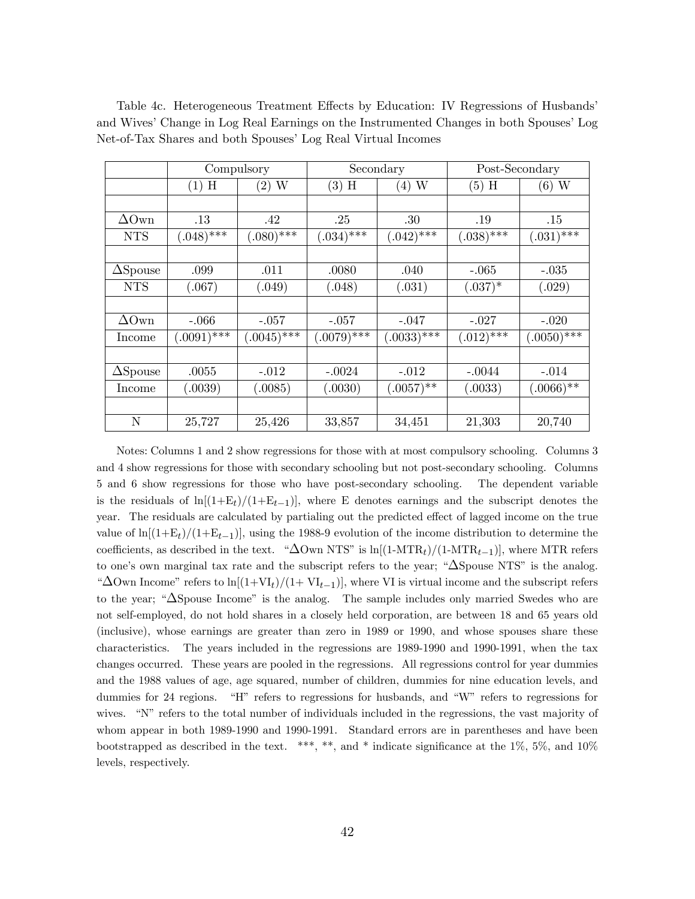|                 | Compulsory    |                |               | Secondary     | Post-Secondary |               |  |
|-----------------|---------------|----------------|---------------|---------------|----------------|---------------|--|
|                 | H<br>(1)      | $(2)$ W        | $(3)$ H       | $(4)$ W       | $(5)$ H        | (6) W         |  |
|                 |               |                |               |               |                |               |  |
| $\Delta$ Own    | $.13\,$       | .42            | .25           | .30           | .19            | .15           |  |
| <b>NTS</b>      | $(.048)$ ***  | $(.080)$ ***   | $(.034)$ ***  | $(.042)$ ***  | $(.038)$ ***   | $(.031)$ ***  |  |
|                 |               |                |               |               |                |               |  |
| $\Delta$ Spouse | .099          | .011           | .0080         | .040          | $-.065$        | $-.035$       |  |
| <b>NTS</b>      | (.067)        | (.049)         | (.048)        | (.031)        | $(.037)^*$     | (.029)        |  |
|                 |               |                |               |               |                |               |  |
| $\Delta$ Own    | $-.066$       | $-.057$        | $-.057$       | $-.047$       | $-.027$        | $-.020$       |  |
| Income          | $(.0091)$ *** | $(0.0045)$ *** | $(.0079)$ *** | $(.0033)$ *** | $(.012)$ ***   | $(.0050)$ *** |  |
|                 |               |                |               |               |                |               |  |
| $\Delta$ Spouse | .0055         | $-.012$        | $-.0024$      | $-.012$       | $-.0044$       | $-.014$       |  |
| Income          | (.0039)       | (.0085)        | (.0030)       | $(.0057)$ **  | (.0033)        | $(.0066)$ **  |  |
|                 |               |                |               |               |                |               |  |
| N               | 25,727        | 25,426         | 33,857        | 34,451        | 21,303         | 20,740        |  |

Table 4c. Heterogeneous Treatment Effects by Education: IV Regressions of Husbands and Wives' Change in Log Real Earnings on the Instrumented Changes in both Spouses' Log Net-of-Tax Shares and both Spouses' Log Real Virtual Incomes

Notes: Columns 1 and 2 show regressions for those with at most compulsory schooling. Columns 3 and 4 show regressions for those with secondary schooling but not post-secondary schooling. Columns 5 and 6 show regressions for those who have post-secondary schooling. The dependent variable is the residuals of  $\ln[(1+E_t)/(1+E_{t-1})]$ , where E denotes earnings and the subscript denotes the year. The residuals are calculated by partialing out the predicted effect of lagged income on the true value of  $\ln[(1+E_t)/(1+E_{t-1})]$ , using the 1988-9 evolution of the income distribution to determine the coefficients, as described in the text. " $\Delta$ Own NTS" is ln[(1-MTR<sub>t</sub>)/(1-MTR<sub>t-1</sub>)], where MTR refers to one's own marginal tax rate and the subscript refers to the year;  $\Delta$ Spouse NTS<sup>n</sup> is the analog. " $\Delta$ Own Income" refers to ln $[(1+VI_t)/(1+VI_{t-1})]$ , where VI is virtual income and the subscript refers to the year;  $\Delta$ Spouse Income" is the analog. The sample includes only married Swedes who are not self-employed, do not hold shares in a closely held corporation, are between 18 and 65 years old (inclusive), whose earnings are greater than zero in 1989 or 1990, and whose spouses share these characteristics. The years included in the regressions are 1989-1990 and 1990-1991, when the tax changes occurred. These years are pooled in the regressions. All regressions control for year dummies and the 1988 values of age, age squared, number of children, dummies for nine education levels, and dummies for 24 regions. "H" refers to regressions for husbands, and "W" refers to regressions for wives. "N" refers to the total number of individuals included in the regressions, the vast majority of whom appear in both 1989-1990 and 1990-1991. Standard errors are in parentheses and have been bootstrapped as described in the text. \*\*\*, \*\*, and \* indicate significance at the 1%, 5%, and 10% levels, respectively.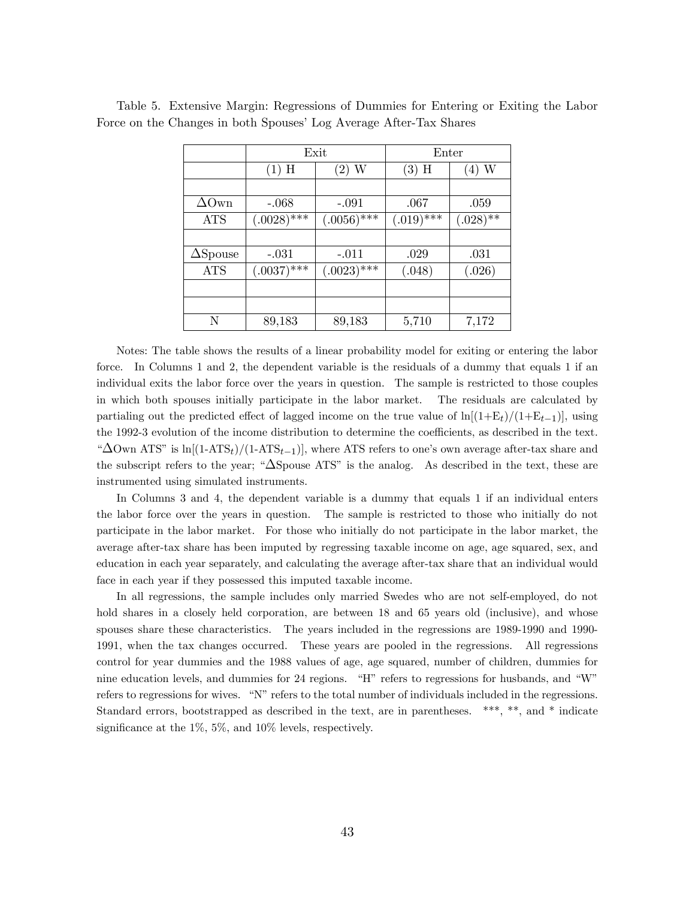|                     |               | Exit          | Enter        |             |  |  |
|---------------------|---------------|---------------|--------------|-------------|--|--|
|                     | $(1)$ H       | $(2)$ W       |              | $(4)$ W     |  |  |
|                     |               |               |              |             |  |  |
| $\Delta \text{Own}$ | $-.068$       | $-.091$       | .067         | .059        |  |  |
| <b>ATS</b>          | $(.0028)$ *** | $(.0056)$ *** | $(.019)$ *** | $(.028)$ ** |  |  |
|                     |               |               |              |             |  |  |
| $\Delta$ Spouse     | $-.031$       | $-.011$       | .029         | .031        |  |  |
| <b>ATS</b>          | $(.0037)$ *** | $(.0023)$ *** | (.048)       | (.026)      |  |  |
|                     |               |               |              |             |  |  |
|                     |               |               |              |             |  |  |
| N                   | 89,183        | 89,183        | 5,710        | 7,172       |  |  |

Table 5. Extensive Margin: Regressions of Dummies for Entering or Exiting the Labor Force on the Changes in both Spouses' Log Average After-Tax Shares

Notes: The table shows the results of a linear probability model for exiting or entering the labor force. In Columns 1 and 2, the dependent variable is the residuals of a dummy that equals 1 if an individual exits the labor force over the years in question. The sample is restricted to those couples in which both spouses initially participate in the labor market. The residuals are calculated by partialing out the predicted effect of lagged income on the true value of  $\ln[(1+E_t)/(1+E_{t-1})]$ , using the 1992-3 evolution of the income distribution to determine the coefficients, as described in the text. " $\Delta$ Own ATS" is ln[(1-ATS<sub>t</sub>)/(1-ATS<sub>t-1</sub>)], where ATS refers to one's own average after-tax share and the subscript refers to the year;  $\Delta$ Spouse ATS" is the analog. As described in the text, these are instrumented using simulated instruments.

In Columns 3 and 4, the dependent variable is a dummy that equals 1 if an individual enters the labor force over the years in question. The sample is restricted to those who initially do not participate in the labor market. For those who initially do not participate in the labor market, the average after-tax share has been imputed by regressing taxable income on age, age squared, sex, and education in each year separately, and calculating the average after-tax share that an individual would face in each year if they possessed this imputed taxable income.

In all regressions, the sample includes only married Swedes who are not self-employed, do not hold shares in a closely held corporation, are between 18 and 65 years old (inclusive), and whose spouses share these characteristics. The years included in the regressions are 1989-1990 and 1990- 1991, when the tax changes occurred. These years are pooled in the regressions. All regressions control for year dummies and the 1988 values of age, age squared, number of children, dummies for nine education levels, and dummies for 24 regions.  $\H$ <sup>r</sup> refers to regressions for husbands, and  $\H$ W<sup>*n*</sup> refers to regressions for wives. "N" refers to the total number of individuals included in the regressions. Standard errors, bootstrapped as described in the text, are in parentheses. \*\*\*, \*\*, and \* indicate significance at the  $1\%, 5\%,$  and  $10\%$  levels, respectively.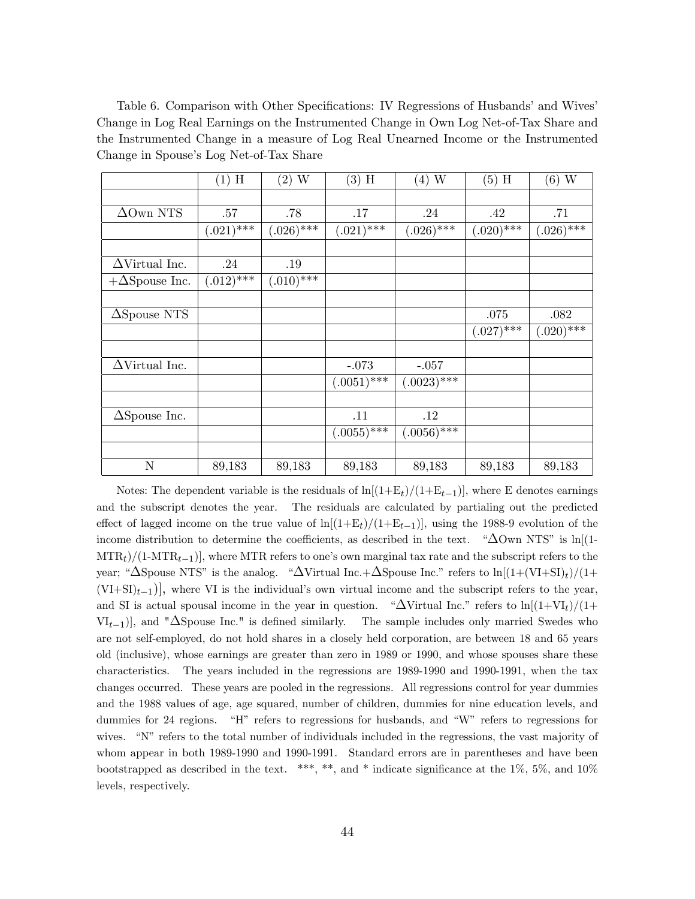Table 6. Comparison with Other Specifications: IV Regressions of Husbands' and Wives Change in Log Real Earnings on the Instrumented Change in Own Log Net-of-Tax Share and the Instrumented Change in a measure of Log Real Unearned Income or the Instrumented Change in Spouse's Log Net-of-Tax Share

|                       | $(1)$ H        | $(2)$ W                   | $(3)$ H       | $(4)$ W       | $(5)$ H                   | $(6)$ W      |
|-----------------------|----------------|---------------------------|---------------|---------------|---------------------------|--------------|
|                       |                |                           |               |               |                           |              |
| $\Delta$ Own NTS      | .57            | .78                       | .17           | .24           | .42                       | .71          |
|                       | $(.021)$ ***   | $(.026)$ ***              | $(.021)$ ***  | $(.026)$ ***  | $(.020)^{\overline{***}}$ | $(.026)$ *** |
|                       |                |                           |               |               |                           |              |
| $\Delta$ Virtual Inc. | .24            | .19                       |               |               |                           |              |
| $+\Delta$ Spouse Inc. | $(.012)^{***}$ | $(.010)^{\overline{***}}$ |               |               |                           |              |
|                       |                |                           |               |               |                           |              |
| $\Delta$ Spouse NTS   |                |                           |               |               | .075                      | .082         |
|                       |                |                           |               |               | $(.027)$ ***              | $(.020)$ *** |
|                       |                |                           |               |               |                           |              |
| $\Delta$ Virtual Inc. |                |                           | $-.073$       | $-.057$       |                           |              |
|                       |                |                           | $(.0051)$ *** | $(.0023)$ *** |                           |              |
|                       |                |                           |               |               |                           |              |
| $\Delta$ Spouse Inc.  |                |                           | .11           | .12           |                           |              |
|                       |                |                           | $(.0055)$ *** | $(.0056)$ *** |                           |              |
|                       |                |                           |               |               |                           |              |
| $\mathbf N$           | 89,183         | 89,183                    | 89,183        | 89,183        | 89,183                    | 89,183       |

Notes: The dependent variable is the residuals of  $\ln[(1+E_t)/(1+E_{t-1})]$ , where E denotes earnings and the subscript denotes the year. The residuals are calculated by partialing out the predicted effect of lagged income on the true value of  $\ln[(1+E_t)/(1+E_{t-1})]$ , using the 1988-9 evolution of the income distribution to determine the coefficients, as described in the text.  $\Delta$ Own NTS" is ln[(1- $\text{MTR}_t$ /(1-MTR<sub>t-1</sub>), where MTR refers to one's own marginal tax rate and the subscript refers to the year; " $\Delta$ Spouse NTS" is the analog. " $\Delta$ Virtual Inc.+ $\Delta$ Spouse Inc." refers to ln[ $(1+(VI+SI)<sub>t</sub>)/(1+I<sub>t</sub>)$  $(VI+SI)<sub>t-1</sub>$ , where VI is the individual's own virtual income and the subscript refers to the year, and SI is actual spousal income in the year in question. " $\Delta$ Virtual Inc." refers to ln $[(1+VI_t)/(1+$  $VI_{t-1}$ , and " $\Delta$ Spouse Inc." is defined similarly. The sample includes only married Swedes who are not self-employed, do not hold shares in a closely held corporation, are between 18 and 65 years old (inclusive), whose earnings are greater than zero in 1989 or 1990, and whose spouses share these characteristics. The years included in the regressions are 1989-1990 and 1990-1991, when the tax changes occurred. These years are pooled in the regressions. All regressions control for year dummies and the 1988 values of age, age squared, number of children, dummies for nine education levels, and dummies for 24 regions. "H" refers to regressions for husbands, and "W" refers to regressions for wives. "N" refers to the total number of individuals included in the regressions, the vast majority of whom appear in both 1989-1990 and 1990-1991. Standard errors are in parentheses and have been bootstrapped as described in the text. \*\*\*, \*\*, and \* indicate significance at the 1%, 5%, and 10% levels, respectively.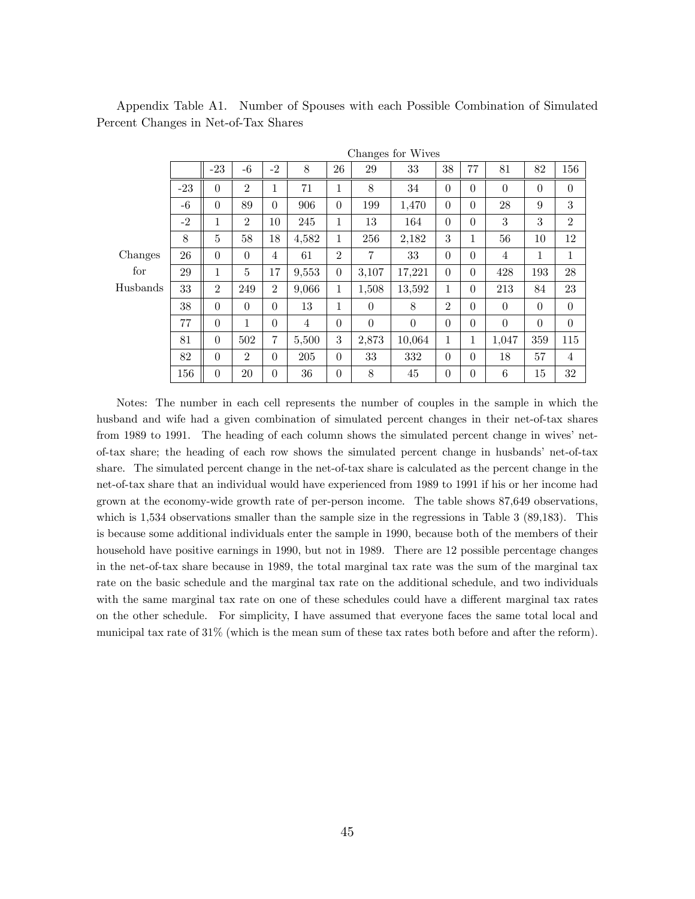|          | Changes for Wives |                |                |                |                |                |                |          |                |          |                |                |                |
|----------|-------------------|----------------|----------------|----------------|----------------|----------------|----------------|----------|----------------|----------|----------------|----------------|----------------|
|          |                   | $-23$          | $-6$           | $-2$           | 8              | 26             | 29             | 33       | 38             | 77       | 81             | 82             | 156            |
|          | $-23$             | $\theta$       | $\overline{2}$ | 1              | 71             | 1              | 8              | 34       | $\theta$       | $\theta$ | $\Omega$       | $\overline{0}$ | $\Omega$       |
|          | $-6$              | $\theta$       | 89             | $\Omega$       | 906            | $\Omega$       | 199            | 1,470    | $\Omega$       | $\theta$ | 28             | 9              | 3              |
|          | $-2$              | 1              | $\overline{2}$ | 10             | 245            | 1              | 13             | 164      | $\Omega$       | $\Omega$ | 3              | 3              | $\overline{2}$ |
|          | 8                 | 5              | 58             | 18             | 4,582          | 1              | 256            | 2,182    | 3              | 1        | 56             | 10             | 12             |
| Changes  | 26                | $\theta$       | $\Omega$       | $\overline{4}$ | 61             | $\overline{2}$ | $\overline{7}$ | 33       | $\Omega$       | $\Omega$ | $\overline{4}$ | 1              | 1              |
| for      | 29                | 1              | 5              | 17             | 9,553          | $\Omega$       | 3,107          | 17,221   | $\Omega$       | $\Omega$ | 428            | 193            | 28             |
| Husbands | 33                | $\overline{2}$ | 249            | $\overline{2}$ | 9,066          | $\mathbf 1$    | 1,508          | 13,592   | 1              | $\theta$ | 213            | 84             | 23             |
|          | 38                | $\theta$       | $\Omega$       | $\Omega$       | 13             | 1              | $\Omega$       | 8        | $\mathfrak{D}$ | $\Omega$ | $\Omega$       | $\Omega$       | $\Omega$       |
|          | 77                | $\theta$       | $\mathbf{1}$   | $\Omega$       | $\overline{4}$ | $\Omega$       | $\Omega$       | $\theta$ | $\Omega$       | $\Omega$ | $\Omega$       | $\Omega$       | $\Omega$       |
|          | 81                | $\theta$       | 502            | $\overline{7}$ | 5,500          | 3              | 2,873          | 10,064   | 1              | 1        | 1,047          | 359            | 115            |
|          | 82                | $\theta$       | $\overline{2}$ | $\Omega$       | 205            | $\Omega$       | 33             | 332      | $\Omega$       | $\Omega$ | 18             | 57             | $\overline{4}$ |
|          | 156               | $\overline{0}$ | 20             | $\Omega$       | 36             | $\theta$       | 8              | 45       | $\theta$       | $\theta$ | 6              | 15             | 32             |

Appendix Table A1. Number of Spouses with each Possible Combination of Simulated Percent Changes in Net-of-Tax Shares

Notes: The number in each cell represents the number of couples in the sample in which the husband and wife had a given combination of simulated percent changes in their net-of-tax shares from 1989 to 1991. The heading of each column shows the simulated percent change in wives' netof-tax share; the heading of each row shows the simulated percent change in husbands' net-of-tax share. The simulated percent change in the net-of-tax share is calculated as the percent change in the net-of-tax share that an individual would have experienced from 1989 to 1991 if his or her income had grown at the economy-wide growth rate of per-person income. The table shows 87,649 observations, which is 1,534 observations smaller than the sample size in the regressions in Table 3 (89,183). This is because some additional individuals enter the sample in 1990, because both of the members of their household have positive earnings in 1990, but not in 1989. There are 12 possible percentage changes in the net-of-tax share because in 1989, the total marginal tax rate was the sum of the marginal tax rate on the basic schedule and the marginal tax rate on the additional schedule, and two individuals with the same marginal tax rate on one of these schedules could have a different marginal tax rates on the other schedule. For simplicity, I have assumed that everyone faces the same total local and municipal tax rate of 31% (which is the mean sum of these tax rates both before and after the reform).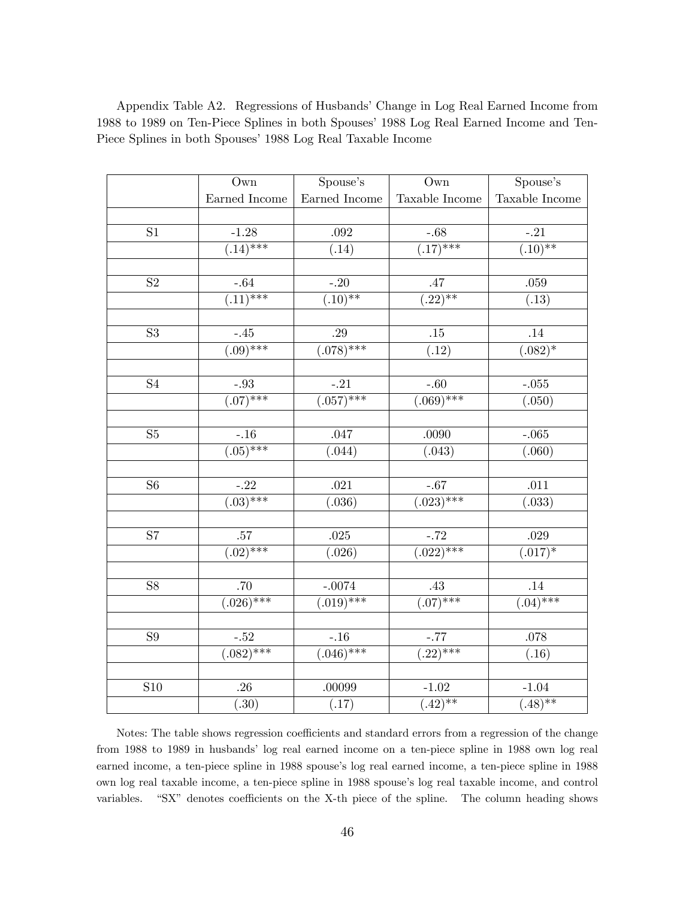|                 | Own                        | Spouse's                  | Own                                    | Spouse's               |
|-----------------|----------------------------|---------------------------|----------------------------------------|------------------------|
|                 | Earned Income              | Earned Income             | Taxable Income                         | Taxable Income         |
|                 |                            |                           |                                        |                        |
| S <sub>1</sub>  | $-1.28$                    | .092                      | $-0.68$                                | $-.21$                 |
|                 | $\frac{1}{(0.14)^{***}}$   | (.14)                     | $\sqrt{(.17)^{***}}$                   | $\left(0.10\right)$ ** |
|                 |                            |                           |                                        |                        |
| S <sub>2</sub>  | $-0.64$                    | $-.20$                    | .47                                    | $.059\,$               |
|                 | $\overline{(.11)^{***}}$   | $\overline{(.10)^{**}}$   | $\sqrt{(.22)**}$                       | (.13)                  |
|                 |                            |                           |                                        |                        |
| S <sub>3</sub>  | $-.45$                     | .29                       | .15                                    | .14                    |
|                 | $\overline{(.09)$ ***      | $(0.078)$ ***             | $\overline{(.12)}$                     | $(0.082)*$             |
|                 |                            |                           |                                        |                        |
| $\overline{S4}$ | $-.93$                     | $-.21$                    | $-.60$                                 | $-.055$                |
|                 | $(0.07)$ ***               | $(0.057)$ ***             | $\overline{(.069) ^{***}}$             | (.050)                 |
|                 |                            |                           |                                        |                        |
| ${\rm S}5$      | $-16$                      | $.047\,$                  | $.0090\,$                              | $-.065$                |
|                 | $\overline{(.05)^{***}}$   | (0.044)                   | (.043)                                 | (.060)                 |
|                 |                            |                           |                                        |                        |
| ${\rm S}6$      | $-.22$                     | $.021\,$                  | $-.67$                                 | .011                   |
|                 | $\overline{(.03)^{***}}$   | (0.036)                   | $\overline{(.023)^{***}}$              | (.033)                 |
|                 |                            |                           |                                        |                        |
| S7              | $.57\,$                    | $.025\,$                  | $-.72$                                 | .029                   |
|                 | $\overline{(.02)***}$      | (.026)                    | $\sqrt{(.022) ^{***}}$                 | $(0.017)*$             |
|                 |                            |                           |                                        |                        |
| ${\rm S}8$      | .70                        | $-.0074$                  | $.43\,$                                | .14                    |
|                 | $\overline{(.026) ^{***}}$ | $(0.019)$ ***             | $\sqrt{(0.07)$ ***                     | $(0.04)$ ***           |
|                 |                            |                           |                                        |                        |
| ${\bf S9}$      | $-.52$                     | $-.16$                    | $-.77$                                 | $.078\,$               |
|                 | $\sqrt{(.082) ^{***}}$     | $(\overline{.046)^{***}}$ | $\left( .22\right) ^{\ast \ast \ast }$ | (.16)                  |
|                 |                            |                           |                                        |                        |
| S10             | .26                        | .00099                    | $-1.02$                                | $-1.04$                |
|                 | (.30)                      | (.17)                     | $\overline{(.42)^{**}}$                | $(0.48)$ **            |

Appendix Table A2. Regressions of Husbands' Change in Log Real Earned Income from 1988 to 1989 on Ten-Piece Splines in both Spouses' 1988 Log Real Earned Income and Ten-Piece Splines in both Spouses' 1988 Log Real Taxable Income

Notes: The table shows regression coefficients and standard errors from a regression of the change from 1988 to 1989 in husbands' log real earned income on a ten-piece spline in 1988 own log real earned income, a ten-piece spline in 1988 spouse's log real earned income, a ten-piece spline in 1988 own log real taxable income, a ten-piece spline in 1988 spouse's log real taxable income, and control variables. "SX" denotes coefficients on the X-th piece of the spline. The column heading shows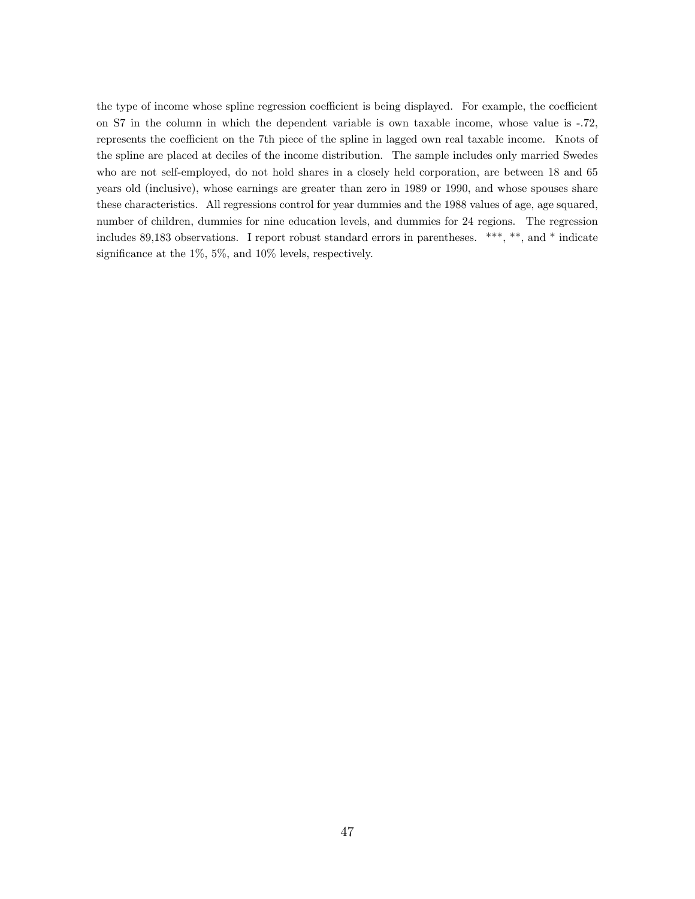the type of income whose spline regression coefficient is being displayed. For example, the coefficient on S7 in the column in which the dependent variable is own taxable income, whose value is -.72, represents the coefficient on the 7th piece of the spline in lagged own real taxable income. Knots of the spline are placed at deciles of the income distribution. The sample includes only married Swedes who are not self-employed, do not hold shares in a closely held corporation, are between 18 and 65 years old (inclusive), whose earnings are greater than zero in 1989 or 1990, and whose spouses share these characteristics. All regressions control for year dummies and the 1988 values of age, age squared, number of children, dummies for nine education levels, and dummies for 24 regions. The regression includes 89,183 observations. I report robust standard errors in parentheses. \*\*\*, \*\*, and \* indicate significance at the  $1\%$ ,  $5\%$ , and  $10\%$  levels, respectively.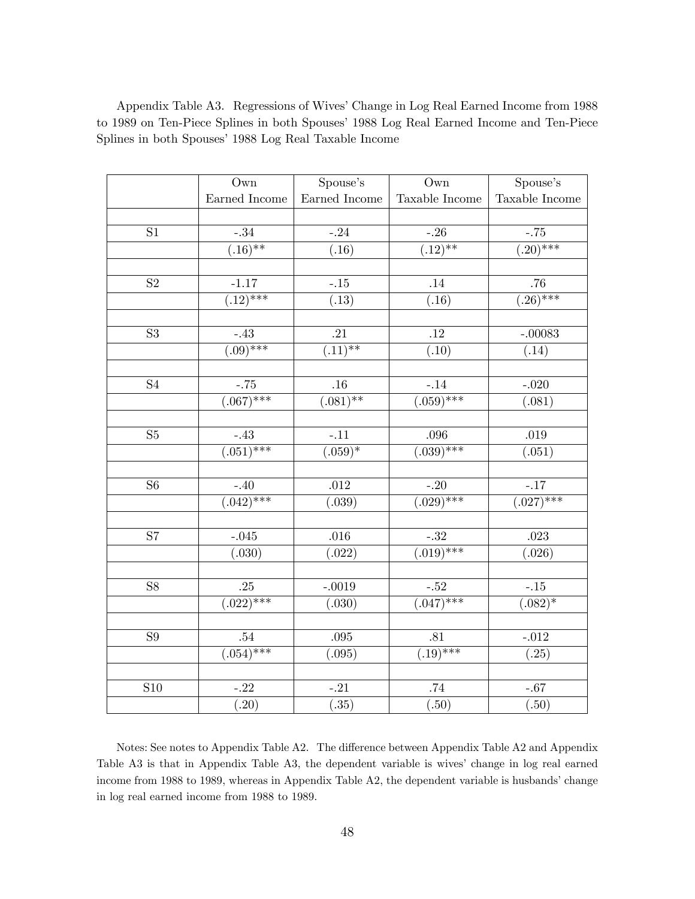|                        | Own                        | Spouse's                 | Own                       | Spouse's                 |
|------------------------|----------------------------|--------------------------|---------------------------|--------------------------|
|                        | Earned Income              | Earned Income            | Taxable Income            | Taxable Income           |
|                        |                            |                          |                           |                          |
| S <sub>1</sub>         | $-0.34$                    | $-.24$                   | $-26$                     | $-.75$                   |
|                        | $\overline{(.16)^{**}}$    | $\overline{(.16)}$       | $\overline{(.12)^{**}}$   | $\overline{(.20)^{***}}$ |
|                        |                            |                          |                           |                          |
| S <sub>2</sub>         | $-1.17$                    | $-.15$                   | .14                       | .76                      |
|                        | $\overline{(.12)^{***}}$   | $\overline{(.13)}$       | (0.16)                    | $\overline{(.26)^{***}}$ |
|                        |                            |                          |                           |                          |
| S <sub>3</sub>         | $-.43$                     | $.21\,$                  | $.12\,$                   | $-.00083$                |
|                        | $\overline{(.09)$ ***      | $\overline{(.11)^{**}}$  | $\overline{(.10)}$        | $\overline{(.14)}$       |
|                        |                            |                          |                           |                          |
| $\overline{\text{S4}}$ | $-.75$                     | $.16\,$                  | $-.14$                    | $-.020$                  |
|                        | $(0.67)$ ***               | $\overline{(.081)^{**}}$ | $(0.059)$ ***             | (.081)                   |
|                        |                            |                          |                           |                          |
| S <sub>5</sub>         | $-43$                      | $-11$                    | $.096\,$                  | $.019\,$                 |
|                        | $\overline{(.051) ^{***}}$ | $(0.69)*$                | $(0.039)$ ***             | (.051)                   |
|                        |                            |                          |                           |                          |
| S6                     | $-.40$                     | $.012\,$                 | $-.20$                    | $-.17$                   |
|                        | $\overline{(.042) ^{***}}$ | $\overline{(.039)}$      | $\overline{(.029)***}$    | $\sqrt{(.027)***}$       |
|                        |                            |                          |                           |                          |
| S7                     | $-.045$                    | $.016\,$                 | $-.32$                    | .023                     |
|                        | (0.030)                    | (.022)                   | $\overline{(.019)***}$    | (0.026)                  |
|                        |                            |                          |                           |                          |
| $\overline{S8}$        | $.25\,$                    | $-.0019$                 | $^{\rm -.52}$             | $-.15$                   |
|                        | $\sqrt{(.022)***}$         | (.030)                   | $\overline{(.047)^{***}}$ | $(.082)*$                |
|                        |                            |                          |                           |                          |
| S <sub>9</sub>         | $.54\,$                    | $.095\,$                 | $.81\,$                   | $-.012$                  |
|                        | $(0.054)$ ***              | (.095)                   | $\frac{1}{(0.19)^{***}}$  | (.25)                    |
|                        |                            |                          |                           |                          |
| S <sub>10</sub>        | $-.22$                     | $-.21$                   | $.74\,$                   | $-.67$                   |
|                        | $\overline{(.20)}$         | $\overline{(.35)}$       | (.50)                     | (.50)                    |

Appendix Table A3. Regressions of Wives' Change in Log Real Earned Income from 1988 to 1989 on Ten-Piece Splines in both Spouses' 1988 Log Real Earned Income and Ten-Piece Splines in both Spouses' 1988 Log Real Taxable Income

Notes: See notes to Appendix Table A2. The difference between Appendix Table A2 and Appendix Table A3 is that in Appendix Table A3, the dependent variable is wives' change in log real earned income from 1988 to 1989, whereas in Appendix Table A2, the dependent variable is husbands' change in log real earned income from 1988 to 1989.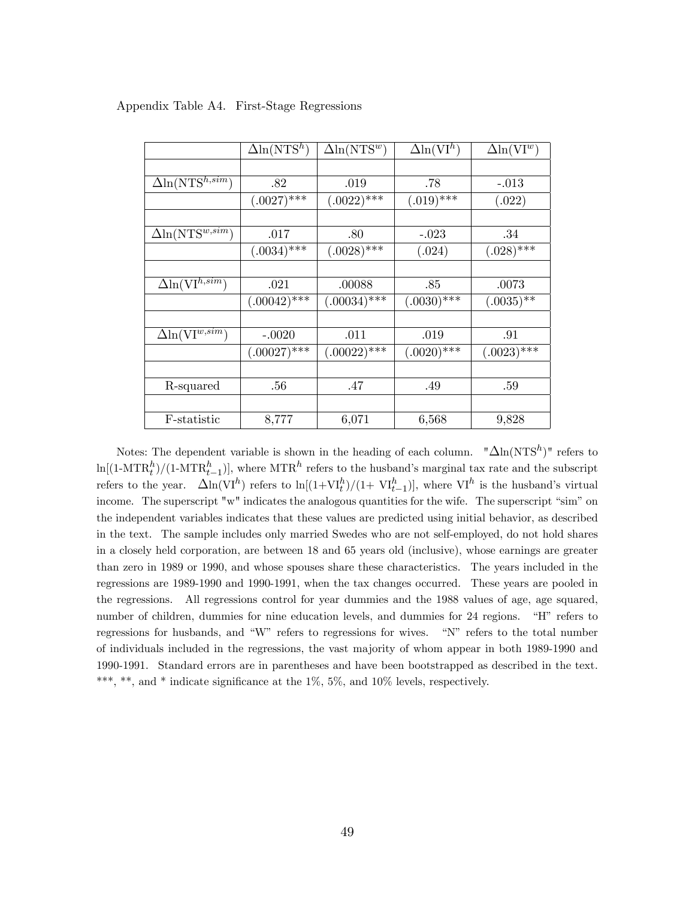|                                             | $\Delta$ ln(NTS <sup>h</sup> ) | $\Delta \ln (NTS^w)$ | $\Delta \ln (\mathrm{VI}^h)$ | $\Delta \ln (\mathrm{VI}^w)$ |
|---------------------------------------------|--------------------------------|----------------------|------------------------------|------------------------------|
|                                             |                                |                      |                              |                              |
| $\Delta \ln (NTS^{h,sim})$                  | .82                            | .019                 | .78                          | $-.013$                      |
|                                             | $(.0027)$ ***                  | $(.0022)$ ***        | $(.019)$ ***                 | (.022)                       |
|                                             |                                |                      |                              |                              |
| $\Delta \ln (NTS^{w,sim})$                  | .017                           | .80                  | $-.023$                      | .34                          |
|                                             | $(.0034)$ ***                  | $(.0028)$ ***        | (.024)                       | $(.028)$ ***                 |
|                                             |                                |                      |                              |                              |
| $\Delta \ln (\overline{\text{VI}^{h,sim}})$ | .021                           | .00088               | .85                          | .0073                        |
|                                             | $(.00042)$ ***                 | $(.00034)$ ***       | $(.0030)$ ***                | $(.0035)$ **                 |
|                                             |                                |                      |                              |                              |
| $\Delta \ln (\text{VI}^{w,\overline{sim}})$ | $-.0020$                       | .011                 | .019                         | .91                          |
|                                             | $(.00027)$ ***                 | $(.00022)$ ***       | $(.0020)$ ***                | $(.0023)^{***}$              |
|                                             |                                |                      |                              |                              |
| R-squared                                   | .56                            | .47                  | .49                          | .59                          |
|                                             |                                |                      |                              |                              |
| F-statistic                                 | 8,777                          | 6,071                | 6,568                        | 9,828                        |

#### Appendix Table A4. First-Stage Regressions

Notes: The dependent variable is shown in the heading of each column.  $"\Delta\ln(NTS^h)"$  refers to  $\ln[(1-MTR_t^h)/(1-MTR_{t-1}^h)]$ , where MTR<sup>h</sup> refers to the husband's marginal tax rate and the subscript the refers to the year.  $\Delta \ln(VI^h)$  refers to ln $[(1+VI^h_t)/(1+VI^h_{t-1})]$ , where VI<sup>h</sup> is the husband's virtual income. The superscript "w" indicates the analogous quantities for the wife. The superscript "sim" on the independent variables indicates that these values are predicted using initial behavior, as described in the text. The sample includes only married Swedes who are not self-employed, do not hold shares in a closely held corporation, are between 18 and 65 years old (inclusive), whose earnings are greater than zero in 1989 or 1990, and whose spouses share these characteristics. The years included in the regressions are 1989-1990 and 1990-1991, when the tax changes occurred. These years are pooled in the regressions. All regressions control for year dummies and the 1988 values of age, age squared, number of children, dummies for nine education levels, and dummies for 24 regions. "H" refers to regressions for husbands, and "W" refers to regressions for wives.  $\chi$  "N" refers to the total number of individuals included in the regressions, the vast majority of whom appear in both 1989-1990 and 1990-1991. Standard errors are in parentheses and have been bootstrapped as described in the text. \*\*\*, \*\*, and \* indicate significance at the  $1\%$ ,  $5\%$ , and  $10\%$  levels, respectively.